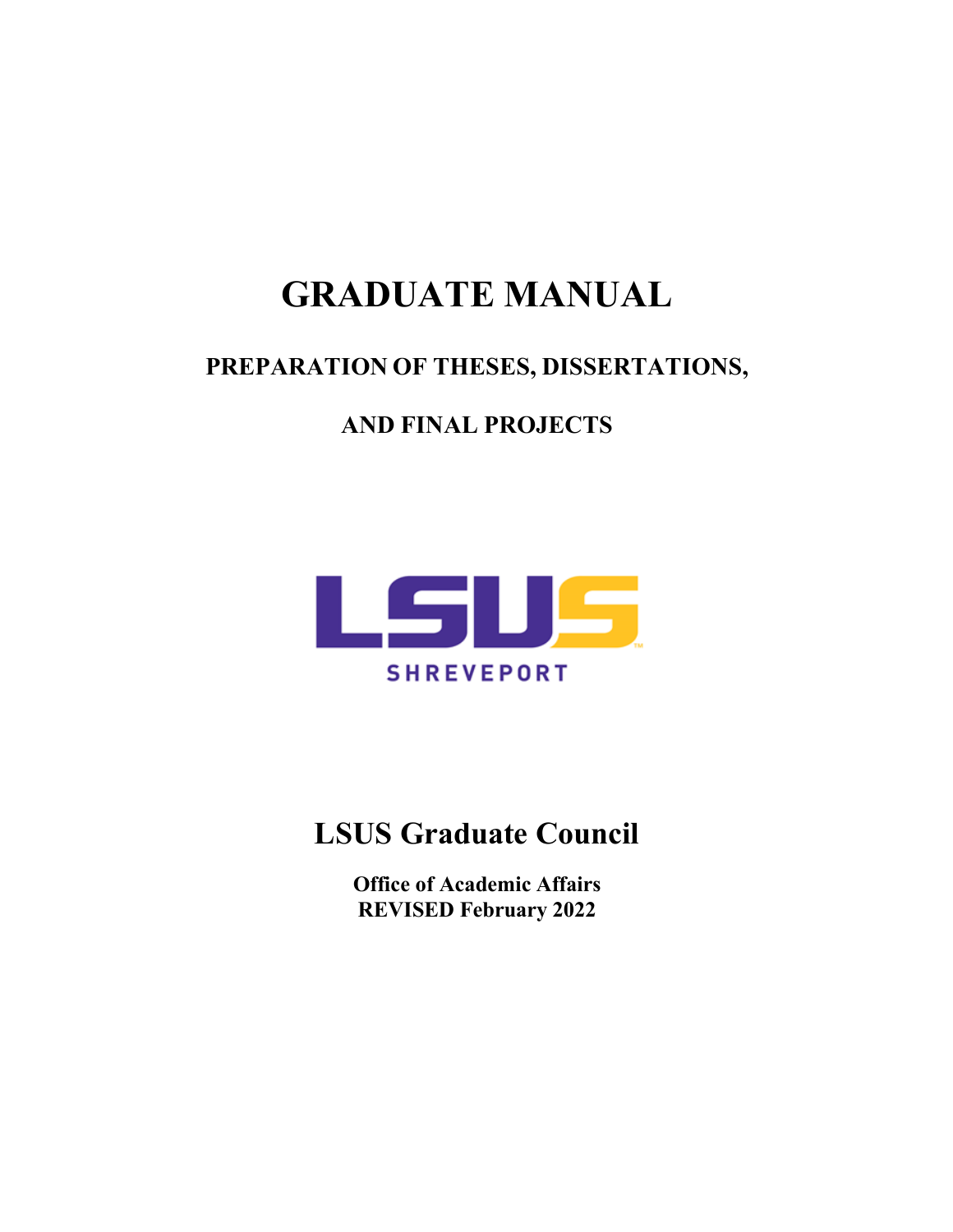# **GRADUATE MANUAL**

# **PREPARATION OF THESES, DISSERTATIONS,**

# **AND FINAL PROJECTS**



# **LSUS Graduate Council**

**Office of Academic Affairs REVISED February 2022**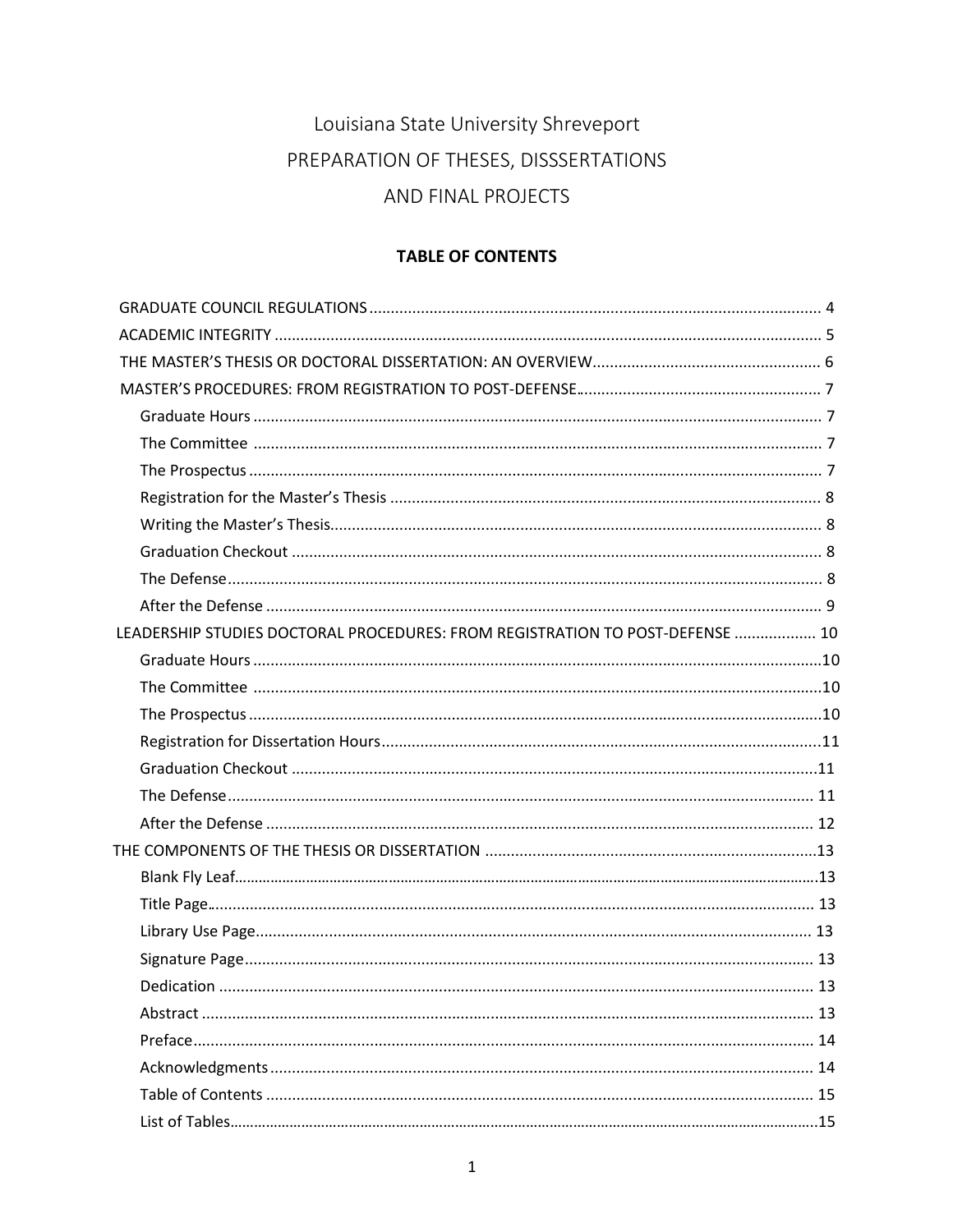# Louisiana State University Shreveport PREPARATION OF THESES, DISSSERTATIONS AND FINAL PROJECTS

# **TABLE OF CONTENTS**

| LEADERSHIP STUDIES DOCTORAL PROCEDURES: FROM REGISTRATION TO POST-DEFENSE  10 |    |
|-------------------------------------------------------------------------------|----|
|                                                                               |    |
|                                                                               |    |
|                                                                               |    |
|                                                                               |    |
|                                                                               |    |
|                                                                               |    |
|                                                                               |    |
|                                                                               |    |
|                                                                               |    |
|                                                                               |    |
|                                                                               |    |
|                                                                               |    |
|                                                                               | 13 |
|                                                                               |    |
|                                                                               |    |
|                                                                               |    |
|                                                                               |    |
|                                                                               |    |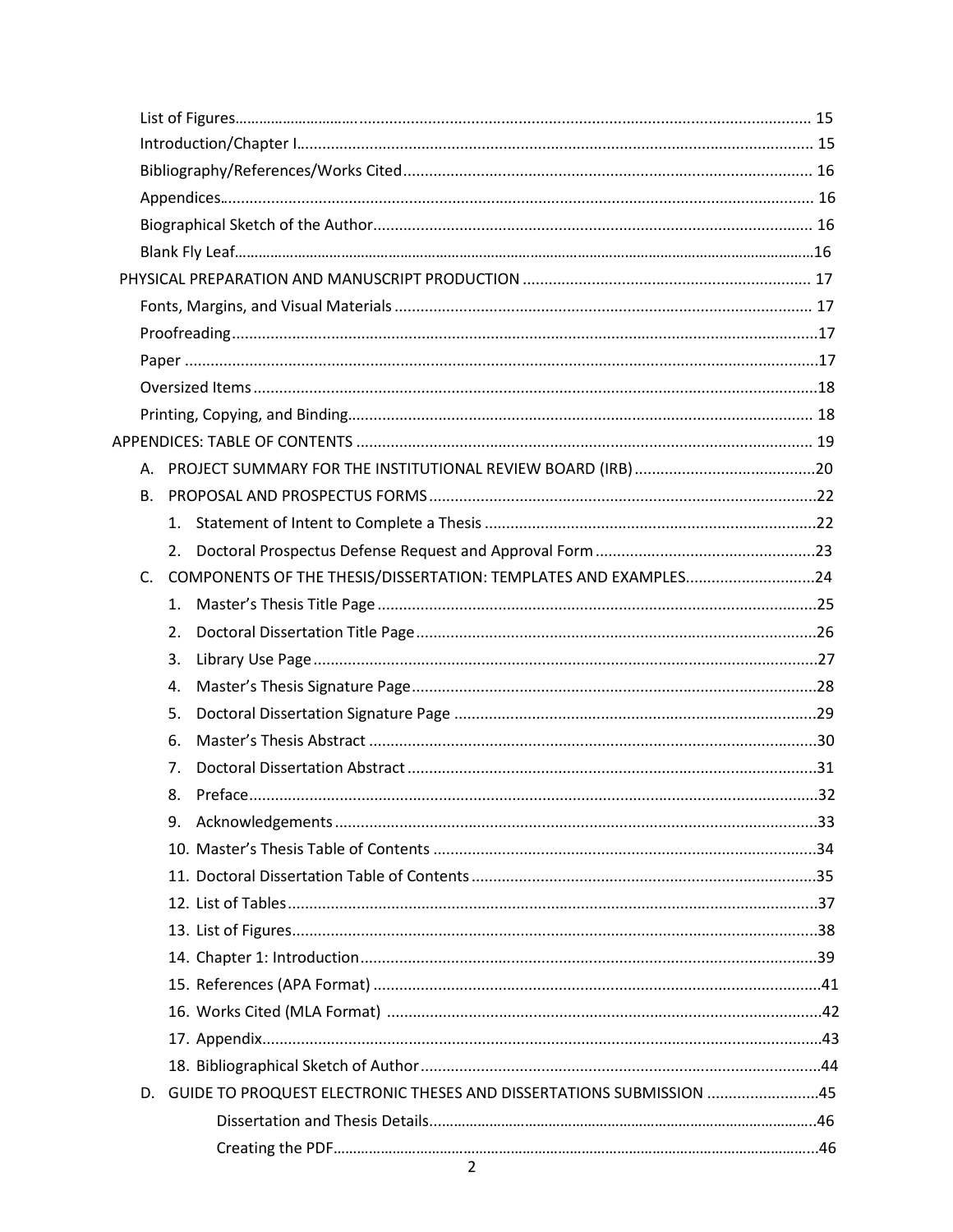| <b>B.</b> |    |                                                                     |  |
|-----------|----|---------------------------------------------------------------------|--|
|           |    |                                                                     |  |
|           | 2. |                                                                     |  |
| $C_{1}$   |    | COMPONENTS OF THE THESIS/DISSERTATION: TEMPLATES AND EXAMPLES24     |  |
|           | 1. |                                                                     |  |
|           | 2. |                                                                     |  |
|           | 3. |                                                                     |  |
|           | 4. |                                                                     |  |
|           | 5. |                                                                     |  |
|           | 6. |                                                                     |  |
|           | 7. |                                                                     |  |
|           | 8. |                                                                     |  |
|           |    |                                                                     |  |
|           |    |                                                                     |  |
|           |    |                                                                     |  |
|           |    |                                                                     |  |
|           |    |                                                                     |  |
|           |    |                                                                     |  |
|           |    |                                                                     |  |
|           |    |                                                                     |  |
|           |    |                                                                     |  |
|           |    |                                                                     |  |
| D.        |    | GUIDE TO PROQUEST ELECTRONIC THESES AND DISSERTATIONS SUBMISSION 45 |  |
|           |    |                                                                     |  |
|           |    |                                                                     |  |
|           |    | 2                                                                   |  |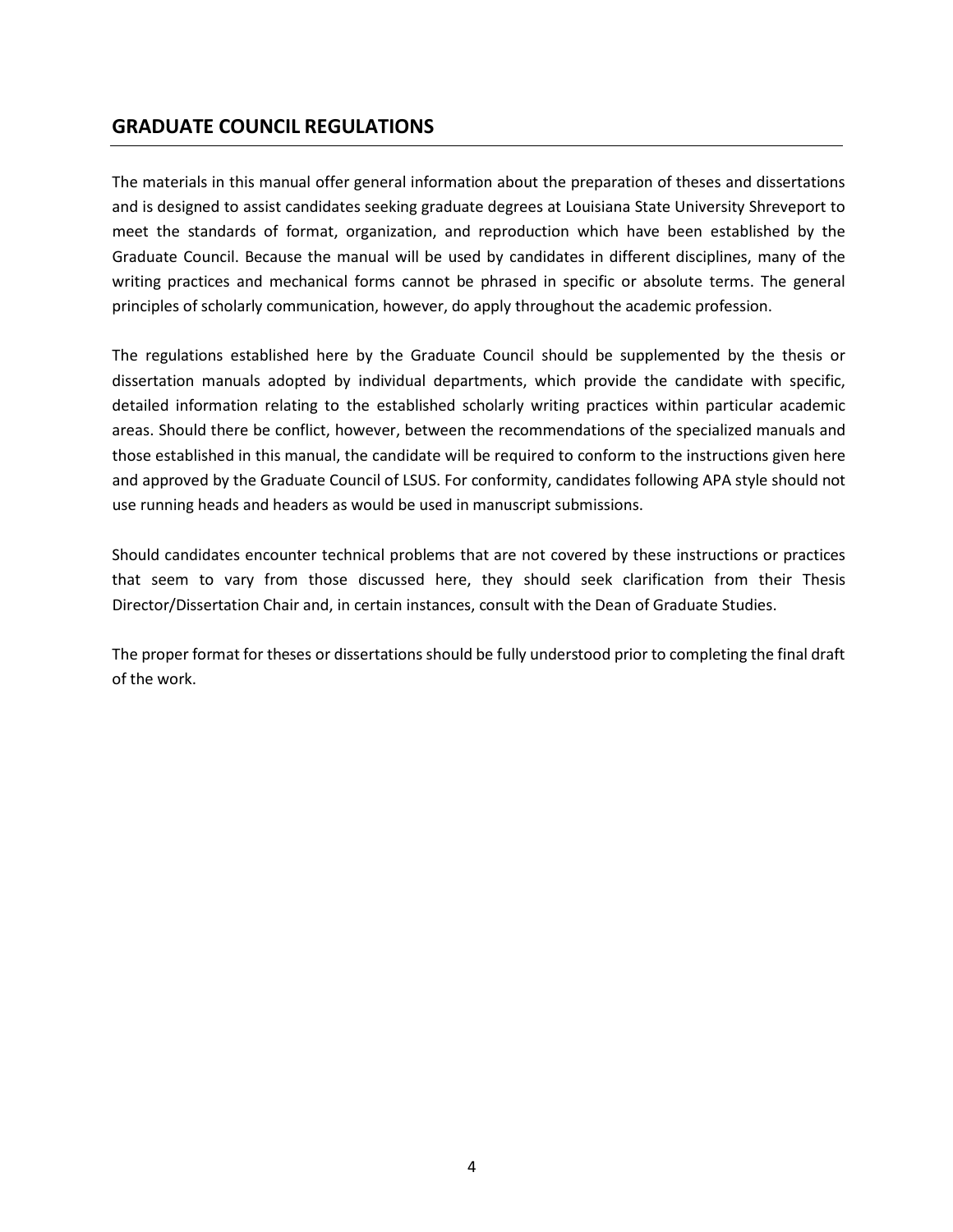# **GRADUATE COUNCIL REGULATIONS**

The materials in this manual offer general information about the preparation of theses and dissertations and is designed to assist candidates seeking graduate degrees at Louisiana State University Shreveport to meet the standards of format, organization, and reproduction which have been established by the Graduate Council. Because the manual will be used by candidates in different disciplines, many of the writing practices and mechanical forms cannot be phrased in specific or absolute terms. The general principles of scholarly communication, however, do apply throughout the academic profession.

The regulations established here by the Graduate Council should be supplemented by the thesis or dissertation manuals adopted by individual departments, which provide the candidate with specific, detailed information relating to the established scholarly writing practices within particular academic areas. Should there be conflict, however, between the recommendations of the specialized manuals and those established in this manual, the candidate will be required to conform to the instructions given here and approved by the Graduate Council of LSUS. For conformity, candidates following APA style should not use running heads and headers as would be used in manuscript submissions.

Should candidates encounter technical problems that are not covered by these instructions or practices that seem to vary from those discussed here, they should seek clarification from their Thesis Director/Dissertation Chair and, in certain instances, consult with the Dean of Graduate Studies.

The proper format for theses or dissertations should be fully understood prior to completing the final draft of the work.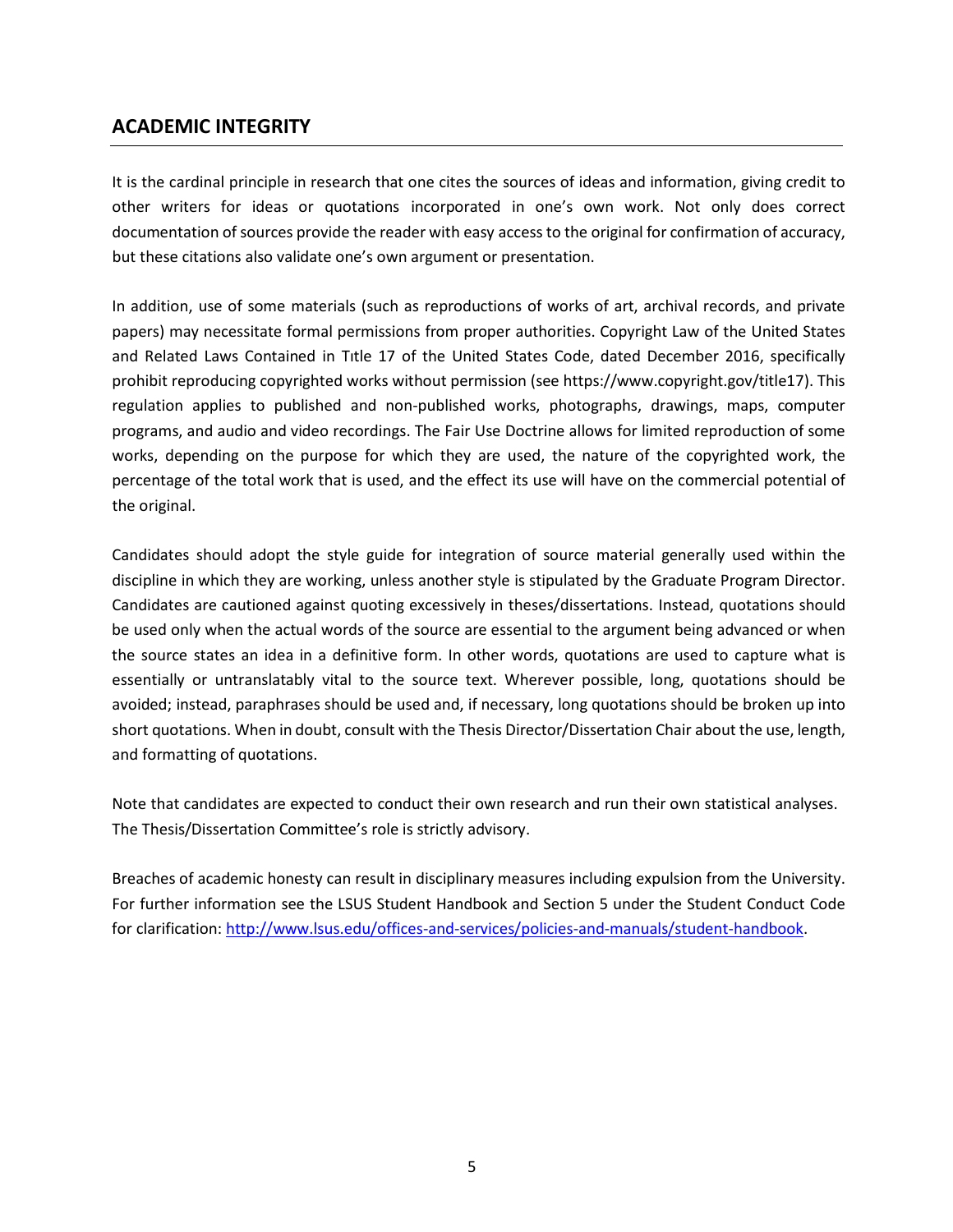# **ACADEMIC INTEGRITY**

It is the cardinal principle in research that one cites the sources of ideas and information, giving credit to other writers for ideas or quotations incorporated in one's own work. Not only does correct documentation of sources provide the reader with easy access to the original for confirmation of accuracy, but these citations also validate one's own argument or presentation.

In addition, use of some materials (such as reproductions of works of art, archival records, and private papers) may necessitate formal permissions from proper authorities. Copyright Law of the United States and Related Laws Contained in Tıtle 17 of the United States Code, dated December 2016, specifically prohibit reproducing copyrighted works without permission (see https:/[/www.copyright.gov/title17\).](http://www.copyright.gov/title17)) This regulation applies to published and non-published works, photographs, drawings, maps, computer programs, and audio and video recordings. The Fair Use Doctrine allows for limited reproduction of some works, depending on the purpose for which they are used, the nature of the copyrighted work, the percentage of the total work that is used, and the effect its use will have on the commercial potential of the original.

Candidates should adopt the style guide for integration of source material generally used within the discipline in which they are working, unless another style is stipulated by the Graduate Program Director. Candidates are cautioned against quoting excessively in theses/dissertations. Instead, quotations should be used only when the actual words of the source are essential to the argument being advanced or when the source states an idea in a definitive form. In other words, quotations are used to capture what is essentially or untranslatably vital to the source text. Wherever possible, long, quotations should be avoided; instead, paraphrases should be used and, if necessary, long quotations should be broken up into short quotations. When in doubt, consult with the Thesis Director/Dissertation Chair about the use, length, and formatting of quotations.

Note that candidates are expected to conduct their own research and run their own statistical analyses. The Thesis/Dissertation Committee's role is strictly advisory.

Breaches of academic honesty can result in disciplinary measures including expulsion from the University. For further information see the LSUS Student Handbook and Section 5 under the Student Conduct Code for clarification: [http://www.lsus.edu/offices-and-services/policies-and-manuals/student-handbook.](http://www.lsus.edu/offices-and-services/policies-and-manuals/student-handbook)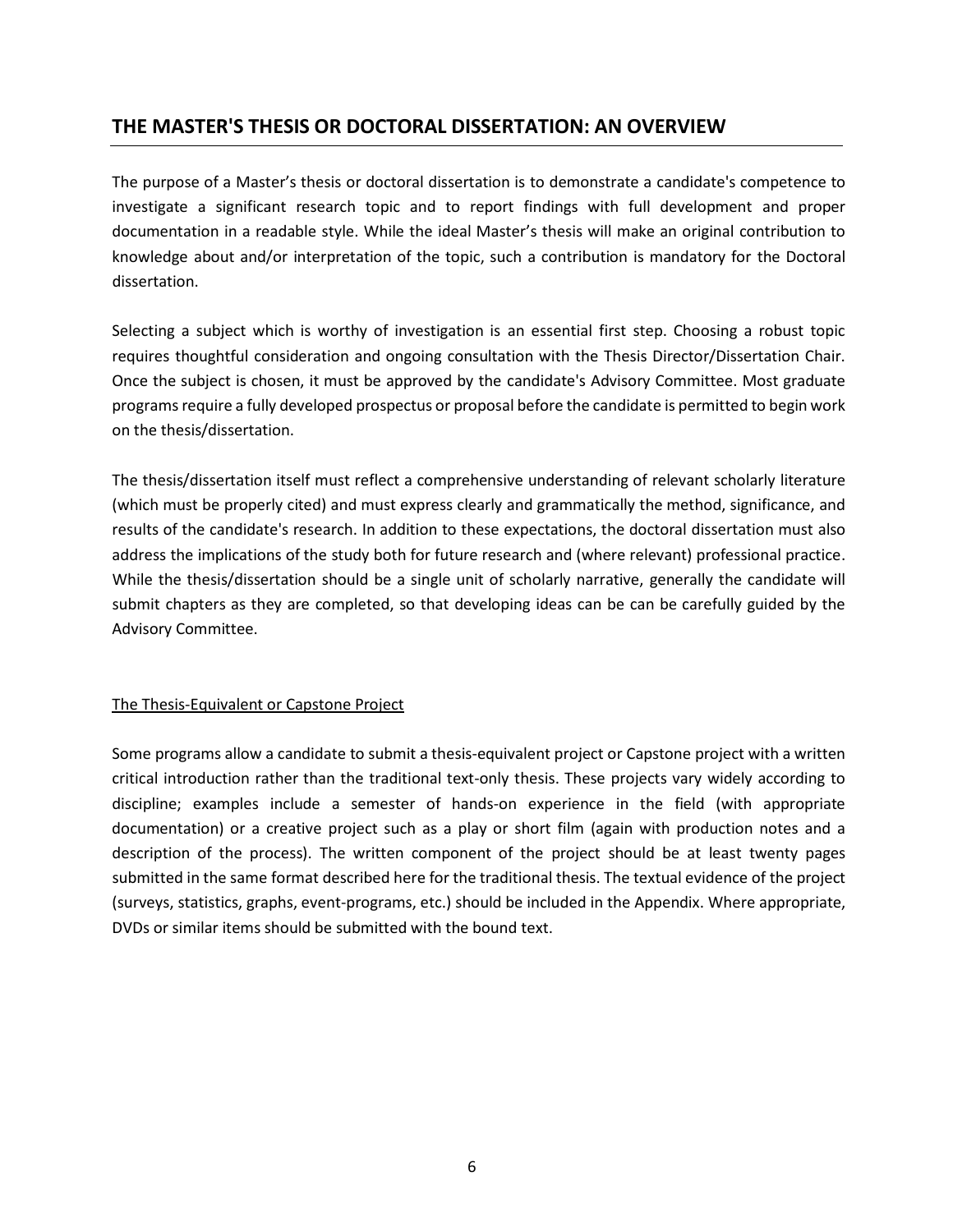# **THE MASTER'S THESIS OR DOCTORAL DISSERTATION: AN OVERVIEW**

The purpose of a Master's thesis or doctoral dissertation is to demonstrate a candidate's competence to investigate a significant research topic and to report findings with full development and proper documentation in a readable style. While the ideal Master's thesis will make an original contribution to knowledge about and/or interpretation of the topic, such a contribution is mandatory for the Doctoral dissertation.

Selecting a subject which is worthy of investigation is an essential first step. Choosing a robust topic requires thoughtful consideration and ongoing consultation with the Thesis Director/Dissertation Chair. Once the subject is chosen, it must be approved by the candidate's Advisory Committee. Most graduate programs require a fully developed prospectus or proposal before the candidate is permitted to begin work on the thesis/dissertation.

The thesis/dissertation itself must reflect a comprehensive understanding of relevant scholarly literature (which must be properly cited) and must express clearly and grammatically the method, significance, and results of the candidate's research. In addition to these expectations, the doctoral dissertation must also address the implications of the study both for future research and (where relevant) professional practice. While the thesis/dissertation should be a single unit of scholarly narrative, generally the candidate will submit chapters as they are completed, so that developing ideas can be can be carefully guided by the Advisory Committee.

## The Thesis-Equivalent or Capstone Project

Some programs allow a candidate to submit a thesis-equivalent project or Capstone project with a written critical introduction rather than the traditional text-only thesis. These projects vary widely according to discipline; examples include a semester of hands-on experience in the field (with appropriate documentation) or a creative project such as a play or short film (again with production notes and a description of the process). The written component of the project should be at least twenty pages submitted in the same format described here for the traditional thesis. The textual evidence of the project (surveys, statistics, graphs, event-programs, etc.) should be included in the Appendix. Where appropriate, DVDs or similar items should be submitted with the bound text.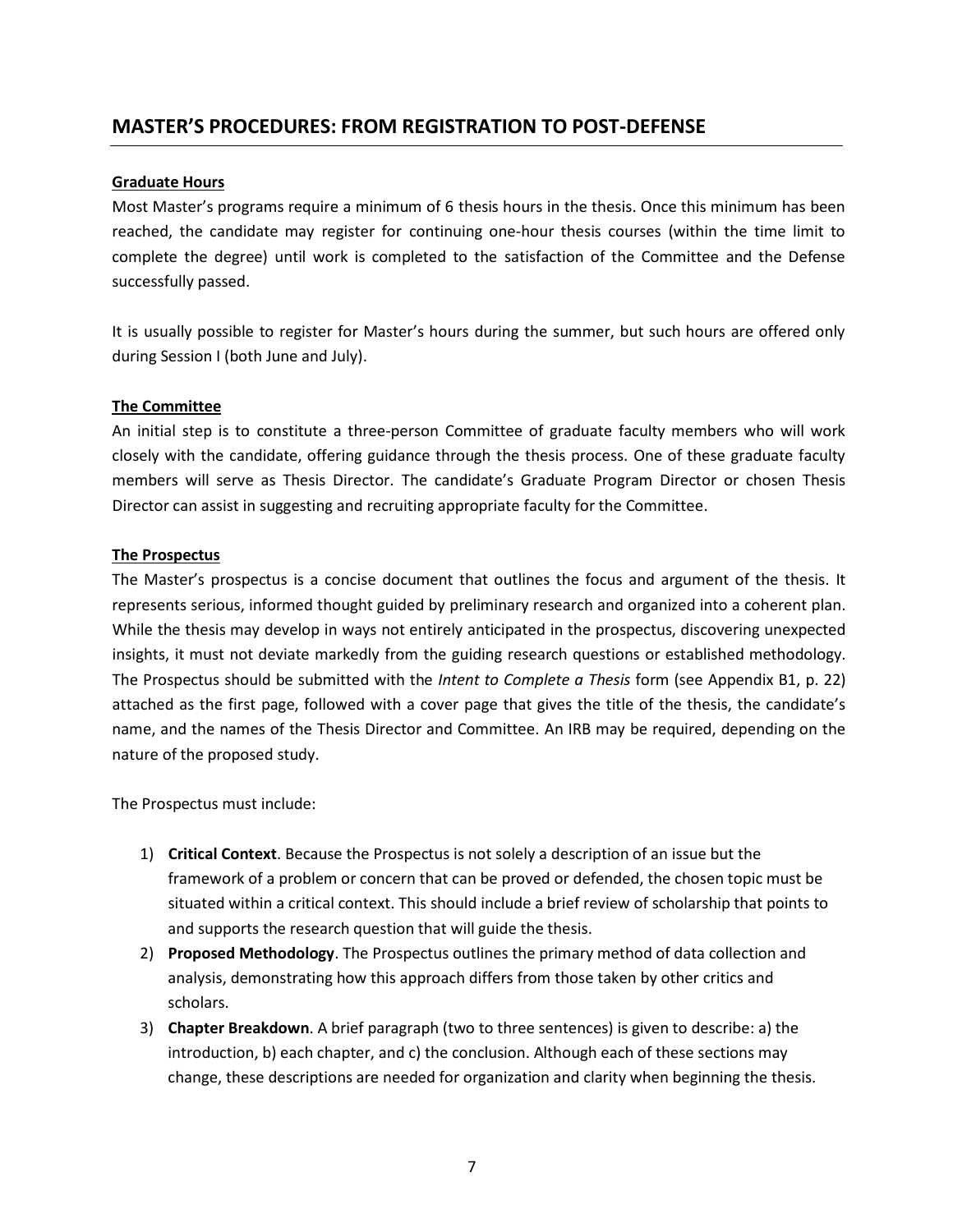# **MASTER'S PROCEDURES: FROM REGISTRATION TO POST-DEFENSE**

## **Graduate Hours**

Most Master's programs require a minimum of 6 thesis hours in the thesis. Once this minimum has been reached, the candidate may register for continuing one-hour thesis courses (within the time limit to complete the degree) until work is completed to the satisfaction of the Committee and the Defense successfully passed.

It is usually possible to register for Master's hours during the summer, but such hours are offered only during Session I (both June and July).

## **The Committee**

An initial step is to constitute a three-person Committee of graduate faculty members who will work closely with the candidate, offering guidance through the thesis process. One of these graduate faculty members will serve as Thesis Director. The candidate's Graduate Program Director or chosen Thesis Director can assist in suggesting and recruiting appropriate faculty for the Committee.

## **The Prospectus**

The Master's prospectus is a concise document that outlines the focus and argument of the thesis. It represents serious, informed thought guided by preliminary research and organized into a coherent plan. While the thesis may develop in ways not entirely anticipated in the prospectus, discovering unexpected insights, it must not deviate markedly from the guiding research questions or established methodology. The Prospectus should be submitted with the *Intent to Complete a Thesis* form (see Appendix B1, p. 22) attached as the first page, followed with a cover page that gives the title of the thesis, the candidate's name, and the names of the Thesis Director and Committee. An IRB may be required, depending on the nature of the proposed study.

The Prospectus must include:

- 1) **Critical Context**. Because the Prospectus is not solely a description of an issue but the framework of a problem or concern that can be proved or defended, the chosen topic must be situated within a critical context. This should include a brief review of scholarship that points to and supports the research question that will guide the thesis.
- 2) **Proposed Methodology**. The Prospectus outlines the primary method of data collection and analysis, demonstrating how this approach differs from those taken by other critics and scholars.
- 3) **Chapter Breakdown**. A brief paragraph (two to three sentences) is given to describe: a) the introduction, b) each chapter, and c) the conclusion. Although each of these sections may change, these descriptions are needed for organization and clarity when beginning the thesis.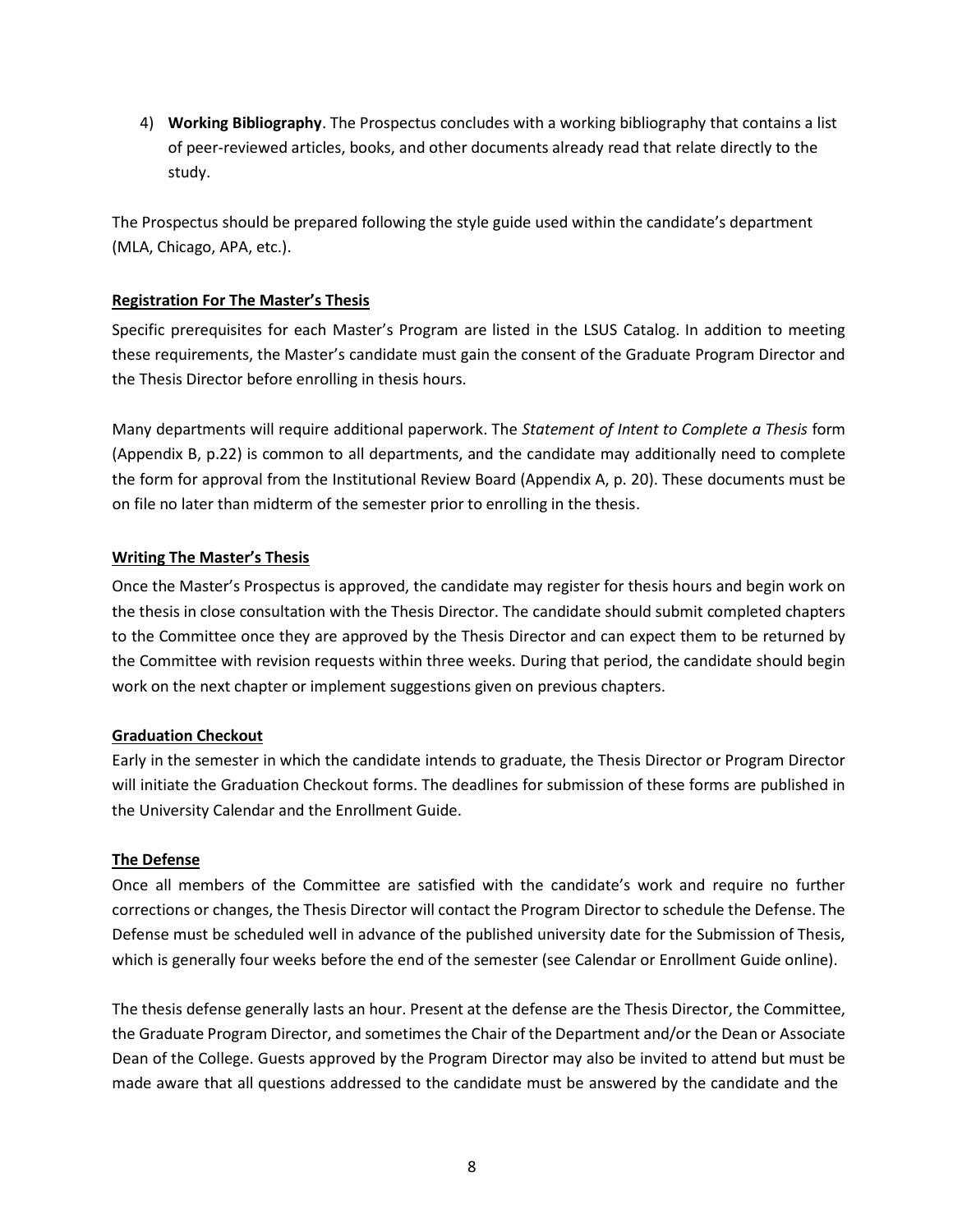4) **Working Bibliography**. The Prospectus concludes with a working bibliography that contains a list of peer-reviewed articles, books, and other documents already read that relate directly to the study.

The Prospectus should be prepared following the style guide used within the candidate's department (MLA, Chicago, APA, etc.).

# **Registration For The Master's Thesis**

Specific prerequisites for each Master's Program are listed in the LSUS Catalog. In addition to meeting these requirements, the Master's candidate must gain the consent of the Graduate Program Director and the Thesis Director before enrolling in thesis hours.

Many departments will require additional paperwork. The *Statement of Intent to Complete a Thesis* form (Appendix B, p.22) is common to all departments, and the candidate may additionally need to complete the form for approval from the Institutional Review Board (Appendix A, p. 20). These documents must be on file no later than midterm of the semester prior to enrolling in the thesis.

# **Writing The Master's Thesis**

Once the Master's Prospectus is approved, the candidate may register for thesis hours and begin work on the thesis in close consultation with the Thesis Director. The candidate should submit completed chapters to the Committee once they are approved by the Thesis Director and can expect them to be returned by the Committee with revision requests within three weeks. During that period, the candidate should begin work on the next chapter or implement suggestions given on previous chapters.

## **Graduation Checkout**

Early in the semester in which the candidate intends to graduate, the Thesis Director or Program Director will initiate the Graduation Checkout forms. The deadlines for submission of these forms are published in the University Calendar and the Enrollment Guide.

## **The Defense**

Once all members of the Committee are satisfied with the candidate's work and require no further corrections or changes, the Thesis Director will contact the Program Director to schedule the Defense. The Defense must be scheduled well in advance of the published university date for the Submission of Thesis, which is generally four weeks before the end of the semester (see Calendar or Enrollment Guide online).

The thesis defense generally lasts an hour. Present at the defense are the Thesis Director, the Committee, the Graduate Program Director, and sometimes the Chair of the Department and/or the Dean or Associate Dean of the College. Guests approved by the Program Director may also be invited to attend but must be made aware that all questions addressed to the candidate must be answered by the candidate and the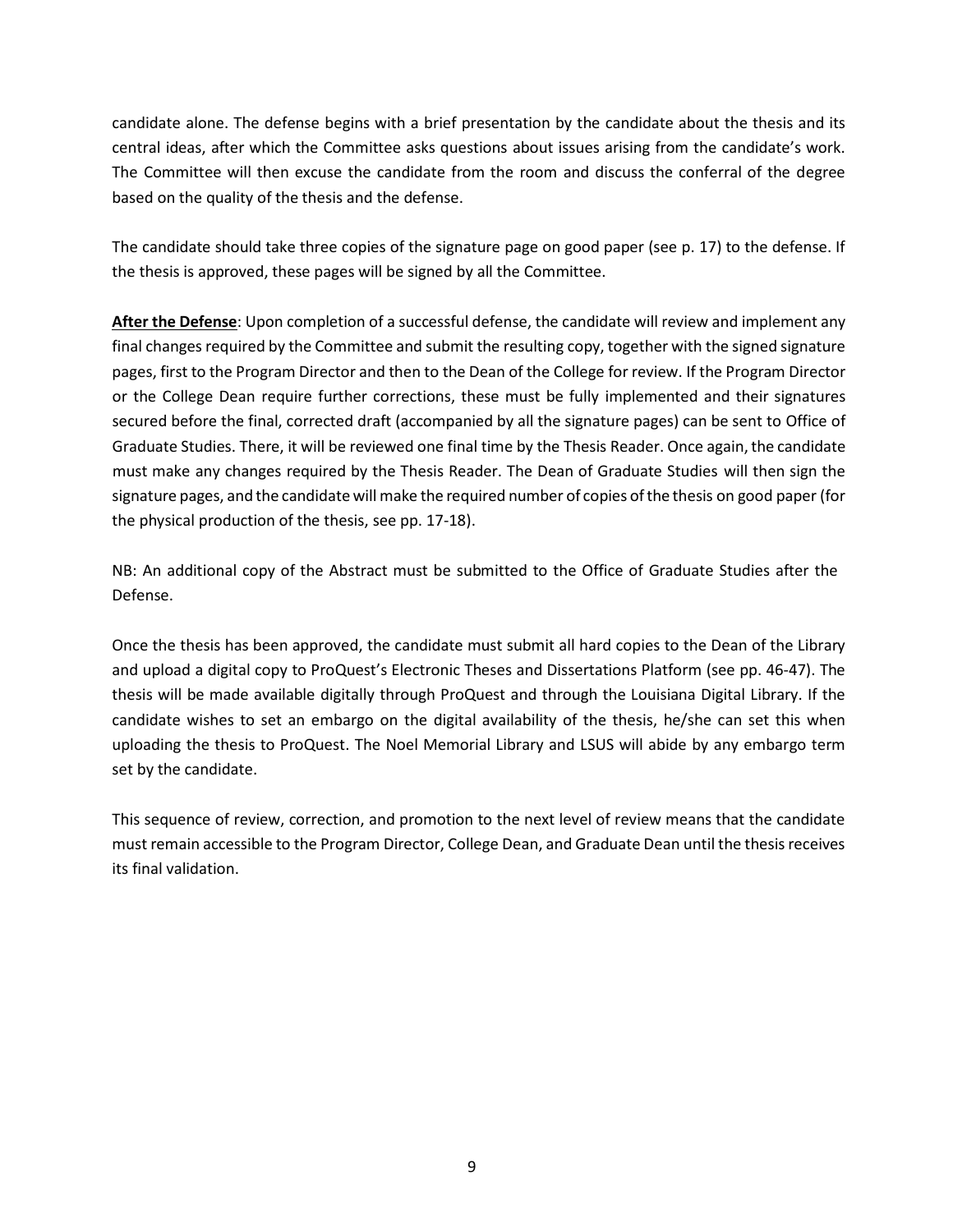candidate alone. The defense begins with a brief presentation by the candidate about the thesis and its central ideas, after which the Committee asks questions about issues arising from the candidate's work. The Committee will then excuse the candidate from the room and discuss the conferral of the degree based on the quality of the thesis and the defense.

The candidate should take three copies of the signature page on good paper (see p. 17) to the defense. If the thesis is approved, these pages will be signed by all the Committee.

**After the Defense**: Upon completion of a successful defense, the candidate will review and implement any final changes required by the Committee and submit the resulting copy, together with the signed signature pages, first to the Program Director and then to the Dean of the College for review. If the Program Director or the College Dean require further corrections, these must be fully implemented and their signatures secured before the final, corrected draft (accompanied by all the signature pages) can be sent to Office of Graduate Studies. There, it will be reviewed one final time by the Thesis Reader. Once again, the candidate must make any changes required by the Thesis Reader. The Dean of Graduate Studies will then sign the signature pages, and the candidate will make the required number of copies ofthe thesis on good paper (for the physical production of the thesis, see pp. 17-18).

NB: An additional copy of the Abstract must be submitted to the Office of Graduate Studies after the Defense.

Once the thesis has been approved, the candidate must submit all hard copies to the Dean of the Library and upload a digital copy to ProQuest's Electronic Theses and Dissertations Platform (see pp. 46-47). The thesis will be made available digitally through ProQuest and through the Louisiana Digital Library. If the candidate wishes to set an embargo on the digital availability of the thesis, he/she can set this when uploading the thesis to ProQuest. The Noel Memorial Library and LSUS will abide by any embargo term set by the candidate.

This sequence of review, correction, and promotion to the next level of review means that the candidate must remain accessible to the Program Director, College Dean, and Graduate Dean until the thesis receives its final validation.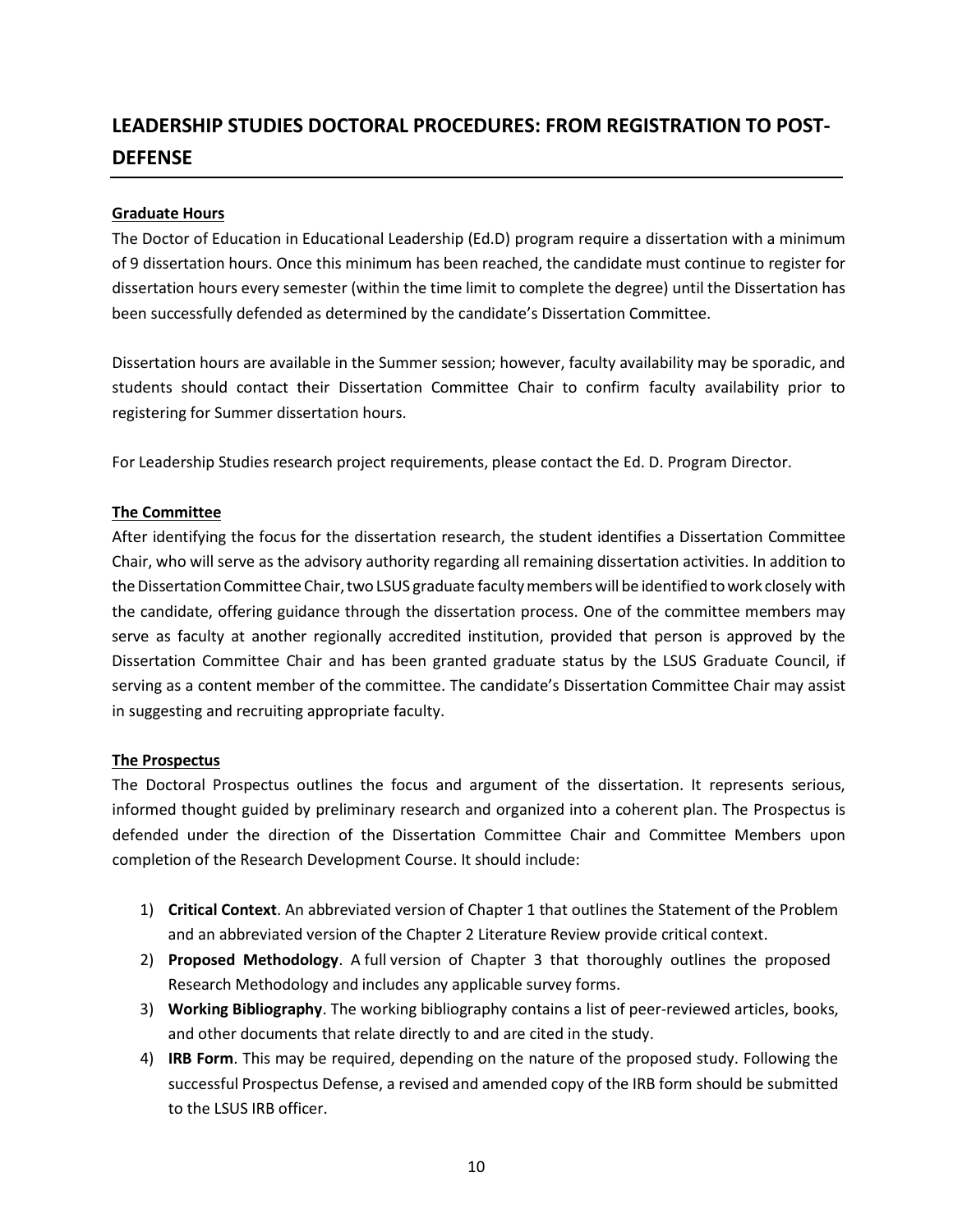# **LEADERSHIP STUDIES DOCTORAL PROCEDURES: FROM REGISTRATION TO POST-DEFENSE**

# **Graduate Hours**

The Doctor of Education in Educational Leadership (Ed.D) program require a dissertation with a minimum of 9 dissertation hours. Once this minimum has been reached, the candidate must continue to register for dissertation hours every semester (within the time limit to complete the degree) until the Dissertation has been successfully defended as determined by the candidate's Dissertation Committee.

Dissertation hours are available in the Summer session; however, faculty availability may be sporadic, and students should contact their Dissertation Committee Chair to confirm faculty availability prior to registering for Summer dissertation hours.

For Leadership Studies research project requirements, please contact the Ed. D. Program Director.

# **The Committee**

After identifying the focus for the dissertation research, the student identifies a Dissertation Committee Chair, who will serve as the advisory authority regarding all remaining dissertation activities. In addition to the Dissertation Committee Chair, two LSUS graduate faculty members will be identified to work closely with the candidate, offering guidance through the dissertation process. One of the committee members may serve as faculty at another regionally accredited institution, provided that person is approved by the Dissertation Committee Chair and has been granted graduate status by the LSUS Graduate Council, if serving as a content member of the committee. The candidate's Dissertation Committee Chair may assist in suggesting and recruiting appropriate faculty.

## **The Prospectus**

The Doctoral Prospectus outlines the focus and argument of the dissertation. It represents serious, informed thought guided by preliminary research and organized into a coherent plan. The Prospectus is defended under the direction of the Dissertation Committee Chair and Committee Members upon completion of the Research Development Course. It should include:

- 1) **Critical Context**. An abbreviated version of Chapter 1 that outlines the Statement of the Problem and an abbreviated version of the Chapter 2 Literature Review provide critical context.
- 2) **Proposed Methodology**. A full version of Chapter 3 that thoroughly outlines the proposed Research Methodology and includes any applicable survey forms.
- 3) **Working Bibliography**. The working bibliography contains a list of peer-reviewed articles, books, and other documents that relate directly to and are cited in the study.
- 4) **IRB Form**. This may be required, depending on the nature of the proposed study. Following the successful Prospectus Defense, a revised and amended copy of the IRB form should be submitted to the LSUS IRB officer.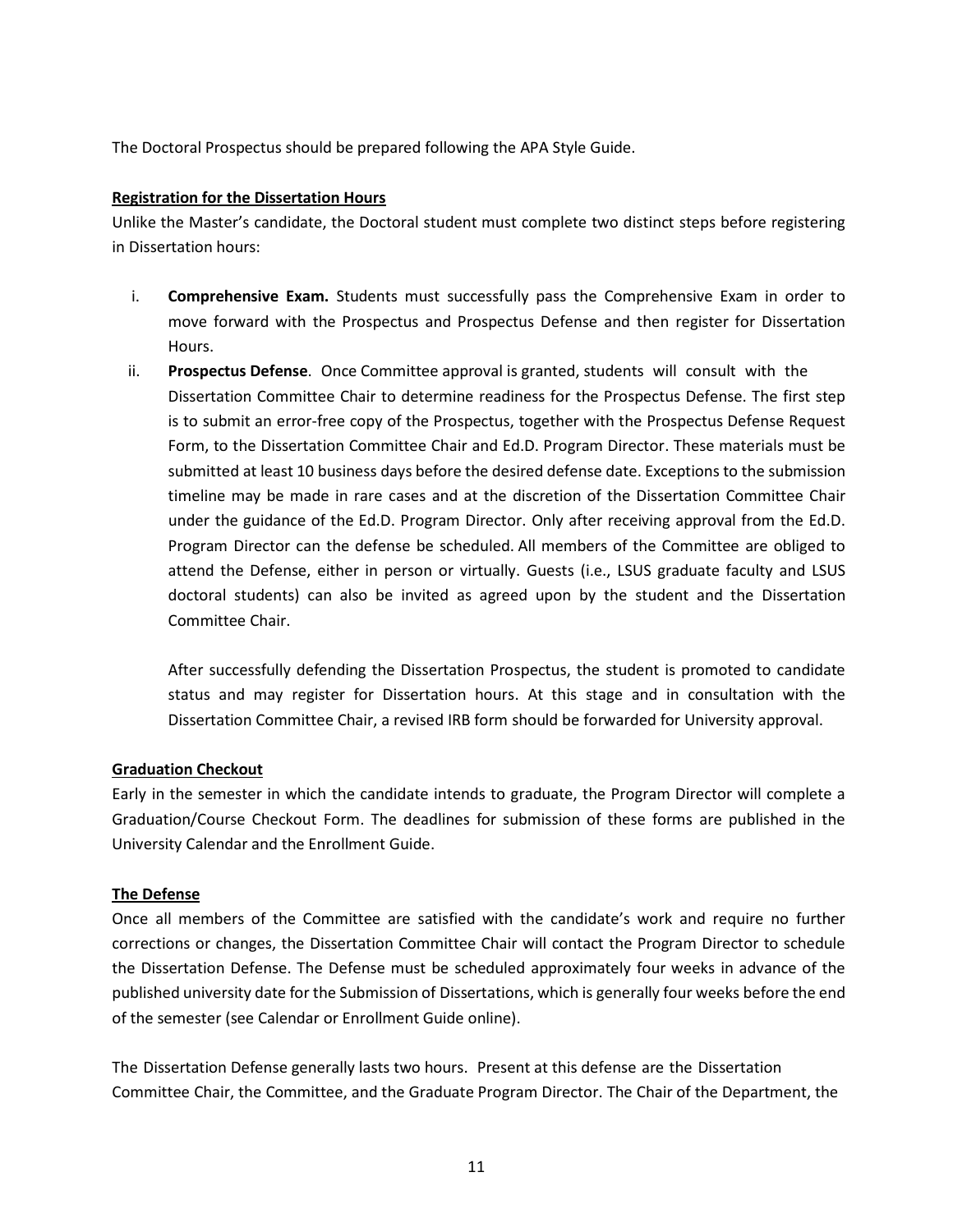The Doctoral Prospectus should be prepared following the APA Style Guide.

# **Registration for the Dissertation Hours**

Unlike the Master's candidate, the Doctoral student must complete two distinct steps before registering in Dissertation hours:

- i. **Comprehensive Exam.** Students must successfully pass the Comprehensive Exam in order to move forward with the Prospectus and Prospectus Defense and then register for Dissertation Hours.
- ii. **Prospectus Defense**. Once Committee approval is granted, students will consult with the Dissertation Committee Chair to determine readiness for the Prospectus Defense. The first step is to submit an error-free copy of the Prospectus, together with the Prospectus Defense Request Form, to the Dissertation Committee Chair and Ed.D. Program Director. These materials must be submitted at least 10 business days before the desired defense date. Exceptions to the submission timeline may be made in rare cases and at the discretion of the Dissertation Committee Chair under the guidance of the Ed.D. Program Director. Only after receiving approval from the Ed.D. Program Director can the defense be scheduled. All members of the Committee are obliged to attend the Defense, either in person or virtually. Guests (i.e., LSUS graduate faculty and LSUS doctoral students) can also be invited as agreed upon by the student and the Dissertation Committee Chair.

After successfully defending the Dissertation Prospectus, the student is promoted to candidate status and may register for Dissertation hours. At this stage and in consultation with the Dissertation Committee Chair, a revised IRB form should be forwarded for University approval.

# **Graduation Checkout**

Early in the semester in which the candidate intends to graduate, the Program Director will complete a Graduation/Course Checkout Form. The deadlines for submission of these forms are published in the University Calendar and the Enrollment Guide.

## **The Defense**

Once all members of the Committee are satisfied with the candidate's work and require no further corrections or changes, the Dissertation Committee Chair will contact the Program Director to schedule the Dissertation Defense. The Defense must be scheduled approximately four weeks in advance of the published university date for the Submission of Dissertations, which is generally four weeks before the end of the semester (see Calendar or Enrollment Guide online).

The Dissertation Defense generally lasts two hours. Present at this defense are the Dissertation Committee Chair, the Committee, and the Graduate Program Director. The Chair of the Department, the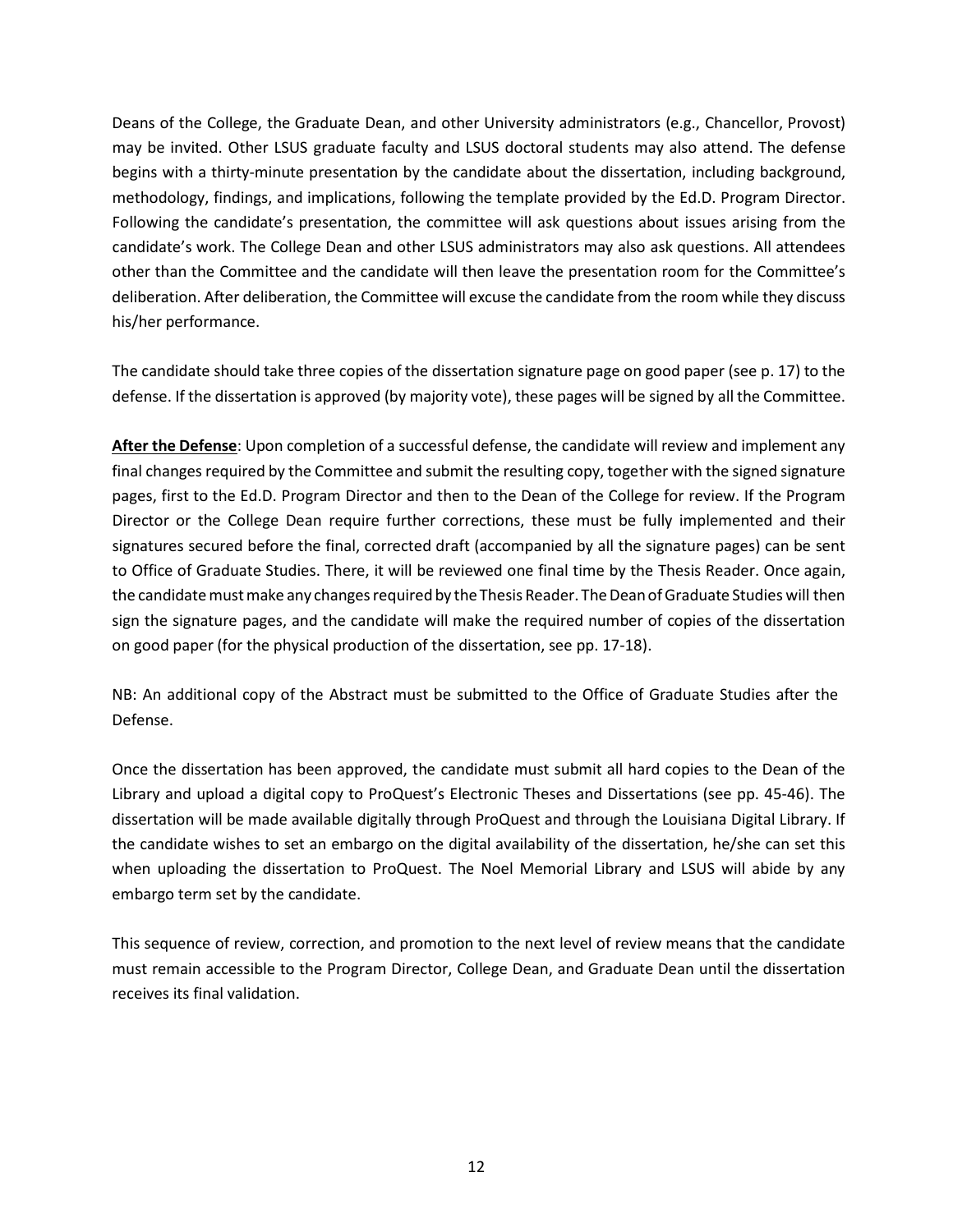Deans of the College, the Graduate Dean, and other University administrators (e.g., Chancellor, Provost) may be invited. Other LSUS graduate faculty and LSUS doctoral students may also attend. The defense begins with a thirty-minute presentation by the candidate about the dissertation, including background, methodology, findings, and implications, following the template provided by the Ed.D. Program Director. Following the candidate's presentation, the committee will ask questions about issues arising from the candidate's work. The College Dean and other LSUS administrators may also ask questions. All attendees other than the Committee and the candidate will then leave the presentation room for the Committee's deliberation. After deliberation, the Committee will excuse the candidate from the room while they discuss his/her performance.

The candidate should take three copies of the dissertation signature page on good paper (see p. 17) to the defense. If the dissertation is approved (by majority vote), these pages will be signed by all the Committee.

**After the Defense**: Upon completion of a successful defense, the candidate will review and implement any final changes required by the Committee and submit the resulting copy, together with the signed signature pages, first to the Ed.D. Program Director and then to the Dean of the College for review. If the Program Director or the College Dean require further corrections, these must be fully implemented and their signatures secured before the final, corrected draft (accompanied by all the signature pages) can be sent to Office of Graduate Studies. There, it will be reviewed one final time by the Thesis Reader. Once again, the candidate must make any changes required by the Thesis Reader. The Dean of Graduate Studies will then sign the signature pages, and the candidate will make the required number of copies of the dissertation on good paper (for the physical production of the dissertation, see pp. 17-18).

NB: An additional copy of the Abstract must be submitted to the Office of Graduate Studies after the Defense.

Once the dissertation has been approved, the candidate must submit all hard copies to the Dean of the Library and upload a digital copy to ProQuest's Electronic Theses and Dissertations (see pp. 45-46). The dissertation will be made available digitally through ProQuest and through the Louisiana Digital Library. If the candidate wishes to set an embargo on the digital availability of the dissertation, he/she can set this when uploading the dissertation to ProQuest. The Noel Memorial Library and LSUS will abide by any embargo term set by the candidate.

This sequence of review, correction, and promotion to the next level of review means that the candidate must remain accessible to the Program Director, College Dean, and Graduate Dean until the dissertation receives its final validation.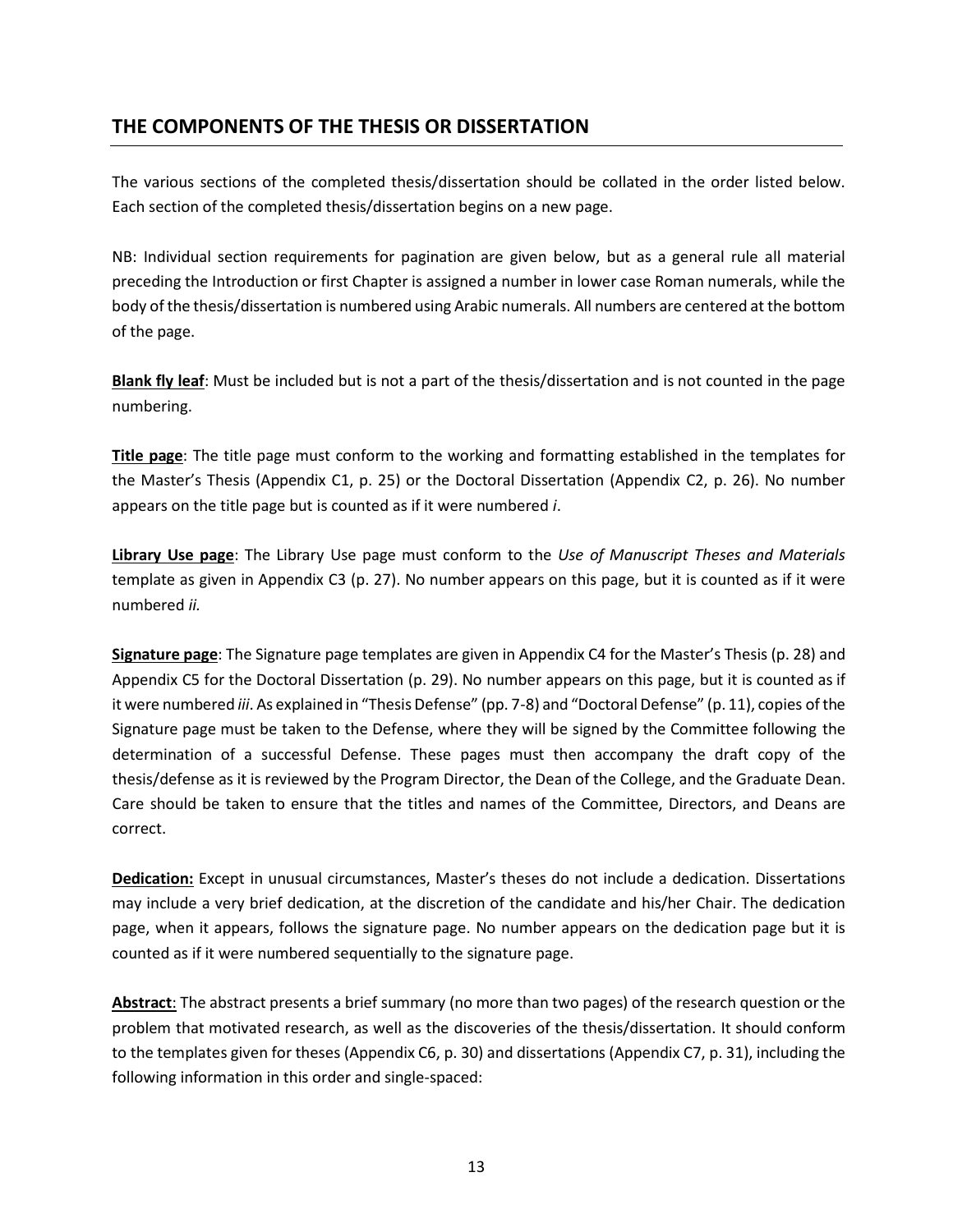# **THE COMPONENTS OF THE THESIS OR DISSERTATION**

The various sections of the completed thesis/dissertation should be collated in the order listed below. Each section of the completed thesis/dissertation begins on a new page.

NB: Individual section requirements for pagination are given below, but as a general rule all material preceding the Introduction or first Chapter is assigned a number in lower case Roman numerals, while the body of the thesis/dissertation is numbered using Arabic numerals. All numbers are centered at the bottom of the page.

**Blank fly leaf**: Must be included but is not a part of the thesis/dissertation and is not counted in the page numbering.

**Title page**: The title page must conform to the working and formatting established in the templates for the Master's Thesis (Appendix C1, p. 25) or the Doctoral Dissertation (Appendix C2, p. 26). No number appears on the title page but is counted as if it were numbered *i*.

**Library Use page**: The Library Use page must conform to the *Use of Manuscript Theses and Materials*  template as given in Appendix C3 (p. 27). No number appears on this page, but it is counted as if it were numbered *ii.*

**Signature page**: The Signature page templates are given in Appendix C4 for the Master's Thesis (p. 28) and Appendix C5 for the Doctoral Dissertation (p. 29). No number appears on this page, but it is counted as if it were numbered *iii*. As explained in "Thesis Defense" (pp. 7-8) and "Doctoral Defense" (p. 11), copies of the Signature page must be taken to the Defense, where they will be signed by the Committee following the determination of a successful Defense. These pages must then accompany the draft copy of the thesis/defense as it is reviewed by the Program Director, the Dean of the College, and the Graduate Dean. Care should be taken to ensure that the titles and names of the Committee, Directors, and Deans are correct.

**Dedication:** Except in unusual circumstances, Master's theses do not include a dedication. Dissertations may include a very brief dedication, at the discretion of the candidate and his/her Chair. The dedication page, when it appears, follows the signature page. No number appears on the dedication page but it is counted as if it were numbered sequentially to the signature page.

**Abstract**: The abstract presents a brief summary (no more than two pages) of the research question or the problem that motivated research, as well as the discoveries of the thesis/dissertation. It should conform to the templates given for theses (Appendix C6, p. 30) and dissertations (Appendix C7, p. 31), including the following information in this order and single-spaced: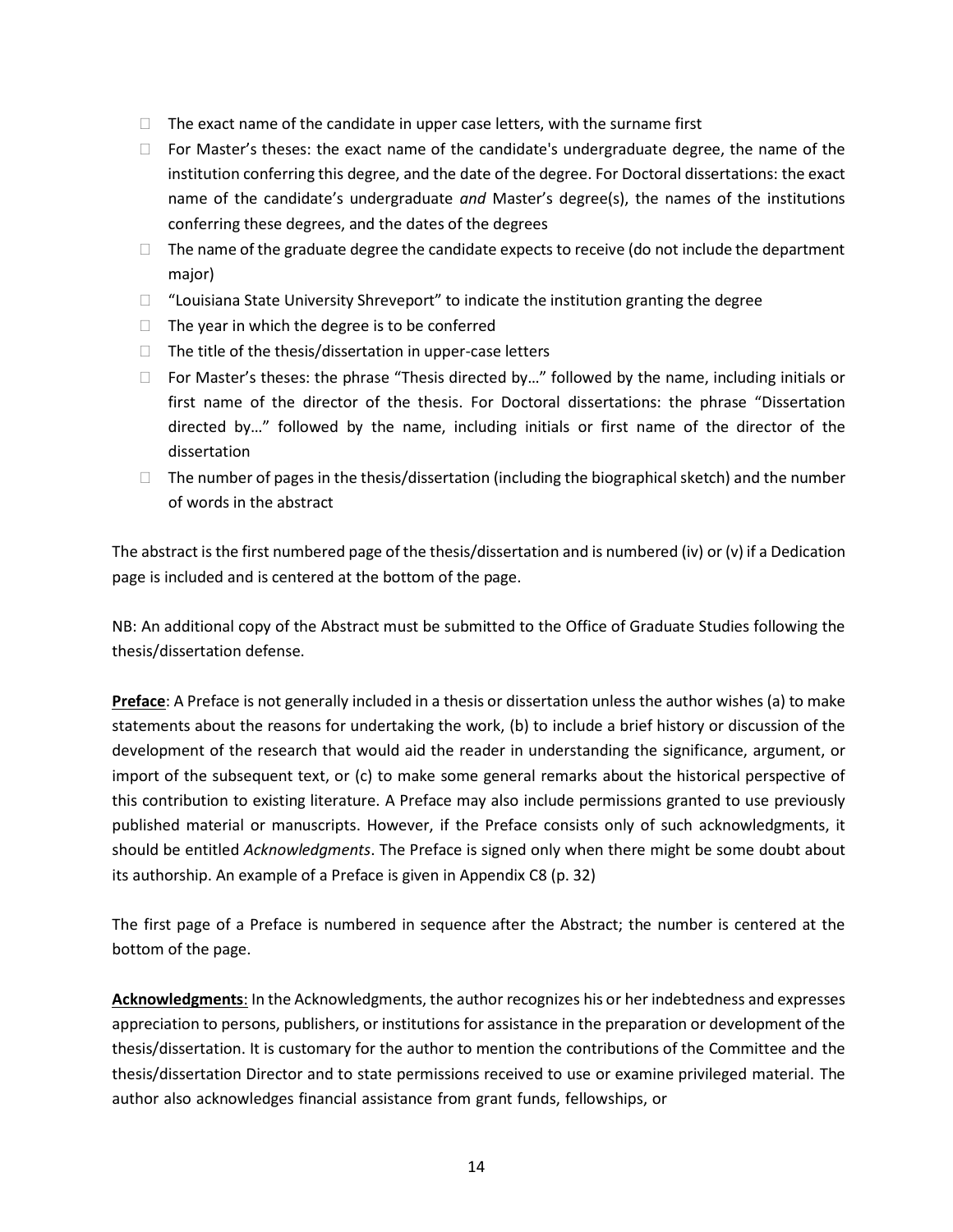- $\Box$  The exact name of the candidate in upper case letters, with the surname first
- $\Box$  For Master's theses: the exact name of the candidate's undergraduate degree, the name of the institution conferring this degree, and the date of the degree. For Doctoral dissertations: the exact name of the candidate's undergraduate *and* Master's degree(s), the names of the institutions conferring these degrees, and the dates of the degrees
- $\Box$  The name of the graduate degree the candidate expects to receive (do not include the department major)
- $\Box$  "Louisiana State University Shreveport" to indicate the institution granting the degree
- $\Box$  The year in which the degree is to be conferred
- $\Box$  The title of the thesis/dissertation in upper-case letters
- $\Box$  For Master's theses: the phrase "Thesis directed by..." followed by the name, including initials or first name of the director of the thesis. For Doctoral dissertations: the phrase "Dissertation directed by…" followed by the name, including initials or first name of the director of the dissertation
- $\Box$  The number of pages in the thesis/dissertation (including the biographical sketch) and the number of words in the abstract

The abstract is the first numbered page of the thesis/dissertation and is numbered (iv) or (v) if a Dedication page is included and is centered at the bottom of the page.

NB: An additional copy of the Abstract must be submitted to the Office of Graduate Studies following the thesis/dissertation defense.

**Preface**: A Preface is not generally included in a thesis or dissertation unless the author wishes (a) to make statements about the reasons for undertaking the work, (b) to include a brief history or discussion of the development of the research that would aid the reader in understanding the significance, argument, or import of the subsequent text, or (c) to make some general remarks about the historical perspective of this contribution to existing literature. A Preface may also include permissions granted to use previously published material or manuscripts. However, if the Preface consists only of such acknowledgments, it should be entitled *Acknowledgments*. The Preface is signed only when there might be some doubt about its authorship. An example of a Preface is given in Appendix C8 (p. 32)

The first page of a Preface is numbered in sequence after the Abstract; the number is centered at the bottom of the page.

**Acknowledgments**: In the Acknowledgments, the author recognizes his or her indebtedness and expresses appreciation to persons, publishers, or institutions for assistance in the preparation or development of the thesis/dissertation. It is customary for the author to mention the contributions of the Committee and the thesis/dissertation Director and to state permissions received to use or examine privileged material. The author also acknowledges financial assistance from grant funds, fellowships, or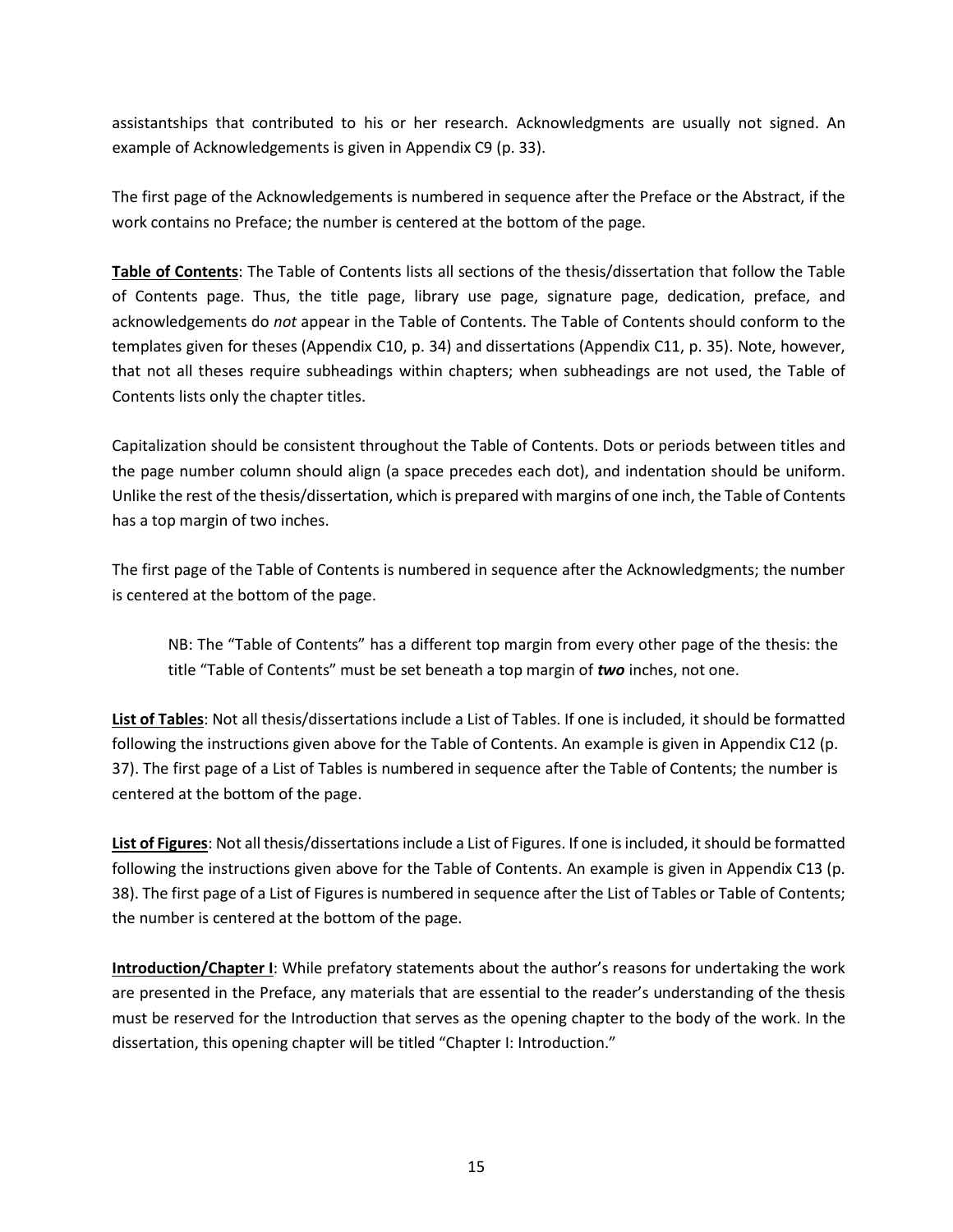assistantships that contributed to his or her research. Acknowledgments are usually not signed. An example of Acknowledgements is given in Appendix C9 (p. 33).

The first page of the Acknowledgements is numbered in sequence after the Preface or the Abstract, if the work contains no Preface; the number is centered at the bottom of the page.

**Table of Contents**: The Table of Contents lists all sections of the thesis/dissertation that follow the Table of Contents page. Thus, the title page, library use page, signature page, dedication, preface, and acknowledgements do *not* appear in the Table of Contents. The Table of Contents should conform to the templates given for theses (Appendix C10, p. 34) and dissertations (Appendix C11, p. 35). Note, however, that not all theses require subheadings within chapters; when subheadings are not used, the Table of Contents lists only the chapter titles.

Capitalization should be consistent throughout the Table of Contents. Dots or periods between titles and the page number column should align (a space precedes each dot), and indentation should be uniform. Unlike the rest of the thesis/dissertation, which is prepared with margins of one inch, the Table of Contents has a top margin of two inches.

The first page of the Table of Contents is numbered in sequence after the Acknowledgments; the number is centered at the bottom of the page.

NB: The "Table of Contents" has a different top margin from every other page of the thesis: the title "Table of Contents" must be set beneath a top margin of *two* inches, not one.

**List of Tables**: Not all thesis/dissertations include a List of Tables. If one is included, it should be formatted following the instructions given above for the Table of Contents. An example is given in Appendix C12 (p. 37). The first page of a List of Tables is numbered in sequence after the Table of Contents; the number is centered at the bottom of the page.

**List of Figures**: Not all thesis/dissertations include a List of Figures. If one is included, it should be formatted following the instructions given above for the Table of Contents. An example is given in Appendix C13 (p. 38). The first page of a List of Figuresis numbered in sequence after the List of Tables or Table of Contents; the number is centered at the bottom of the page.

**Introduction/Chapter I**: While prefatory statements about the author's reasons for undertaking the work are presented in the Preface, any materials that are essential to the reader's understanding of the thesis must be reserved for the Introduction that serves as the opening chapter to the body of the work. In the dissertation, this opening chapter will be titled "Chapter I: Introduction."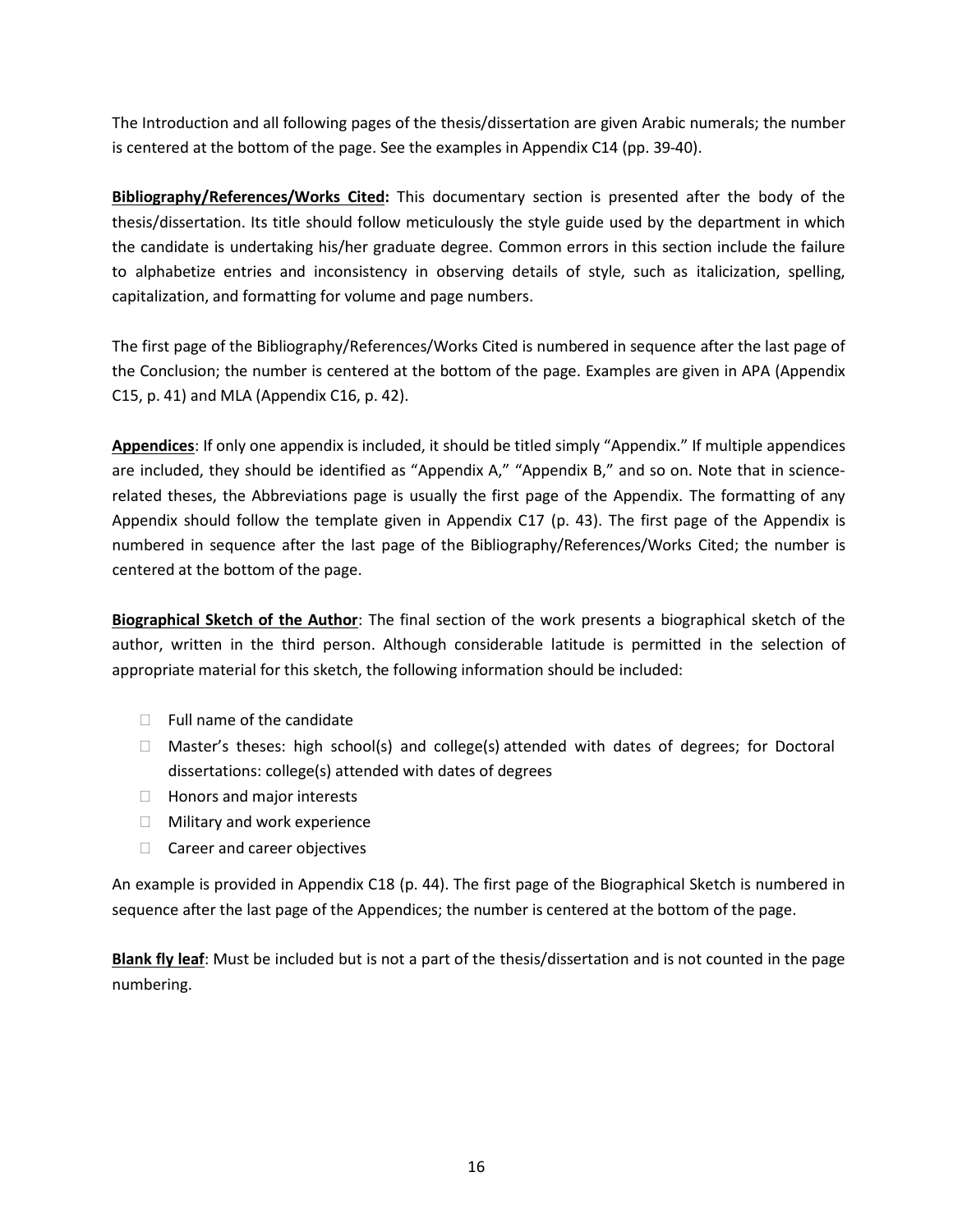The Introduction and all following pages of the thesis/dissertation are given Arabic numerals; the number is centered at the bottom of the page. See the examples in Appendix C14 (pp. 39-40).

**Bibliography/References/Works Cited:** This documentary section is presented after the body of the thesis/dissertation. Its title should follow meticulously the style guide used by the department in which the candidate is undertaking his/her graduate degree. Common errors in this section include the failure to alphabetize entries and inconsistency in observing details of style, such as italicization, spelling, capitalization, and formatting for volume and page numbers.

The first page of the Bibliography/References/Works Cited is numbered in sequence after the last page of the Conclusion; the number is centered at the bottom of the page. Examples are given in APA (Appendix C15, p. 41) and MLA (Appendix C16, p. 42).

**Appendices**: If only one appendix is included, it should be titled simply "Appendix." If multiple appendices are included, they should be identified as "Appendix A," "Appendix B," and so on. Note that in sciencerelated theses, the Abbreviations page is usually the first page of the Appendix. The formatting of any Appendix should follow the template given in Appendix C17 (p. 43). The first page of the Appendix is numbered in sequence after the last page of the Bibliography/References/Works Cited; the number is centered at the bottom of the page.

**Biographical Sketch of the Author**: The final section of the work presents a biographical sketch of the author, written in the third person. Although considerable latitude is permitted in the selection of appropriate material for this sketch, the following information should be included:

- $\Box$  Full name of the candidate
- $\Box$  Master's theses: high school(s) and college(s) attended with dates of degrees; for Doctoral dissertations: college(s) attended with dates of degrees
- $\Box$  Honors and major interests
- **Nilitary and work experience**
- □ Career and career objectives

An example is provided in Appendix C18 (p. 44). The first page of the Biographical Sketch is numbered in sequence after the last page of the Appendices; the number is centered at the bottom of the page.

**Blank fly leaf**: Must be included but is not a part of the thesis/dissertation and is not counted in the page numbering.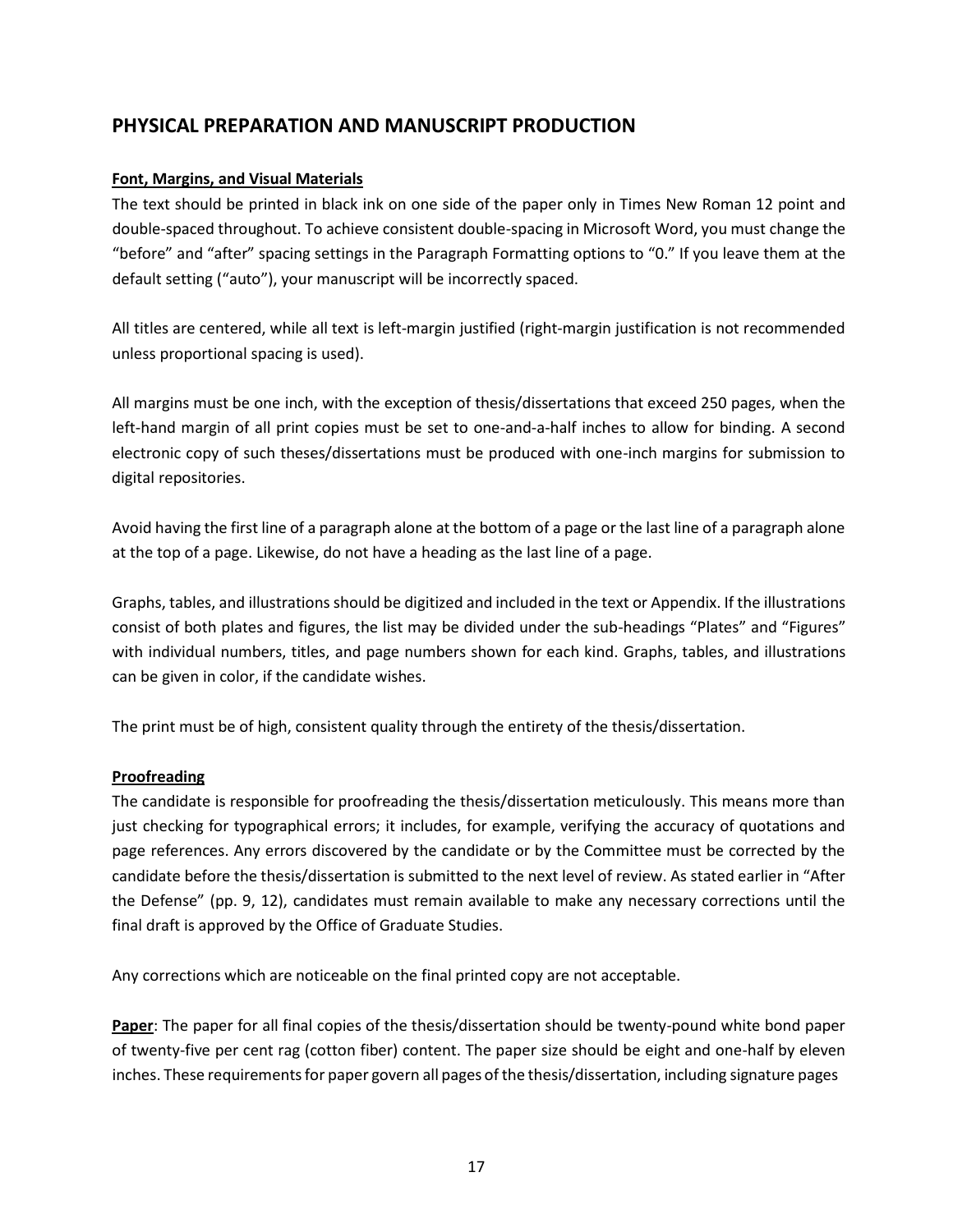# **PHYSICAL PREPARATION AND MANUSCRIPT PRODUCTION**

# **Font, Margins, and Visual Materials**

The text should be printed in black ink on one side of the paper only in Times New Roman 12 point and double-spaced throughout. To achieve consistent double-spacing in Microsoft Word, you must change the "before" and "after" spacing settings in the Paragraph Formatting options to "0." If you leave them at the default setting ("auto"), your manuscript will be incorrectly spaced.

All titles are centered, while all text is left-margin justified (right-margin justification is not recommended unless proportional spacing is used).

All margins must be one inch, with the exception of thesis/dissertations that exceed 250 pages, when the left-hand margin of all print copies must be set to one-and-a-half inches to allow for binding. A second electronic copy of such theses/dissertations must be produced with one-inch margins for submission to digital repositories.

Avoid having the first line of a paragraph alone at the bottom of a page or the last line of a paragraph alone at the top of a page. Likewise, do not have a heading as the last line of a page.

Graphs, tables, and illustrations should be digitized and included in the text or Appendix. If the illustrations consist of both plates and figures, the list may be divided under the sub-headings "Plates" and "Figures" with individual numbers, titles, and page numbers shown for each kind. Graphs, tables, and illustrations can be given in color, if the candidate wishes.

The print must be of high, consistent quality through the entirety of the thesis/dissertation.

## **Proofreading**

The candidate is responsible for proofreading the thesis/dissertation meticulously. This means more than just checking for typographical errors; it includes, for example, verifying the accuracy of quotations and page references. Any errors discovered by the candidate or by the Committee must be corrected by the candidate before the thesis/dissertation is submitted to the next level of review. As stated earlier in "After the Defense" (pp. 9, 12), candidates must remain available to make any necessary corrections until the final draft is approved by the Office of Graduate Studies.

Any corrections which are noticeable on the final printed copy are not acceptable.

**Paper**: The paper for all final copies of the thesis/dissertation should be twenty-pound white bond paper of twenty-five per cent rag (cotton fiber) content. The paper size should be eight and one-half by eleven inches. These requirementsfor paper govern all pages of the thesis/dissertation, including signature pages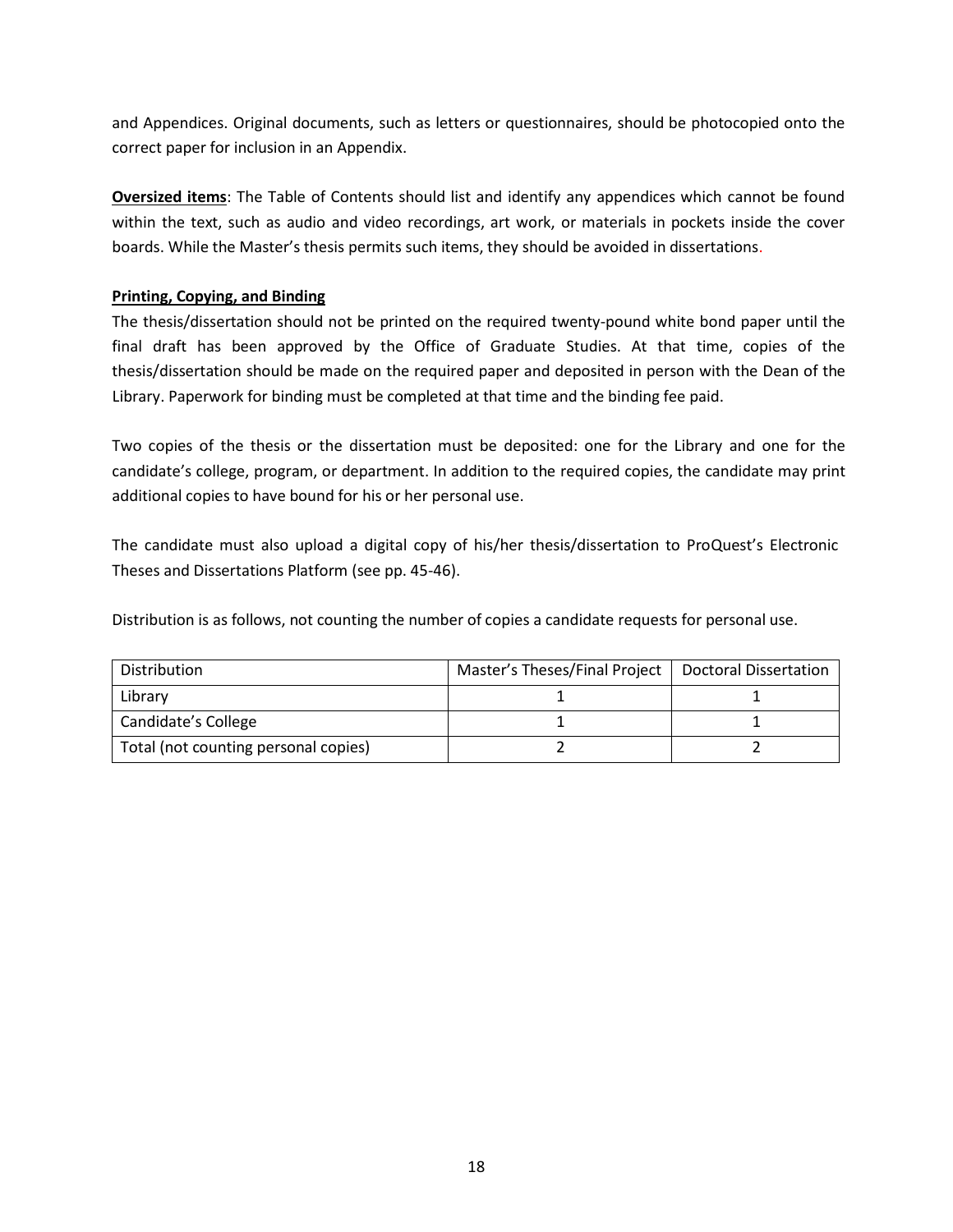and Appendices. Original documents, such as letters or questionnaires, should be photocopied onto the correct paper for inclusion in an Appendix.

**Oversized items**: The Table of Contents should list and identify any appendices which cannot be found within the text, such as audio and video recordings, art work, or materials in pockets inside the cover boards. While the Master's thesis permits such items, they should be avoided in dissertations.

# **Printing, Copying, and Binding**

The thesis/dissertation should not be printed on the required twenty-pound white bond paper until the final draft has been approved by the Office of Graduate Studies. At that time, copies of the thesis/dissertation should be made on the required paper and deposited in person with the Dean of the Library. Paperwork for binding must be completed at that time and the binding fee paid.

Two copies of the thesis or the dissertation must be deposited: one for the Library and one for the candidate's college, program, or department. In addition to the required copies, the candidate may print additional copies to have bound for his or her personal use.

The candidate must also upload a digital copy of his/her thesis/dissertation to ProQuest's Electronic Theses and Dissertations Platform (see pp. 45-46).

Distribution is as follows, not counting the number of copies a candidate requests for personal use.

| Distribution                         | Master's Theses/Final Project   Doctoral Dissertation |  |
|--------------------------------------|-------------------------------------------------------|--|
| Library                              |                                                       |  |
| Candidate's College                  |                                                       |  |
| Total (not counting personal copies) |                                                       |  |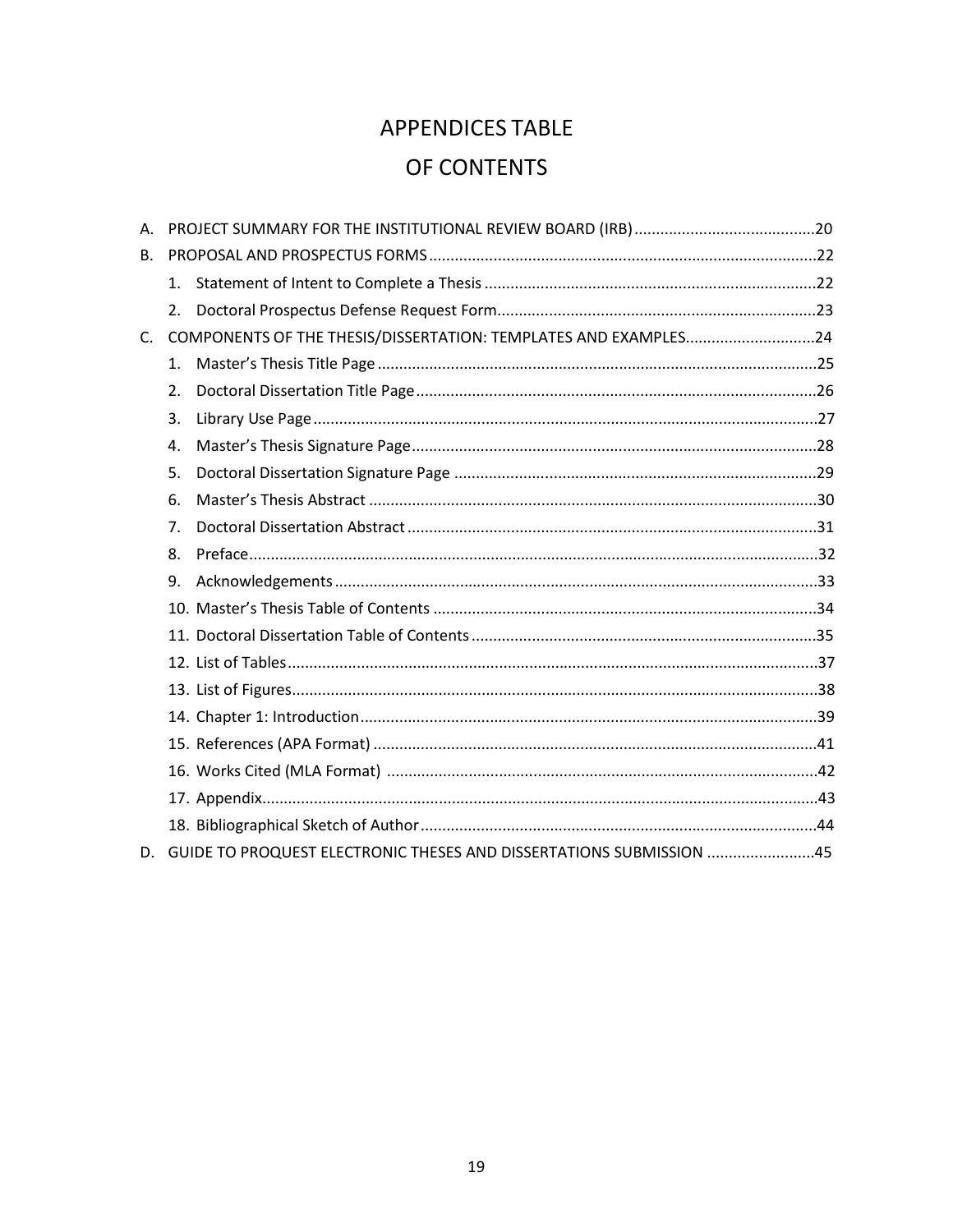# **APPENDICES TABLE** OF CONTENTS

| А.      |                |                                                                     |  |
|---------|----------------|---------------------------------------------------------------------|--|
| B.      |                |                                                                     |  |
|         |                |                                                                     |  |
|         | 2.             |                                                                     |  |
| $C_{1}$ |                | COMPONENTS OF THE THESIS/DISSERTATION: TEMPLATES AND EXAMPLES24     |  |
|         | $\mathbf{1}$ . |                                                                     |  |
|         | 2.             |                                                                     |  |
|         | 3.             |                                                                     |  |
|         | 4.             |                                                                     |  |
|         | 5.             |                                                                     |  |
|         | 6.             |                                                                     |  |
|         | 7.             |                                                                     |  |
|         | 8.             |                                                                     |  |
|         | 9.             |                                                                     |  |
|         |                |                                                                     |  |
|         |                |                                                                     |  |
|         |                |                                                                     |  |
|         |                |                                                                     |  |
|         |                |                                                                     |  |
|         |                |                                                                     |  |
|         |                |                                                                     |  |
|         |                |                                                                     |  |
|         |                |                                                                     |  |
| D.      |                | GUIDE TO PROQUEST ELECTRONIC THESES AND DISSERTATIONS SUBMISSION 45 |  |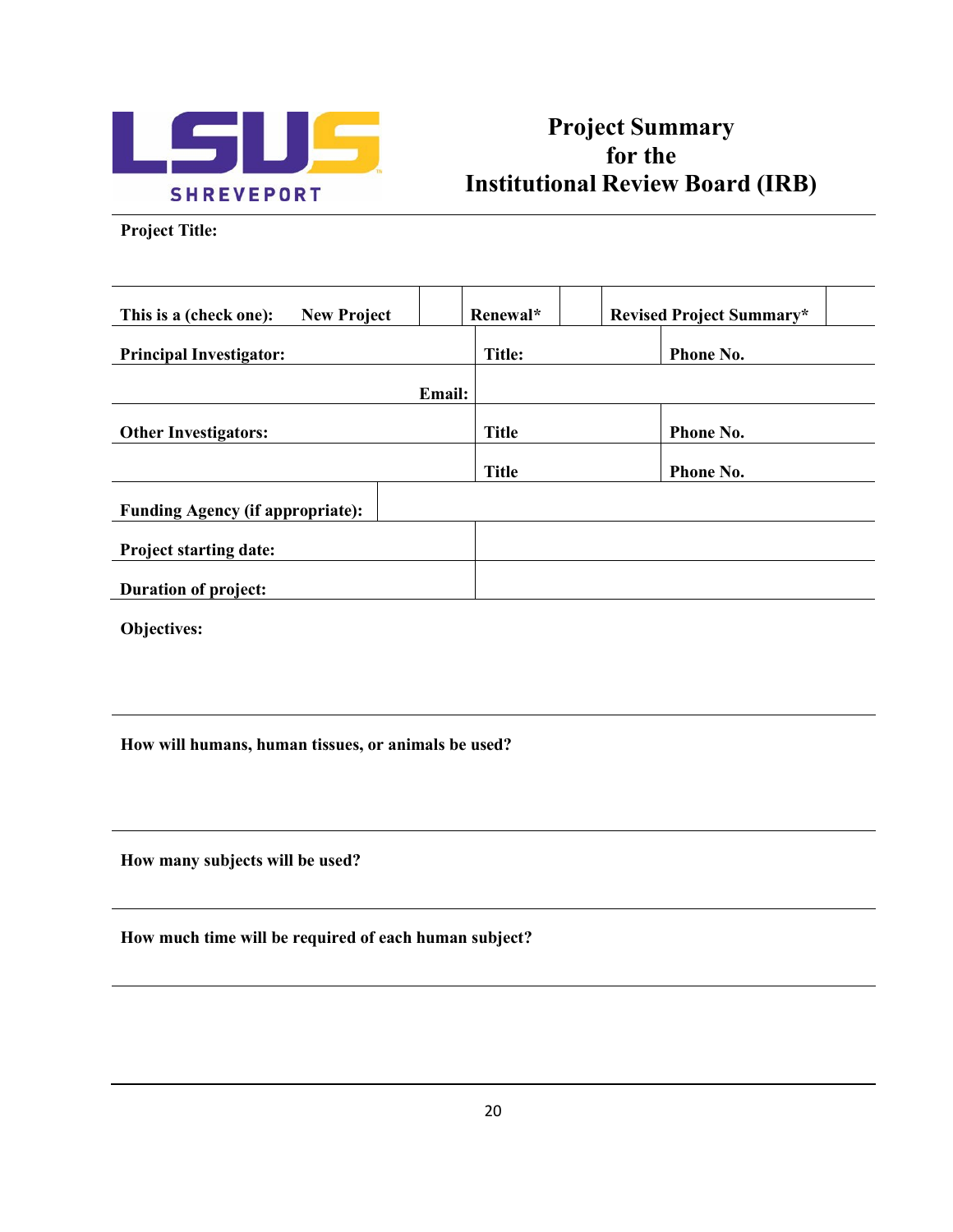

# **Project Summary for the Institutional Review Board (IRB)**

**Project Title:**

| This is a (check one):<br><b>New Project</b> | Renewal*      | <b>Revised Project Summary*</b> |
|----------------------------------------------|---------------|---------------------------------|
| <b>Principal Investigator:</b>               | Title:        | <b>Phone No.</b>                |
|                                              | <b>Email:</b> |                                 |
| <b>Other Investigators:</b>                  | <b>Title</b>  | <b>Phone No.</b>                |
|                                              | <b>Title</b>  | <b>Phone No.</b>                |
| <b>Funding Agency (if appropriate):</b>      |               |                                 |
| <b>Project starting date:</b>                |               |                                 |
| <b>Duration of project:</b>                  |               |                                 |

**Objectives:**

**How will humans, human tissues, or animals be used?**

**How many subjects will be used?**

**How much time will be required of each human subject?**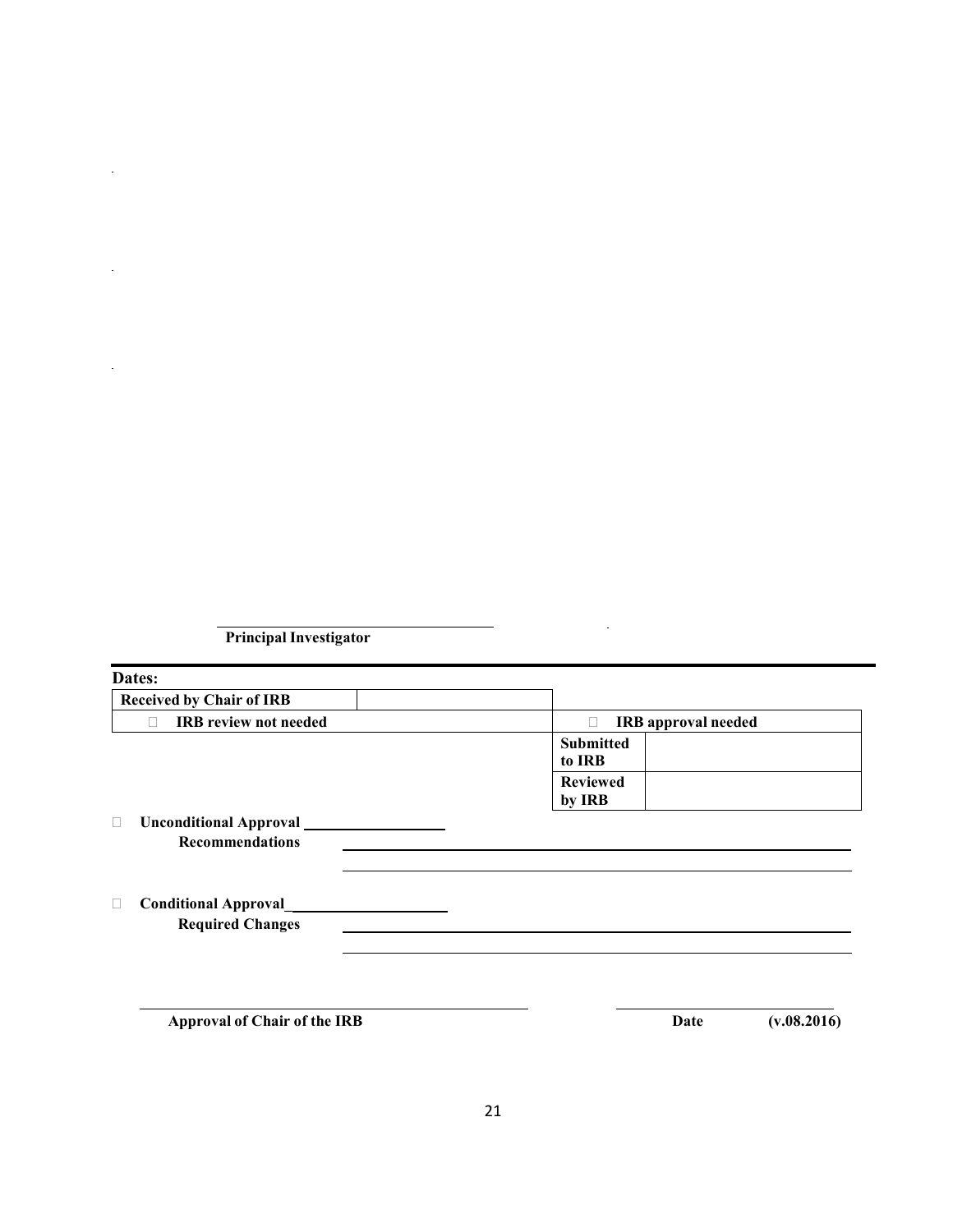**Principal Investigator**

 $\ddot{\phantom{a}}$ 

 $\epsilon$ 

 $\ddot{\phantom{a}}$ 

| Dates:                                                 |                                 |
|--------------------------------------------------------|---------------------------------|
| <b>Received by Chair of IRB</b>                        |                                 |
| <b>IRB</b> review not needed<br>П                      | <b>IRB</b> approval needed<br>П |
|                                                        | <b>Submitted</b><br>to IRB      |
|                                                        | <b>Reviewed</b><br>by IRB       |
| <b>Unconditional Approval</b><br>□                     |                                 |
| <b>Recommendations</b>                                 |                                 |
| <b>Conditional Approval</b><br><b>Required Changes</b> |                                 |
|                                                        |                                 |
| <b>Approval of Chair of the IRB</b>                    | Date<br>(v.08.2016)             |

l.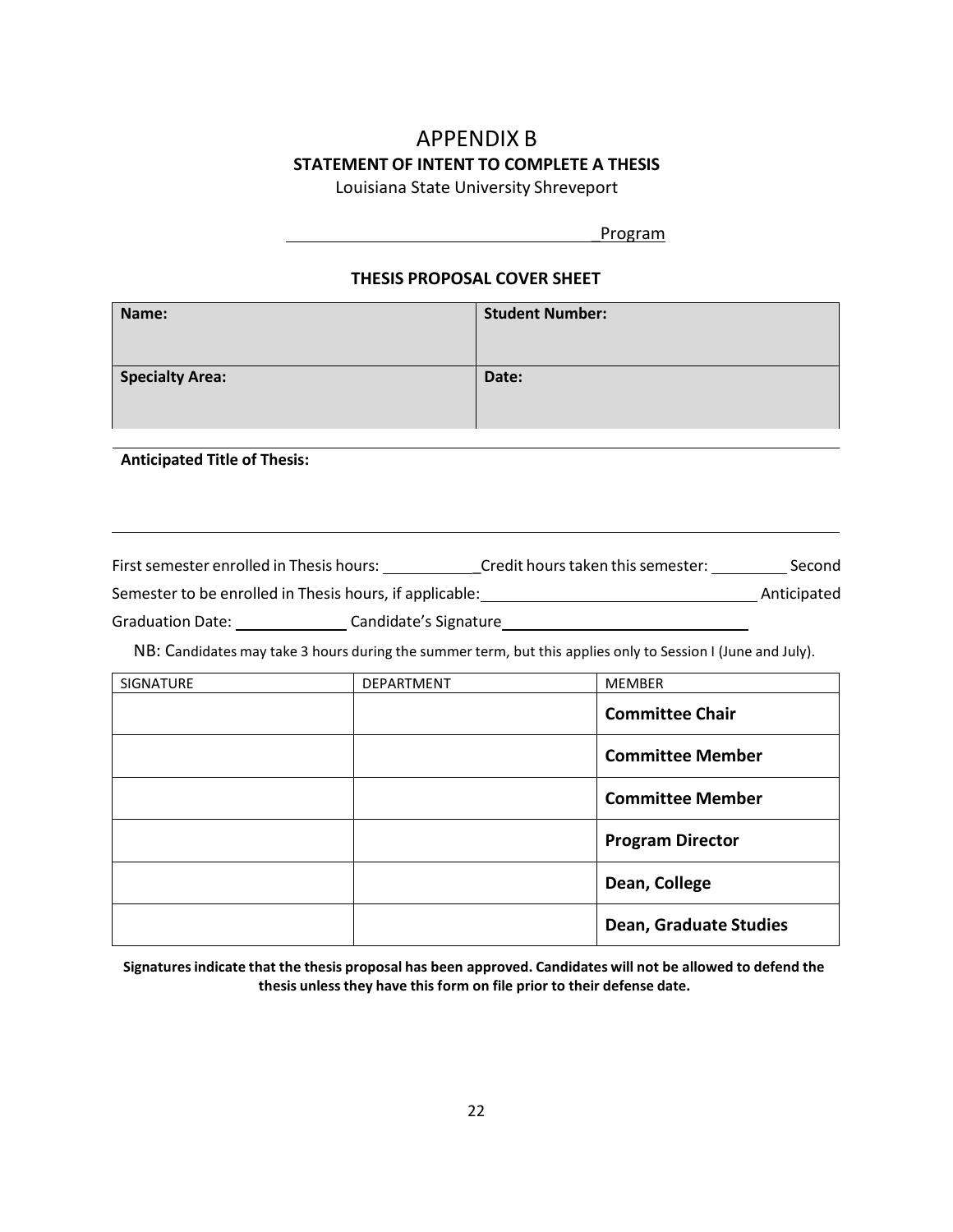# APPENDIX B **STATEMENT OF INTENT TO COMPLETE A THESIS**

Louisiana State University Shreveport

\_Program

## **THESIS PROPOSAL COVER SHEET**

| Name:                  | <b>Student Number:</b> |
|------------------------|------------------------|
| <b>Specialty Area:</b> | Date:                  |

#### **Anticipated Title of Thesis:**

First semester enrolled in Thesis hours: \_\_\_\_\_\_\_\_\_\_\_\_\_\_Credit hours taken this semester: \_\_\_\_\_\_\_\_\_\_\_\_\_Second Semester to be enrolled in Thesis hours, if applicable: Anticipated Graduation Date: Candidate's Signature

NB: Candidates may take 3 hours during the summer term, but this applies only to Session I (June and July).

| SIGNATURE | DEPARTMENT | <b>MEMBER</b>                 |
|-----------|------------|-------------------------------|
|           |            | <b>Committee Chair</b>        |
|           |            | <b>Committee Member</b>       |
|           |            | <b>Committee Member</b>       |
|           |            | <b>Program Director</b>       |
|           |            | Dean, College                 |
|           |            | <b>Dean, Graduate Studies</b> |

**Signaturesindicate that the thesis proposal has been approved. Candidates will not be allowed to defend the thesis unless they have this form on file prior to their defense date.**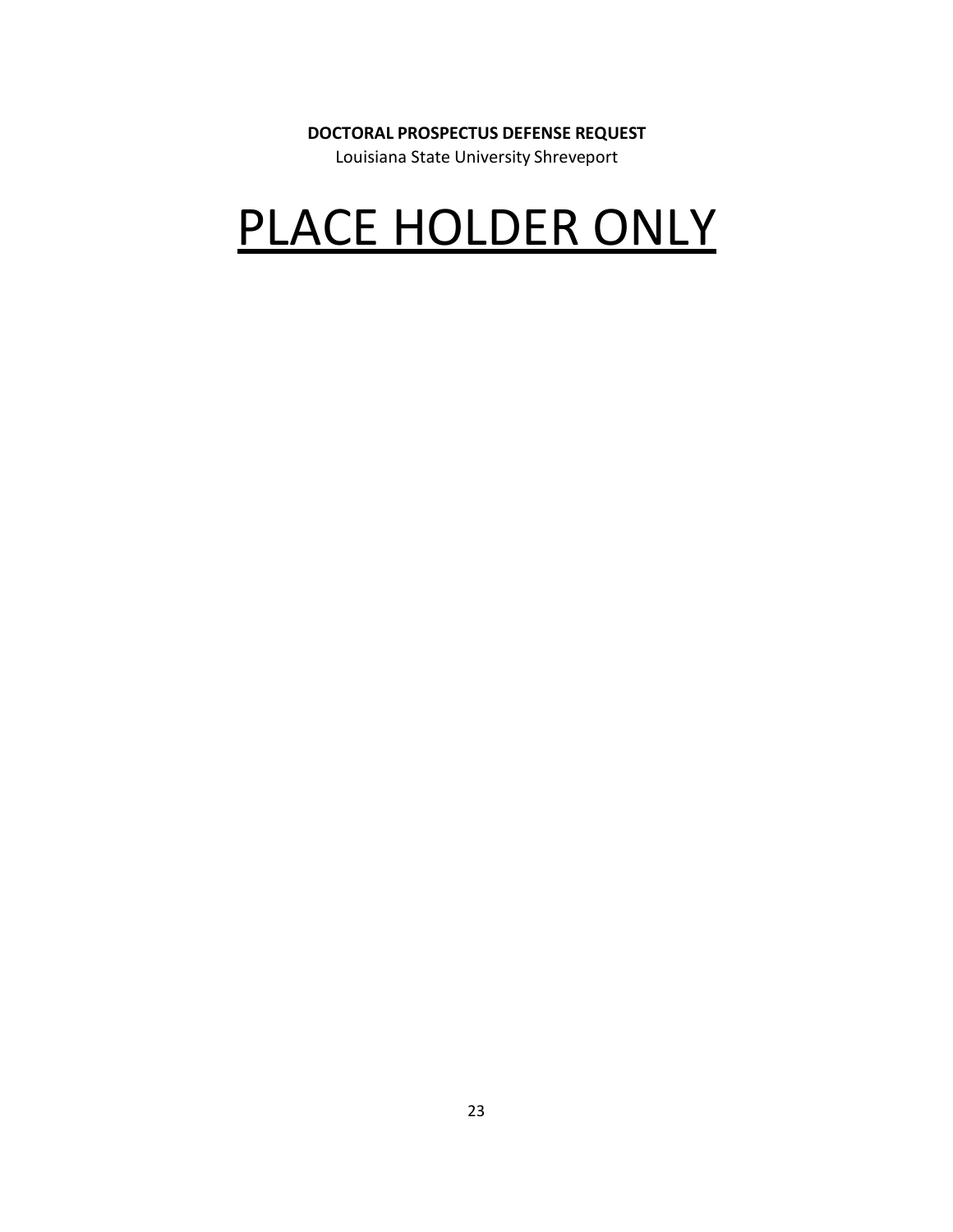# **DOCTORAL PROSPECTUS DEFENSE REQUEST**

Louisiana State University Shreveport

# PLACE HOLDER ONLY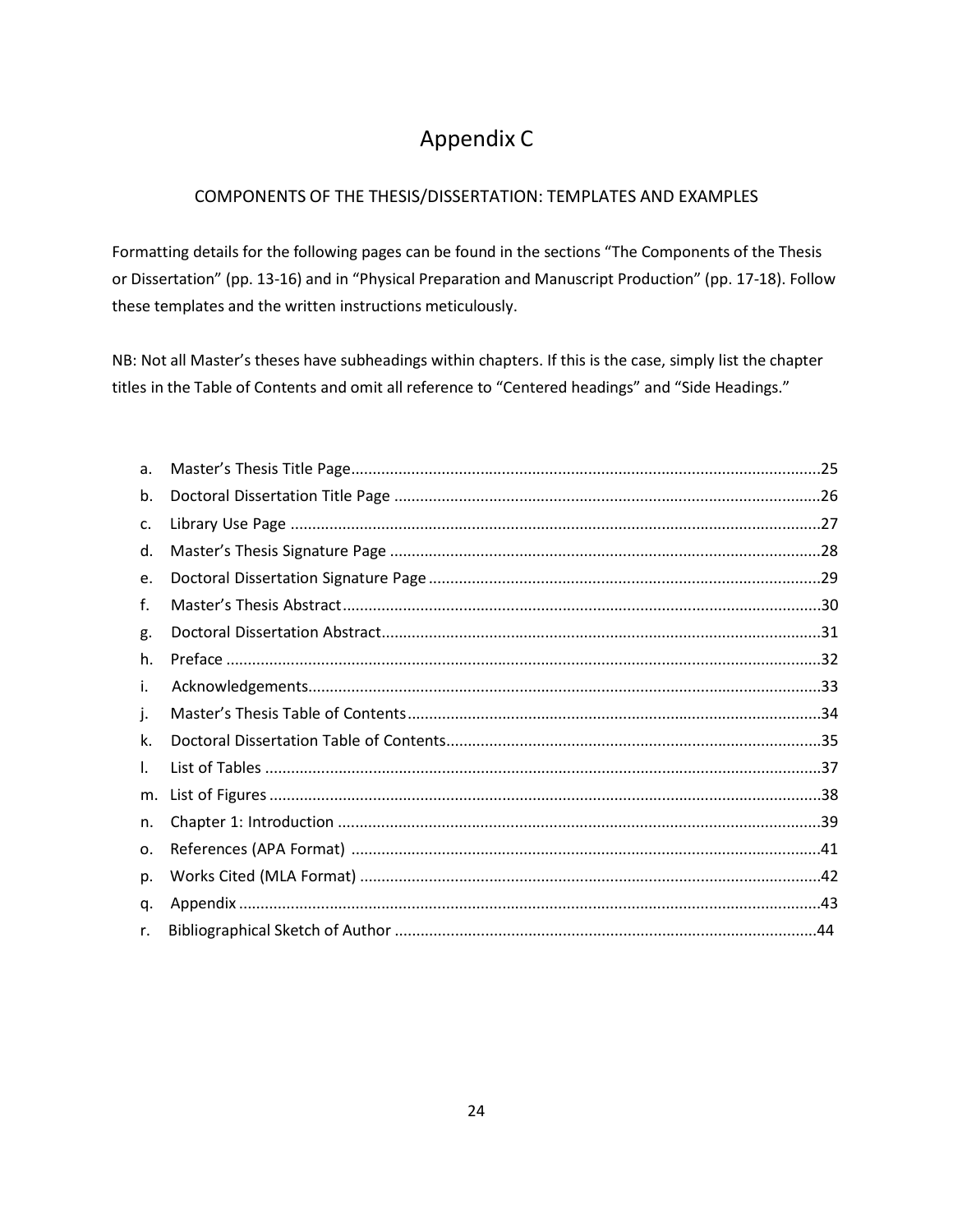# Appendix C

# COMPONENTS OF THE THESIS/DISSERTATION: TEMPLATES AND EXAMPLES

Formatting details for the following pages can be found in the sections "The Components of the Thesis or Dissertation" (pp. 13-16) and in "Physical Preparation and Manuscript Production" (pp. 17-18). Follow these templates and the written instructions meticulously.

NB: Not all Master's theses have subheadings within chapters. If this is the case, simply list the chapter titles in the Table of Contents and omit all reference to "Centered headings" and "Side Headings."

| a. |  |
|----|--|
| b. |  |
| c. |  |
| d. |  |
| e. |  |
| f. |  |
| g. |  |
| h. |  |
| i. |  |
| j. |  |
| k. |  |
| I. |  |
| m. |  |
| n. |  |
| о. |  |
| p. |  |
| q. |  |
| r. |  |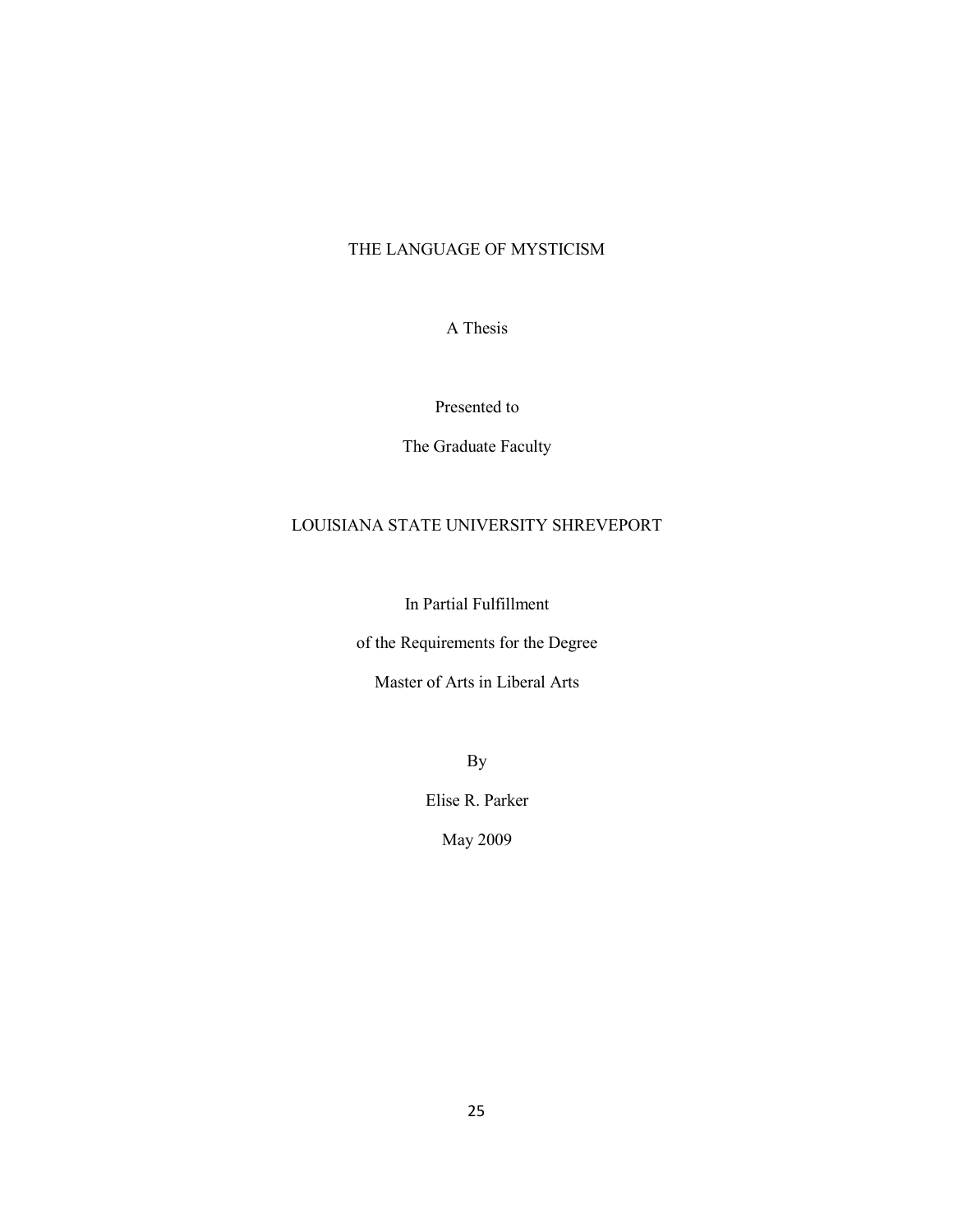# THE LANGUAGE OF MYSTICISM

A Thesis

# Presented to

The Graduate Faculty

# LOUISIANA STATE UNIVERSITY SHREVEPORT

In Partial Fulfillment

of the Requirements for the Degree

Master of Arts in Liberal Arts

By

Elise R. Parker

May 2009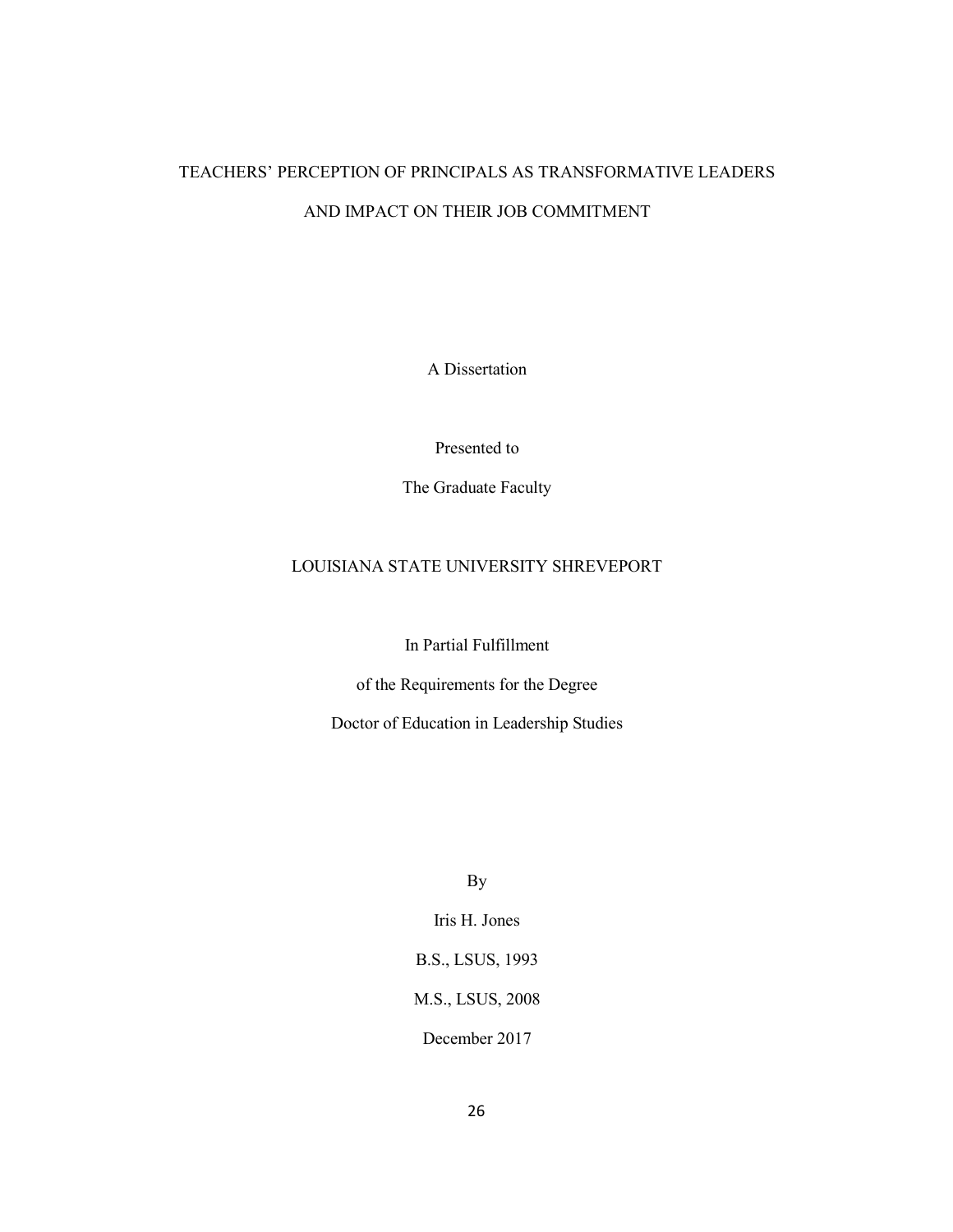# TEACHERS' PERCEPTION OF PRINCIPALS AS TRANSFORMATIVE LEADERS AND IMPACT ON THEIR JOB COMMITMENT

A Dissertation

Presented to

The Graduate Faculty

# LOUISIANA STATE UNIVERSITY SHREVEPORT

In Partial Fulfillment

of the Requirements for the Degree

Doctor of Education in Leadership Studies

By

Iris H. Jones B.S., LSUS, 1993 M.S., LSUS, 2008

December 2017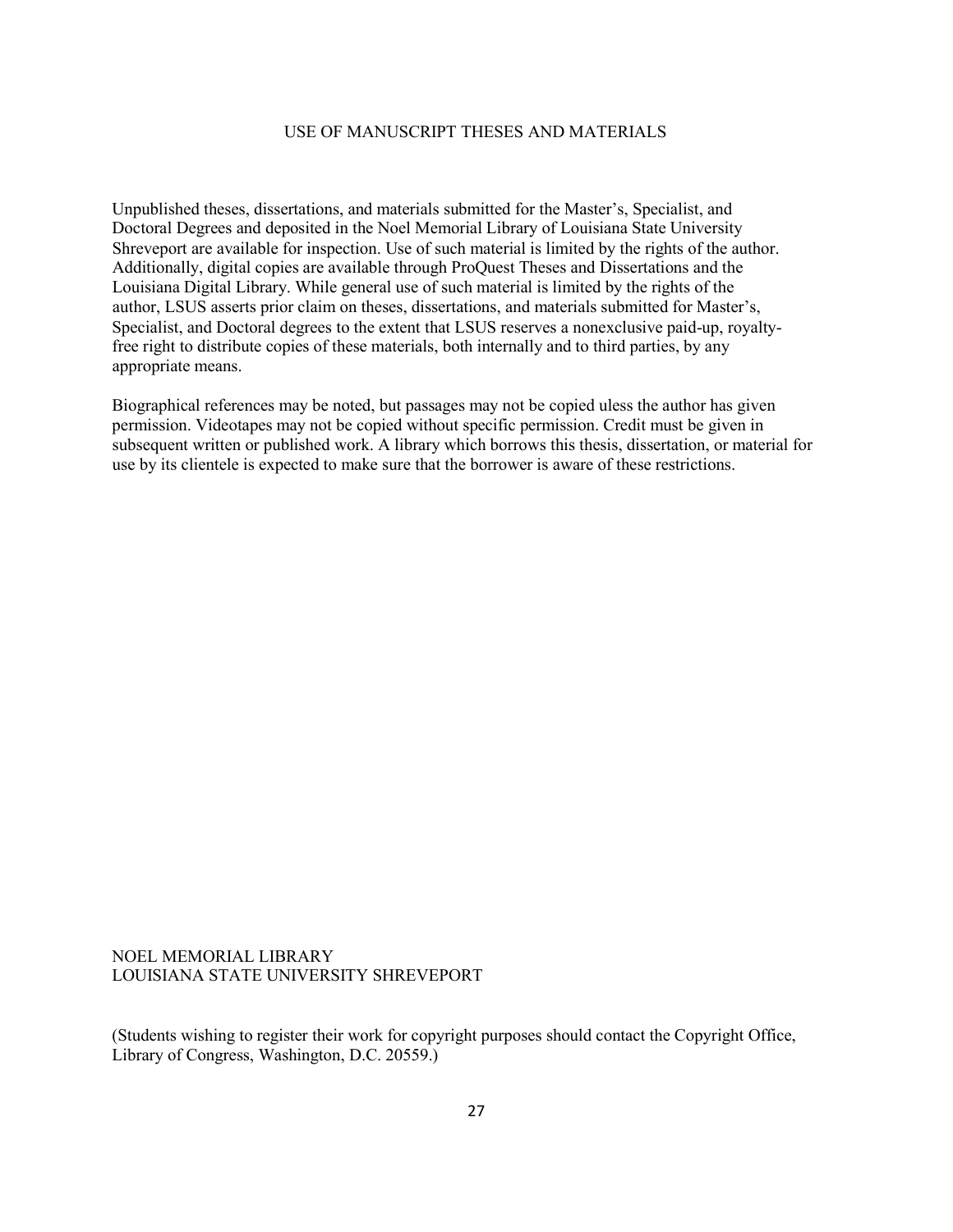#### USE OF MANUSCRIPT THESES AND MATERIALS

Unpublished theses, dissertations, and materials submitted for the Master's, Specialist, and Doctoral Degrees and deposited in the Noel Memorial Library of Louisiana State University Shreveport are available for inspection. Use of such material is limited by the rights of the author. Additionally, digital copies are available through ProQuest Theses and Dissertations and the Louisiana Digital Library. While general use of such material is limited by the rights of the author, LSUS asserts prior claim on theses, dissertations, and materials submitted for Master's, Specialist, and Doctoral degrees to the extent that LSUS reserves a nonexclusive paid-up, royaltyfree right to distribute copies of these materials, both internally and to third parties, by any appropriate means.

Biographical references may be noted, but passages may not be copied uless the author has given permission. Videotapes may not be copied without specific permission. Credit must be given in subsequent written or published work. A library which borrows this thesis, dissertation, or material for use by its clientele is expected to make sure that the borrower is aware of these restrictions.

#### NOEL MEMORIAL LIBRARY LOUISIANA STATE UNIVERSITY SHREVEPORT

(Students wishing to register their work for copyright purposes should contact the Copyright Office, Library of Congress, Washington, D.C. 20559.)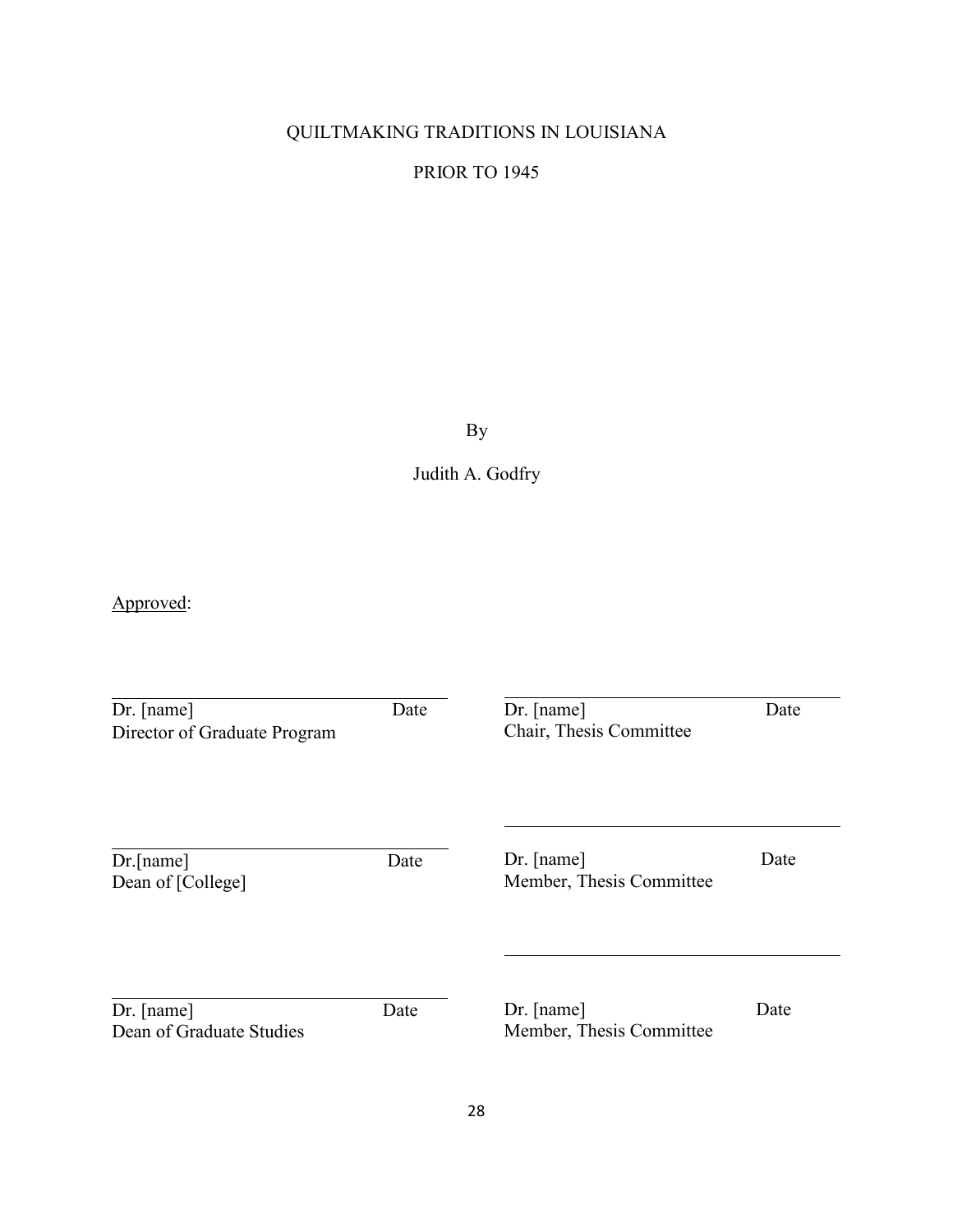# QUILTMAKING TRADITIONS IN LOUISIANA

# PRIOR TO 1945

By

Judith A. Godfry

Approved:

| $Dr.$ [name]<br>Director of Graduate Program | Date | $Dr.$ [name]<br>Chair, Thesis Committee  | Date |
|----------------------------------------------|------|------------------------------------------|------|
| Dr.[name]<br>Dean of [College]               | Date | $Dr.$ [name]<br>Member, Thesis Committee | Date |
| Dr. [name]<br>Dean of Graduate Studies       | Date | $Dr.$ [name]<br>Member, Thesis Committee | Date |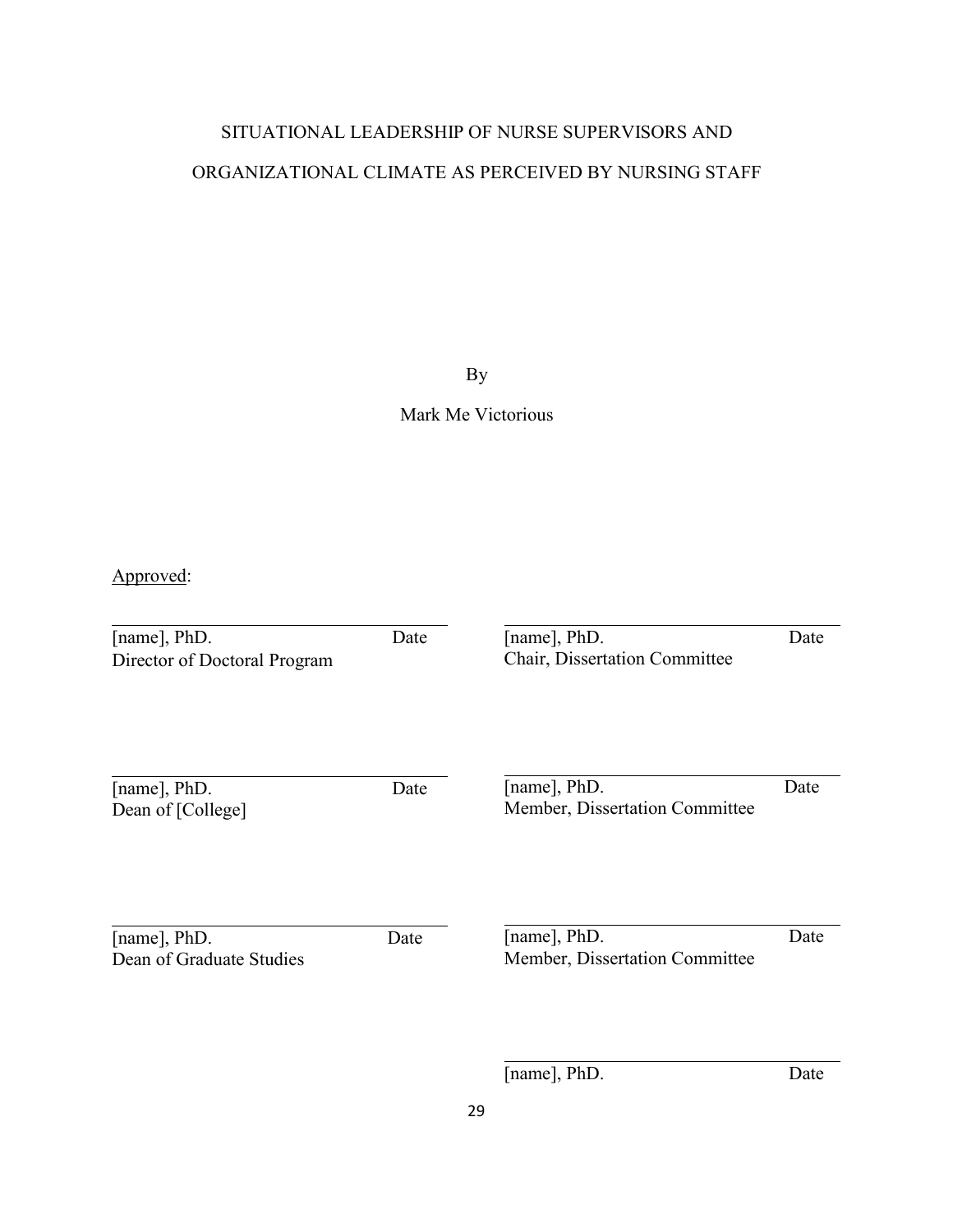# SITUATIONAL LEADERSHIP OF NURSE SUPERVISORS AND ORGANIZATIONAL CLIMATE AS PERCEIVED BY NURSING STAFF

By

Mark Me Victorious

Approved:

| [name], PhD.<br>Director of Doctoral Program | Date | [name], PhD.<br>Chair, Dissertation Committee  | Date |
|----------------------------------------------|------|------------------------------------------------|------|
| [name], PhD.<br>Dean of [College]            | Date | [name], PhD.<br>Member, Dissertation Committee | Date |
| [name], PhD.<br>Dean of Graduate Studies     | Date | [name], PhD.<br>Member, Dissertation Committee | Date |

[name], PhD. Date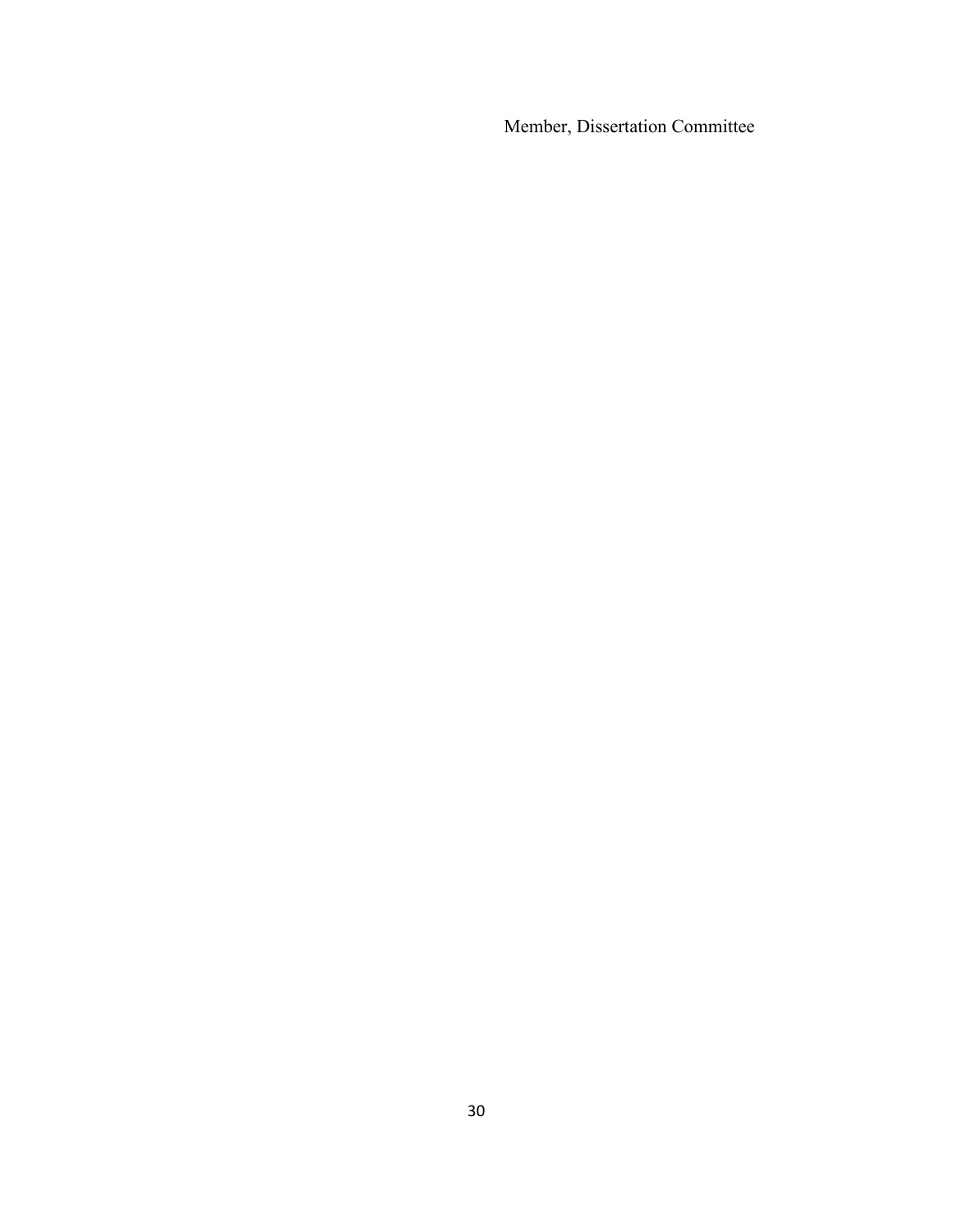Member, Dissertation Committee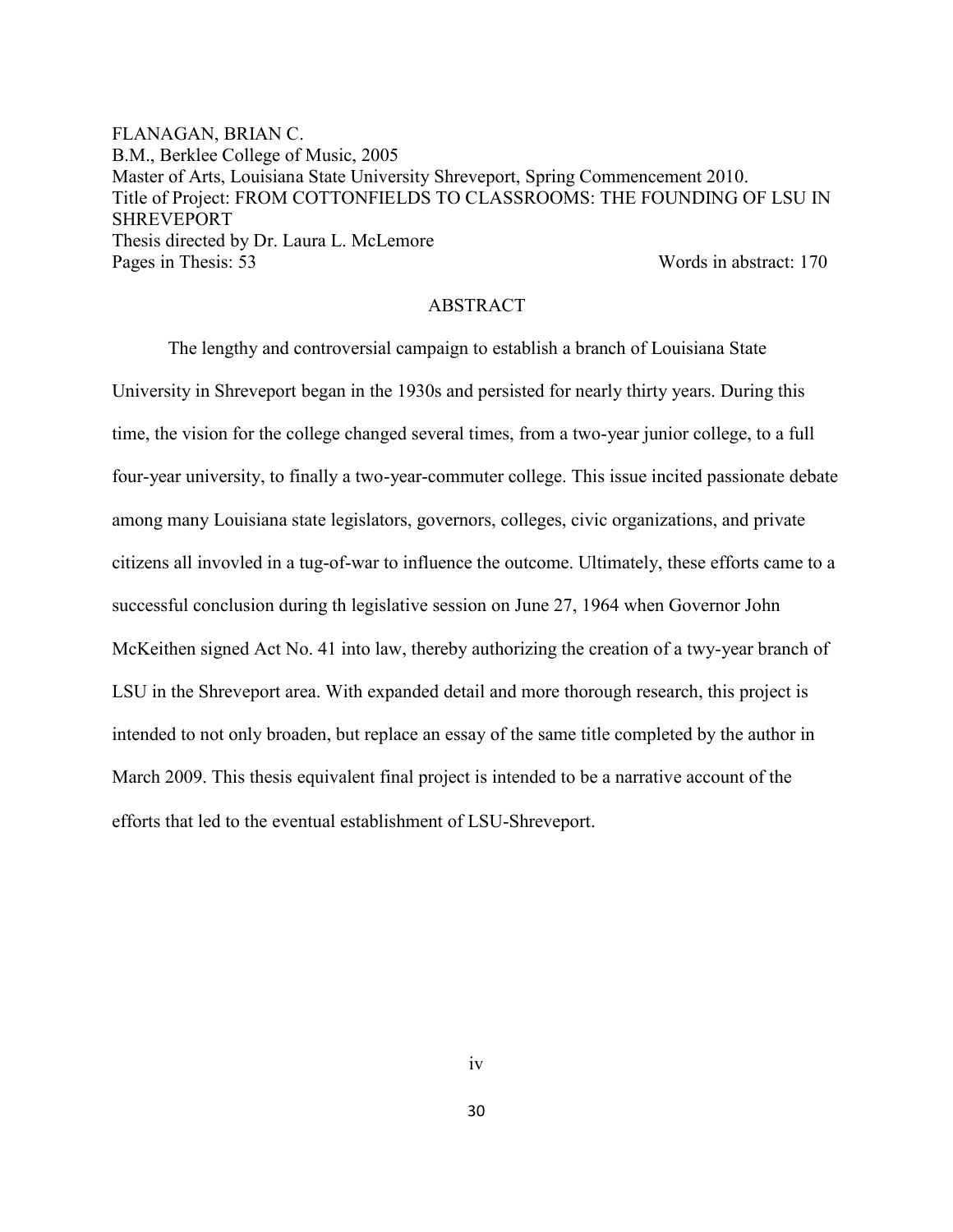FLANAGAN, BRIAN C. B.M., Berklee College of Music, 2005 Master of Arts, Louisiana State University Shreveport, Spring Commencement 2010. Title of Project: FROM COTTONFIELDS TO CLASSROOMS: THE FOUNDING OF LSU IN SHREVEPORT Thesis directed by Dr. Laura L. McLemore Pages in Thesis: 53 Words in abstract: 170

#### ABSTRACT

The lengthy and controversial campaign to establish a branch of Louisiana State University in Shreveport began in the 1930s and persisted for nearly thirty years. During this time, the vision for the college changed several times, from a two-year junior college, to a full four-year university, to finally a two-year-commuter college. This issue incited passionate debate among many Louisiana state legislators, governors, colleges, civic organizations, and private citizens all invovled in a tug-of-war to influence the outcome. Ultimately, these efforts came to a successful conclusion during th legislative session on June 27, 1964 when Governor John McKeithen signed Act No. 41 into law, thereby authorizing the creation of a twy-year branch of LSU in the Shreveport area. With expanded detail and more thorough research, this project is intended to not only broaden, but replace an essay of the same title completed by the author in March 2009. This thesis equivalent final project is intended to be a narrative account of the efforts that led to the eventual establishment of LSU-Shreveport.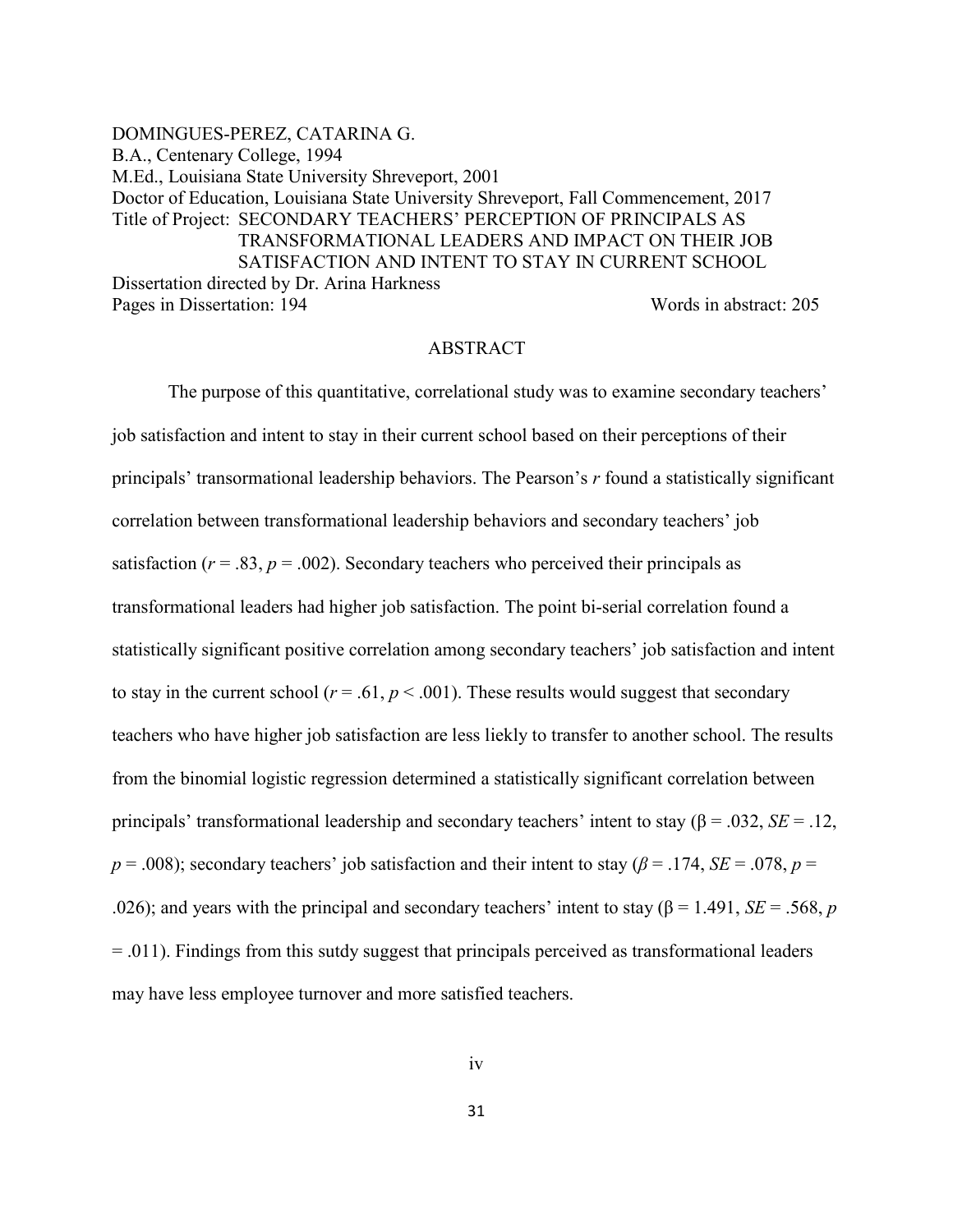DOMINGUES-PEREZ, CATARINA G. B.A., Centenary College, 1994 M.Ed., Louisiana State University Shreveport, 2001 Doctor of Education, Louisiana State University Shreveport, Fall Commencement, 2017 Title of Project: SECONDARY TEACHERS' PERCEPTION OF PRINCIPALS AS TRANSFORMATIONAL LEADERS AND IMPACT ON THEIR JOB SATISFACTION AND INTENT TO STAY IN CURRENT SCHOOL Dissertation directed by Dr. Arina Harkness Pages in Dissertation: 194 Words in abstract: 205

#### ABSTRACT

The purpose of this quantitative, correlational study was to examine secondary teachers' job satisfaction and intent to stay in their current school based on their perceptions of their principals' transormational leadership behaviors. The Pearson's *r* found a statistically significant correlation between transformational leadership behaviors and secondary teachers' job satisfaction ( $r = .83$ ,  $p = .002$ ). Secondary teachers who perceived their principals as transformational leaders had higher job satisfaction. The point bi-serial correlation found a statistically significant positive correlation among secondary teachers' job satisfaction and intent to stay in the current school ( $r = .61$ ,  $p < .001$ ). These results would suggest that secondary teachers who have higher job satisfaction are less liekly to transfer to another school. The results from the binomial logistic regression determined a statistically significant correlation between principals' transformational leadership and secondary teachers' intent to stay (β = .032, *SE* = .12,  $p = .008$ ; secondary teachers' job satisfaction and their intent to stay ( $\beta = .174$ ,  $SE = .078$ ,  $p =$ .026); and years with the principal and secondary teachers' intent to stay ( $\beta$  = 1.491, *SE* = .568, *p*  $= 0.011$ ). Findings from this sutdy suggest that principals perceived as transformational leaders may have less employee turnover and more satisfied teachers.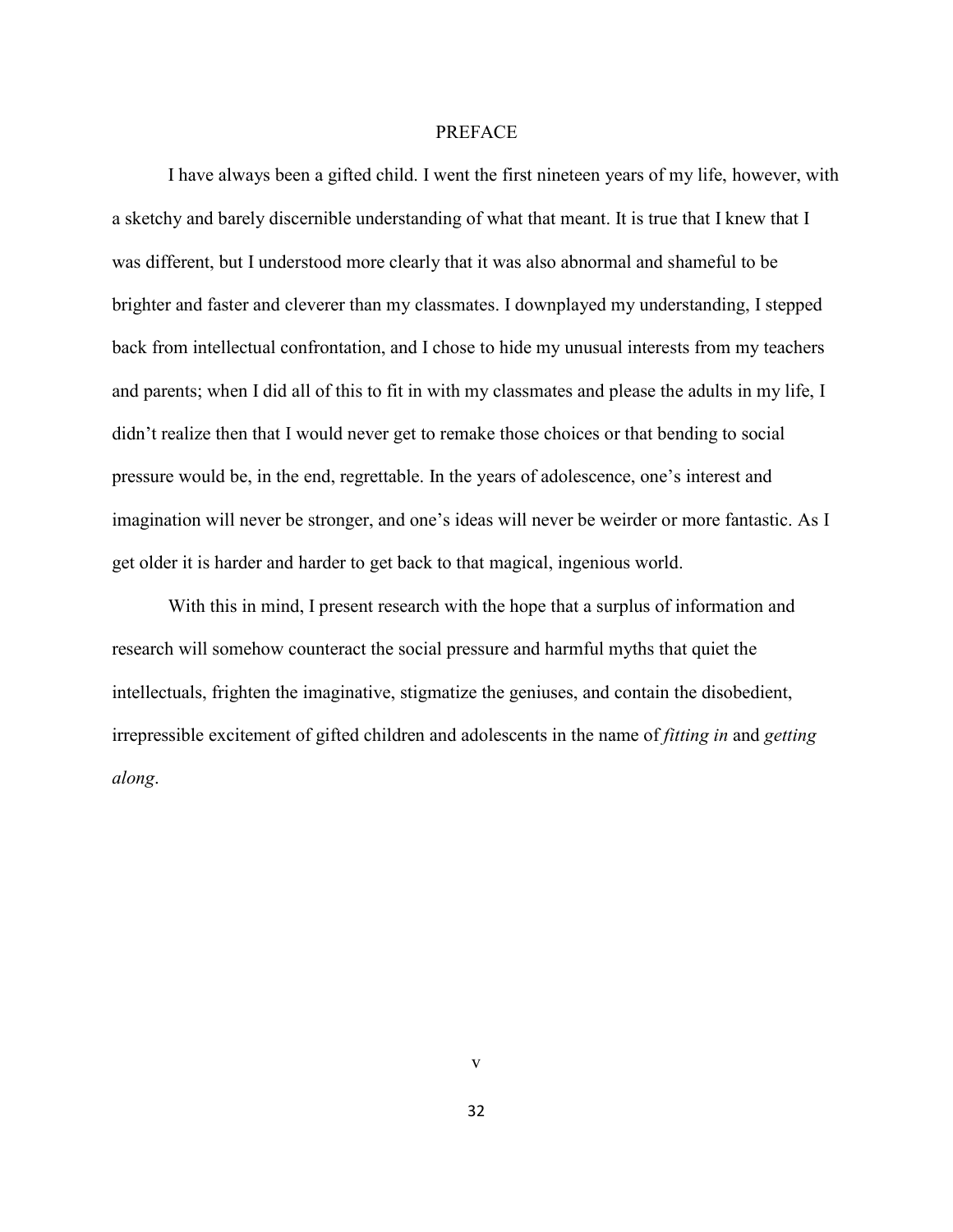#### PREFACE

I have always been a gifted child. I went the first nineteen years of my life, however, with a sketchy and barely discernible understanding of what that meant. It is true that I knew that I was different, but I understood more clearly that it was also abnormal and shameful to be brighter and faster and cleverer than my classmates. I downplayed my understanding, I stepped back from intellectual confrontation, and I chose to hide my unusual interests from my teachers and parents; when I did all of this to fit in with my classmates and please the adults in my life, I didn't realize then that I would never get to remake those choices or that bending to social pressure would be, in the end, regrettable. In the years of adolescence, one's interest and imagination will never be stronger, and one's ideas will never be weirder or more fantastic. As I get older it is harder and harder to get back to that magical, ingenious world.

With this in mind, I present research with the hope that a surplus of information and research will somehow counteract the social pressure and harmful myths that quiet the intellectuals, frighten the imaginative, stigmatize the geniuses, and contain the disobedient, irrepressible excitement of gifted children and adolescents in the name of *fitting in* and *getting along*.

32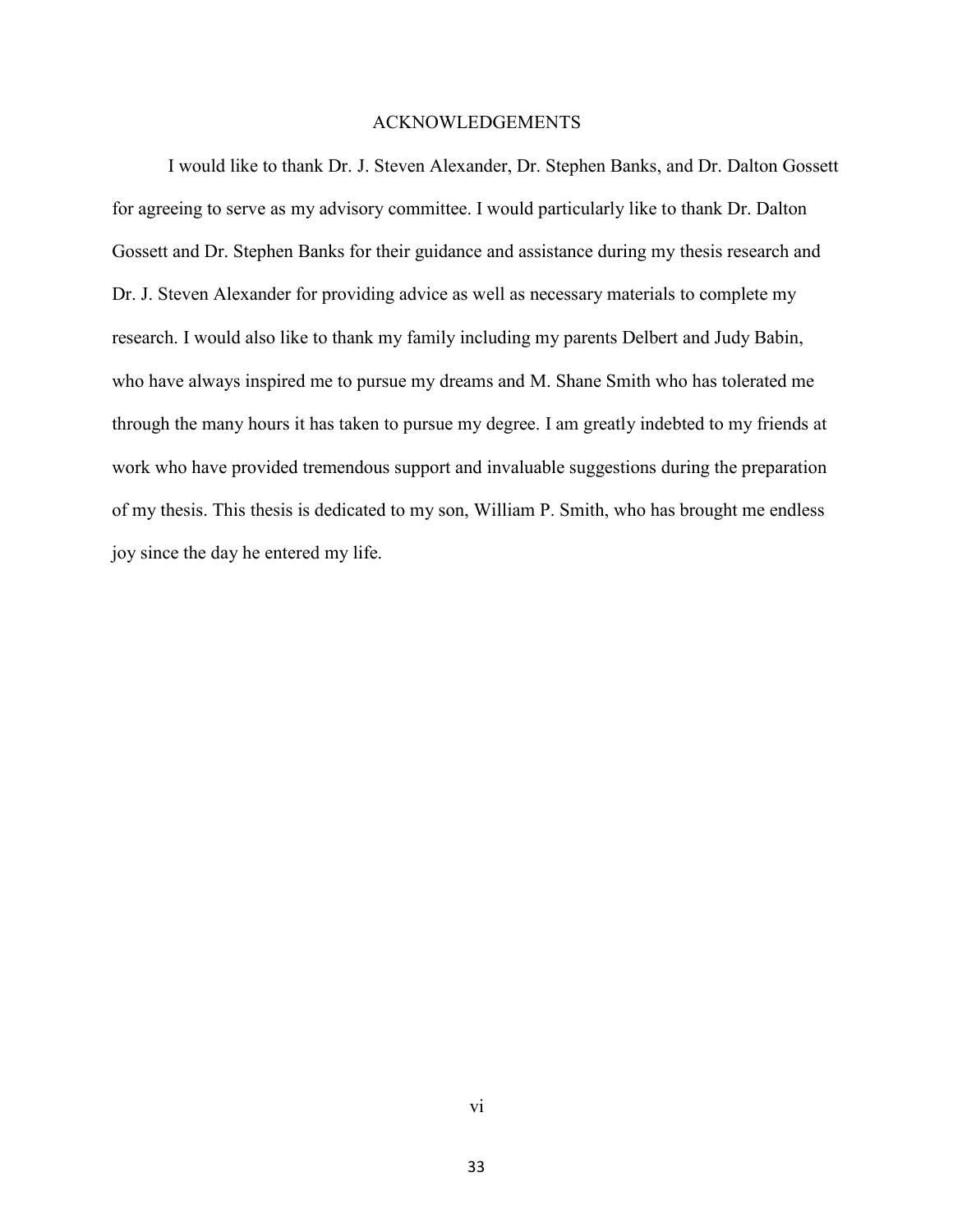## ACKNOWLEDGEMENTS

I would like to thank Dr. J. Steven Alexander, Dr. Stephen Banks, and Dr. Dalton Gossett for agreeing to serve as my advisory committee. I would particularly like to thank Dr. Dalton Gossett and Dr. Stephen Banks for their guidance and assistance during my thesis research and Dr. J. Steven Alexander for providing advice as well as necessary materials to complete my research. I would also like to thank my family including my parents Delbert and Judy Babin, who have always inspired me to pursue my dreams and M. Shane Smith who has tolerated me through the many hours it has taken to pursue my degree. I am greatly indebted to my friends at work who have provided tremendous support and invaluable suggestions during the preparation of my thesis. This thesis is dedicated to my son, William P. Smith, who has brought me endless joy since the day he entered my life.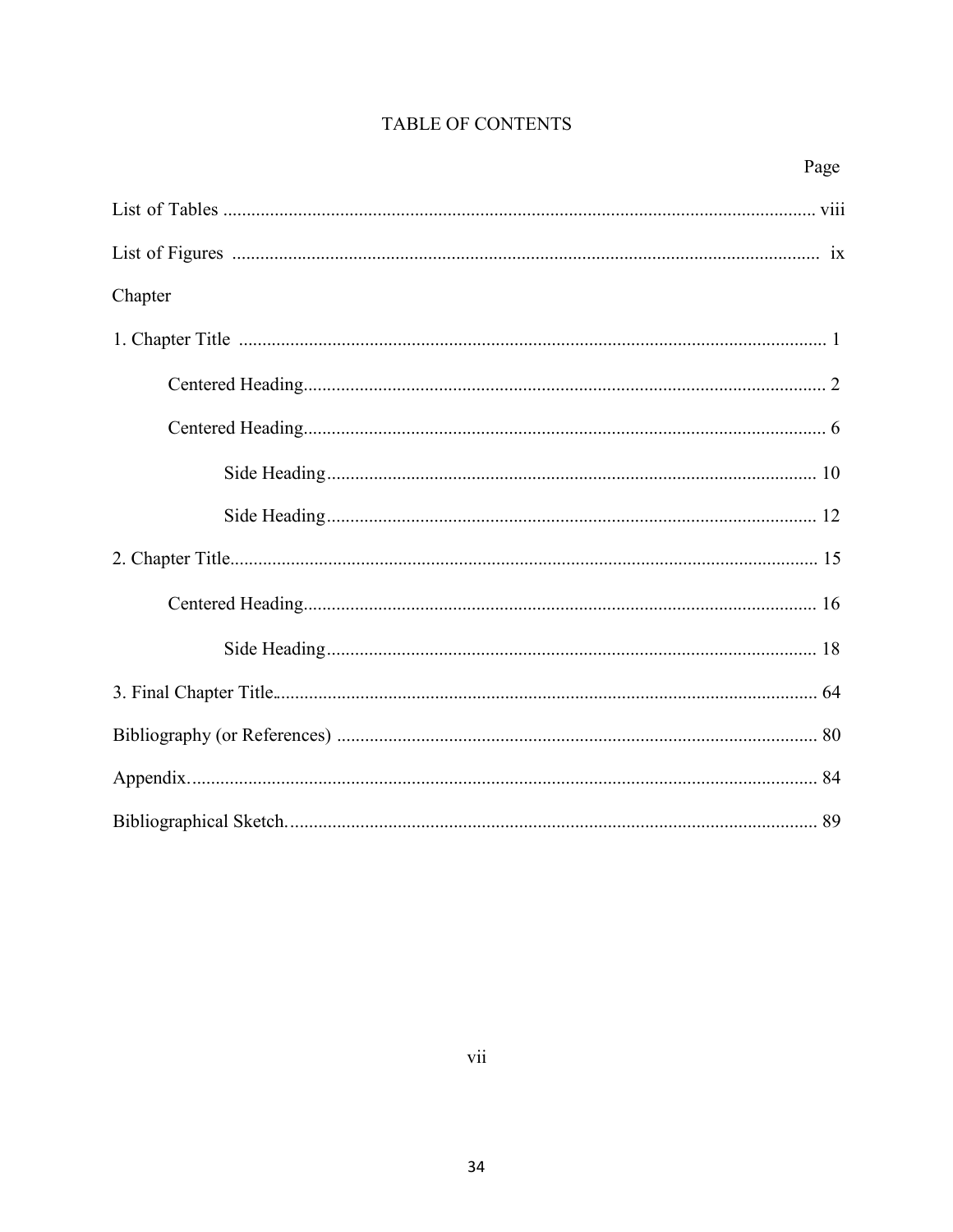# TABLE OF CONTENTS

| Chapter |  |  |  |  |  |
|---------|--|--|--|--|--|
|         |  |  |  |  |  |
|         |  |  |  |  |  |
|         |  |  |  |  |  |
|         |  |  |  |  |  |
|         |  |  |  |  |  |
|         |  |  |  |  |  |
|         |  |  |  |  |  |
|         |  |  |  |  |  |
|         |  |  |  |  |  |
|         |  |  |  |  |  |
|         |  |  |  |  |  |
|         |  |  |  |  |  |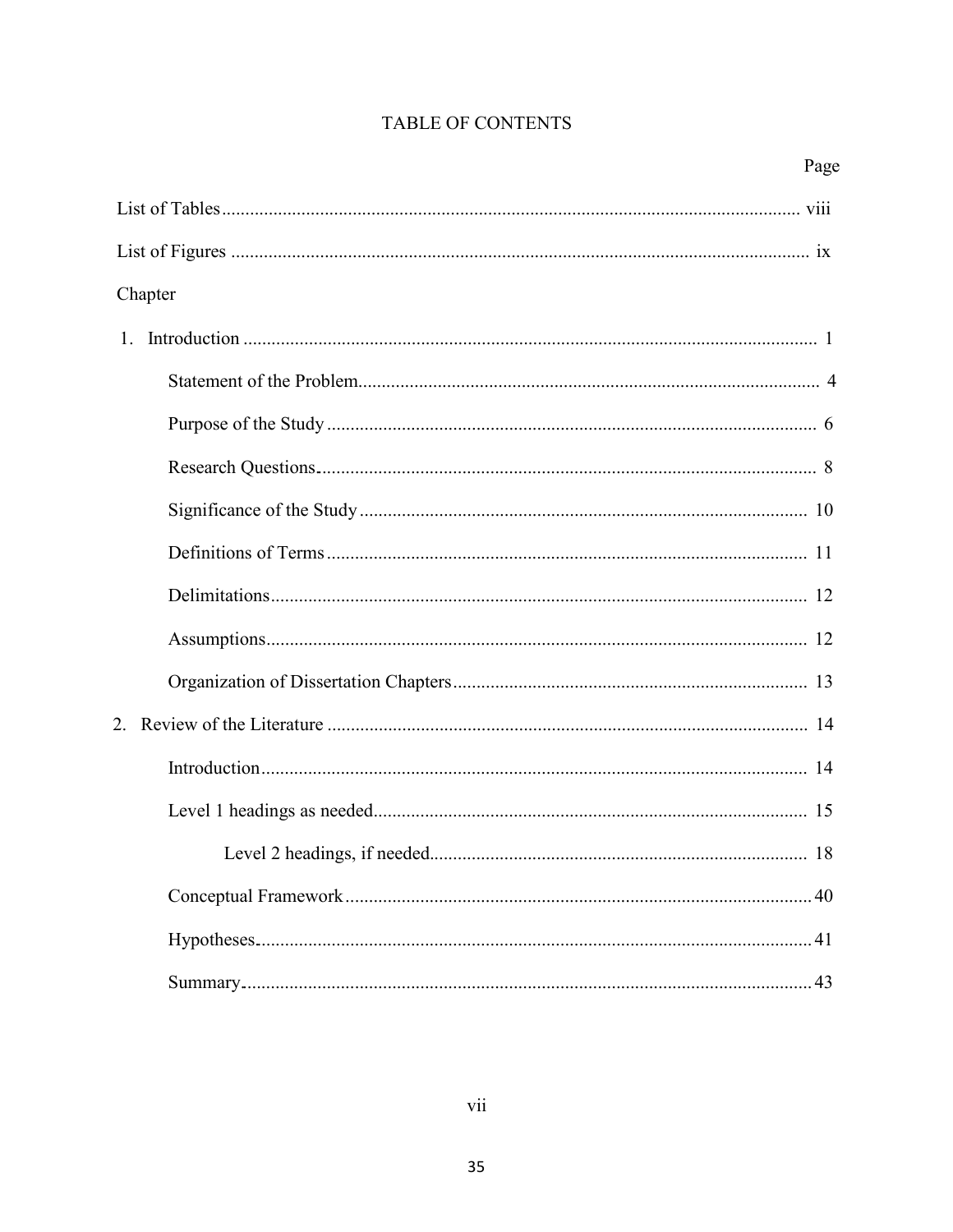# TABLE OF CONTENTS

| Page    |  |  |  |  |
|---------|--|--|--|--|
|         |  |  |  |  |
|         |  |  |  |  |
| Chapter |  |  |  |  |
|         |  |  |  |  |
|         |  |  |  |  |
|         |  |  |  |  |
|         |  |  |  |  |
|         |  |  |  |  |
|         |  |  |  |  |
|         |  |  |  |  |
|         |  |  |  |  |
|         |  |  |  |  |
|         |  |  |  |  |
|         |  |  |  |  |
|         |  |  |  |  |
|         |  |  |  |  |
|         |  |  |  |  |
|         |  |  |  |  |
|         |  |  |  |  |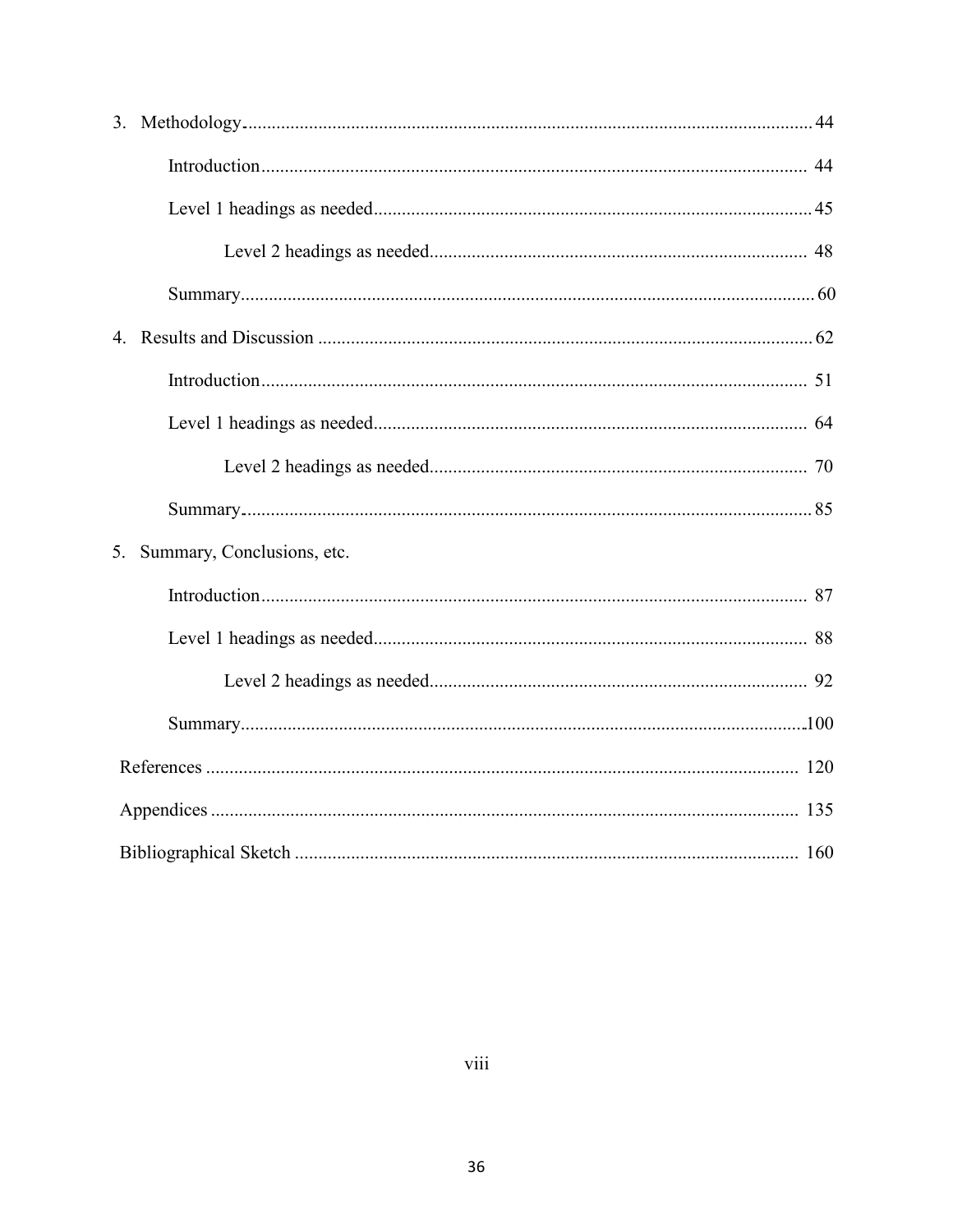| 5. | Summary, Conclusions, etc. |  |  |  |  |
|----|----------------------------|--|--|--|--|
|    |                            |  |  |  |  |
|    |                            |  |  |  |  |
|    |                            |  |  |  |  |
|    |                            |  |  |  |  |
|    |                            |  |  |  |  |
|    |                            |  |  |  |  |
|    |                            |  |  |  |  |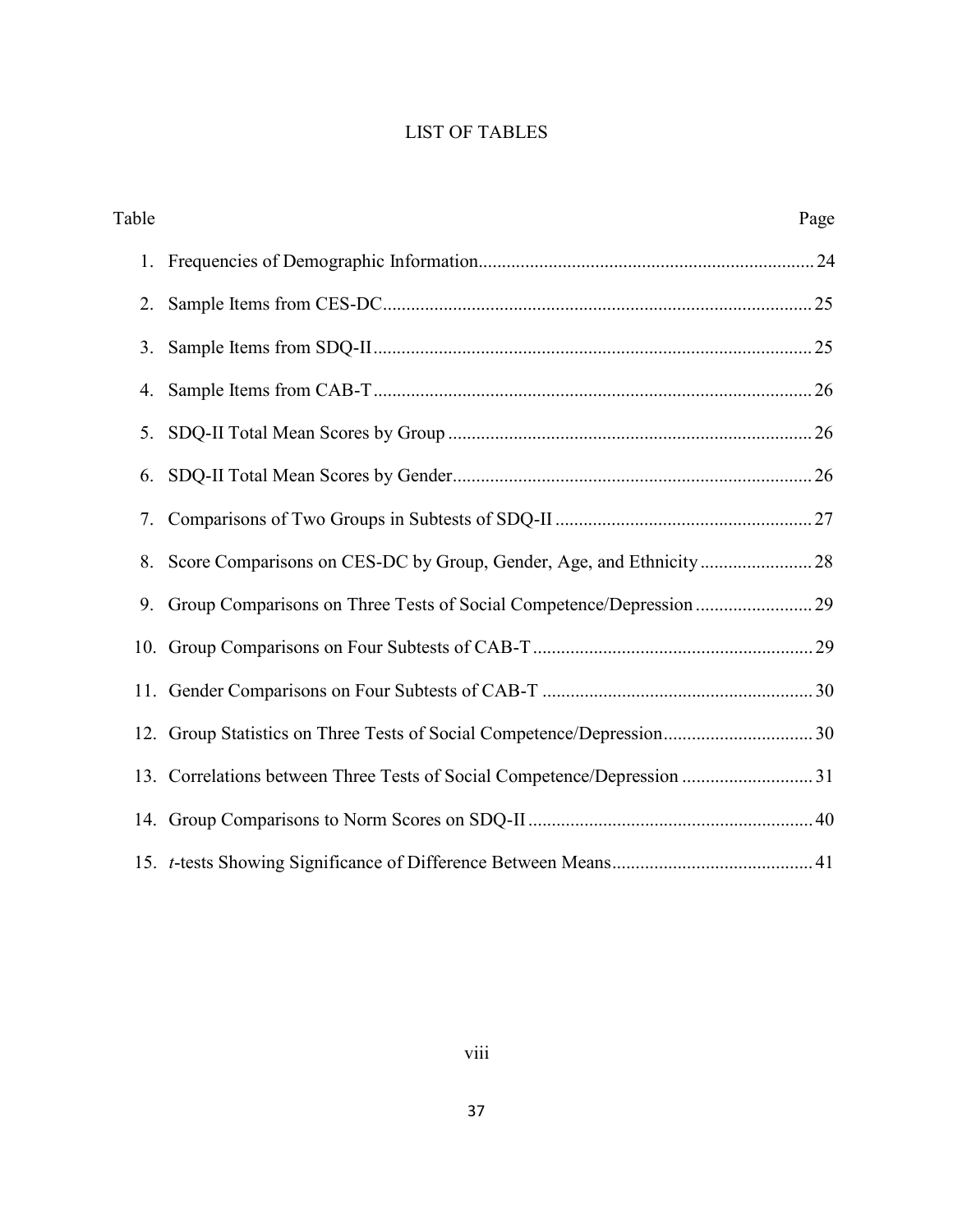# LIST OF TABLES

| Table |                                                                          | Page |
|-------|--------------------------------------------------------------------------|------|
| 1.    |                                                                          |      |
| 2.    |                                                                          |      |
| 3.    |                                                                          |      |
| 4.    |                                                                          |      |
| 5.    |                                                                          |      |
| 6.    |                                                                          |      |
| 7.    |                                                                          |      |
| 8.    |                                                                          |      |
| 9.    |                                                                          |      |
|       |                                                                          |      |
|       |                                                                          |      |
|       |                                                                          |      |
|       | 13. Correlations between Three Tests of Social Competence/Depression  31 |      |
|       |                                                                          |      |
|       |                                                                          |      |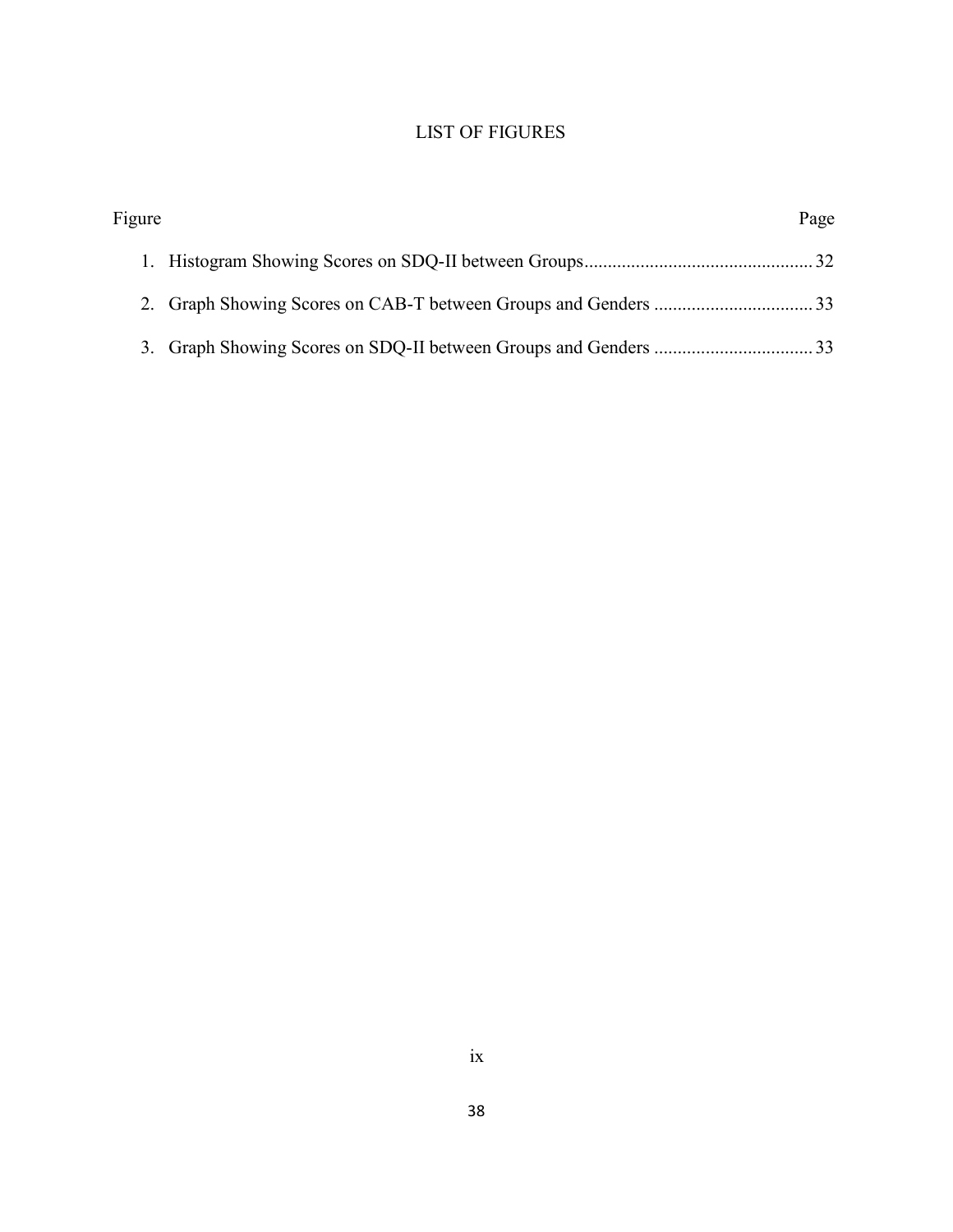# LIST OF FIGURES

| Figure | Page |
|--------|------|
|        |      |
|        |      |
|        |      |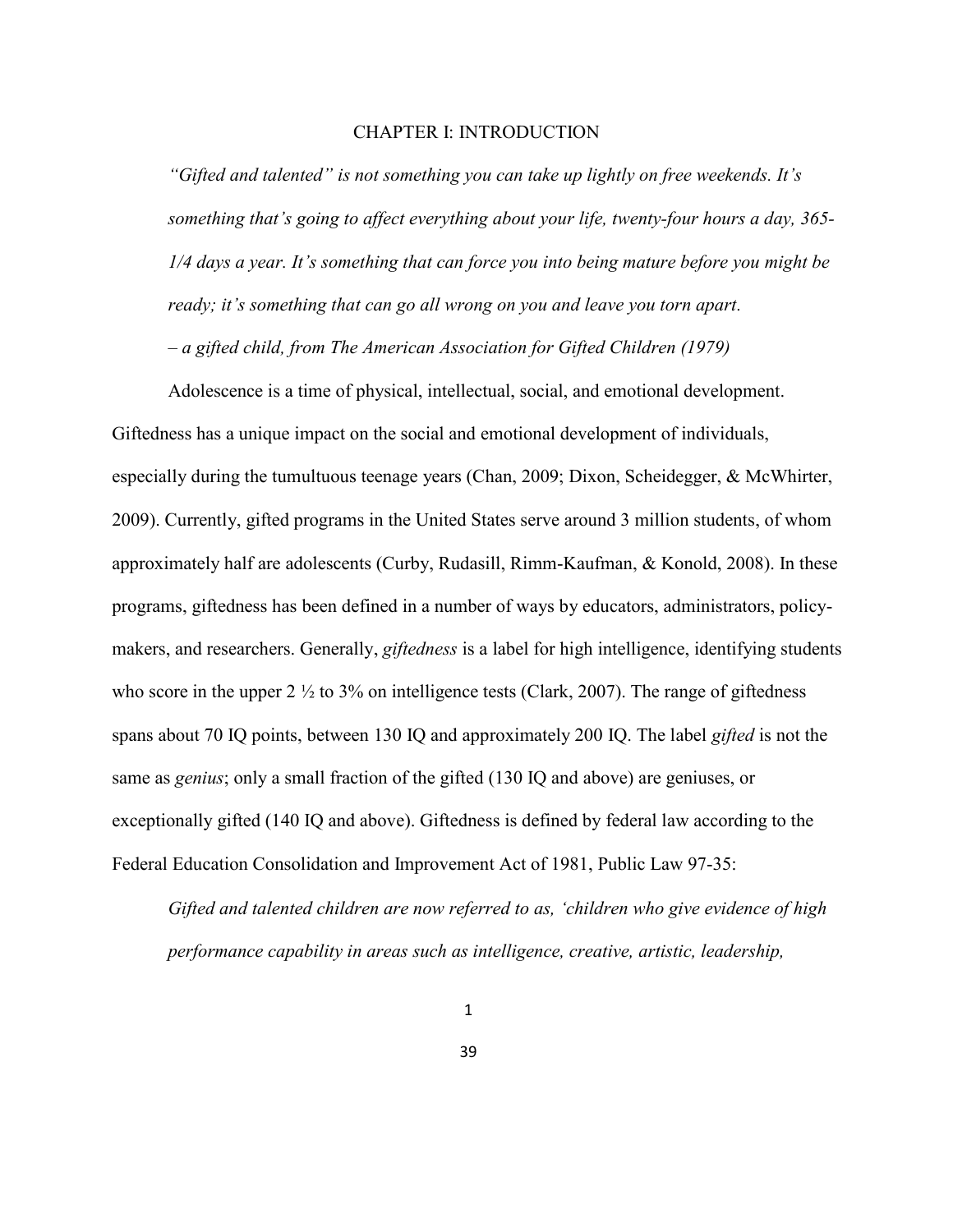#### CHAPTER I: INTRODUCTION

*"Gifted and talented" is not something you can take up lightly on free weekends. It's something that's going to affect everything about your life, twenty-four hours a day, 365- 1/4 days a year. It's something that can force you into being mature before you might be ready; it's something that can go all wrong on you and leave you torn apart.*

*– a gifted child, from The American Association for Gifted Children (1979)*

Adolescence is a time of physical, intellectual, social, and emotional development. Giftedness has a unique impact on the social and emotional development of individuals, especially during the tumultuous teenage years (Chan, 2009; Dixon, Scheidegger, & McWhirter, 2009). Currently, gifted programs in the United States serve around 3 million students, of whom approximately half are adolescents (Curby, Rudasill, Rimm-Kaufman, & Konold, 2008). In these programs, giftedness has been defined in a number of ways by educators, administrators, policymakers, and researchers. Generally, *giftedness* is a label for high intelligence, identifying students who score in the upper  $2\frac{1}{2}$  to  $3\%$  on intelligence tests (Clark, 2007). The range of giftedness spans about 70 IQ points, between 130 IQ and approximately 200 IQ. The label *gifted* is not the same as *genius*; only a small fraction of the gifted (130 IQ and above) are geniuses, or exceptionally gifted (140 IQ and above). Giftedness is defined by federal law according to the Federal Education Consolidation and Improvement Act of 1981, Public Law 97-35:

*Gifted and talented children are now referred to as, 'children who give evidence of high performance capability in areas such as intelligence, creative, artistic, leadership,*

39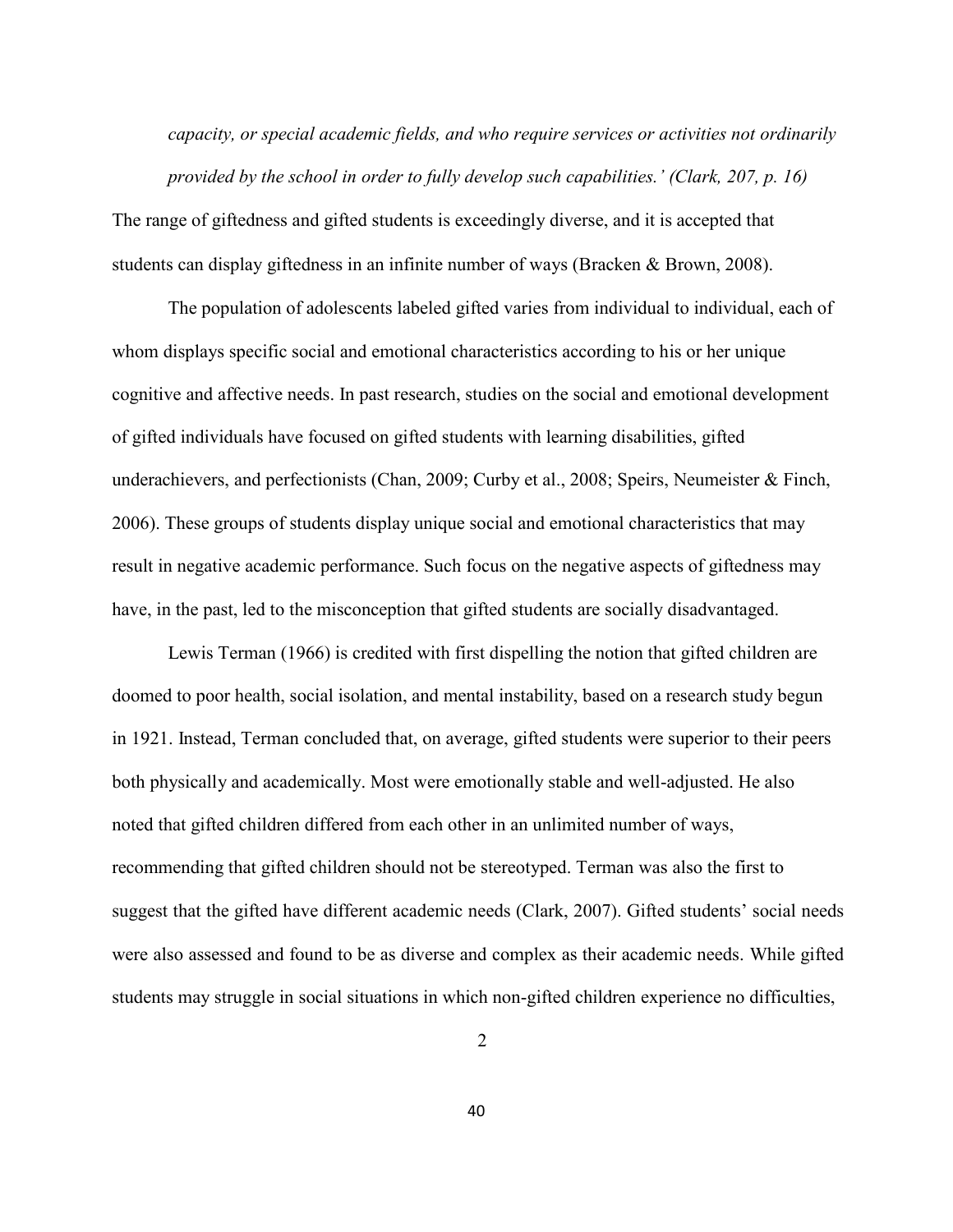*capacity, or special academic fields, and who require services or activities not ordinarily provided by the school in order to fully develop such capabilities.' (Clark, 207, p. 16)* 

The range of giftedness and gifted students is exceedingly diverse, and it is accepted that students can display giftedness in an infinite number of ways (Bracken & Brown, 2008).

The population of adolescents labeled gifted varies from individual to individual, each of whom displays specific social and emotional characteristics according to his or her unique cognitive and affective needs. In past research, studies on the social and emotional development of gifted individuals have focused on gifted students with learning disabilities, gifted underachievers, and perfectionists (Chan, 2009; Curby et al., 2008; Speirs, Neumeister & Finch, 2006). These groups of students display unique social and emotional characteristics that may result in negative academic performance. Such focus on the negative aspects of giftedness may have, in the past, led to the misconception that gifted students are socially disadvantaged.

Lewis Terman (1966) is credited with first dispelling the notion that gifted children are doomed to poor health, social isolation, and mental instability, based on a research study begun in 1921. Instead, Terman concluded that, on average, gifted students were superior to their peers both physically and academically. Most were emotionally stable and well-adjusted. He also noted that gifted children differed from each other in an unlimited number of ways, recommending that gifted children should not be stereotyped. Terman was also the first to suggest that the gifted have different academic needs (Clark, 2007). Gifted students' social needs were also assessed and found to be as diverse and complex as their academic needs. While gifted students may struggle in social situations in which non-gifted children experience no difficulties,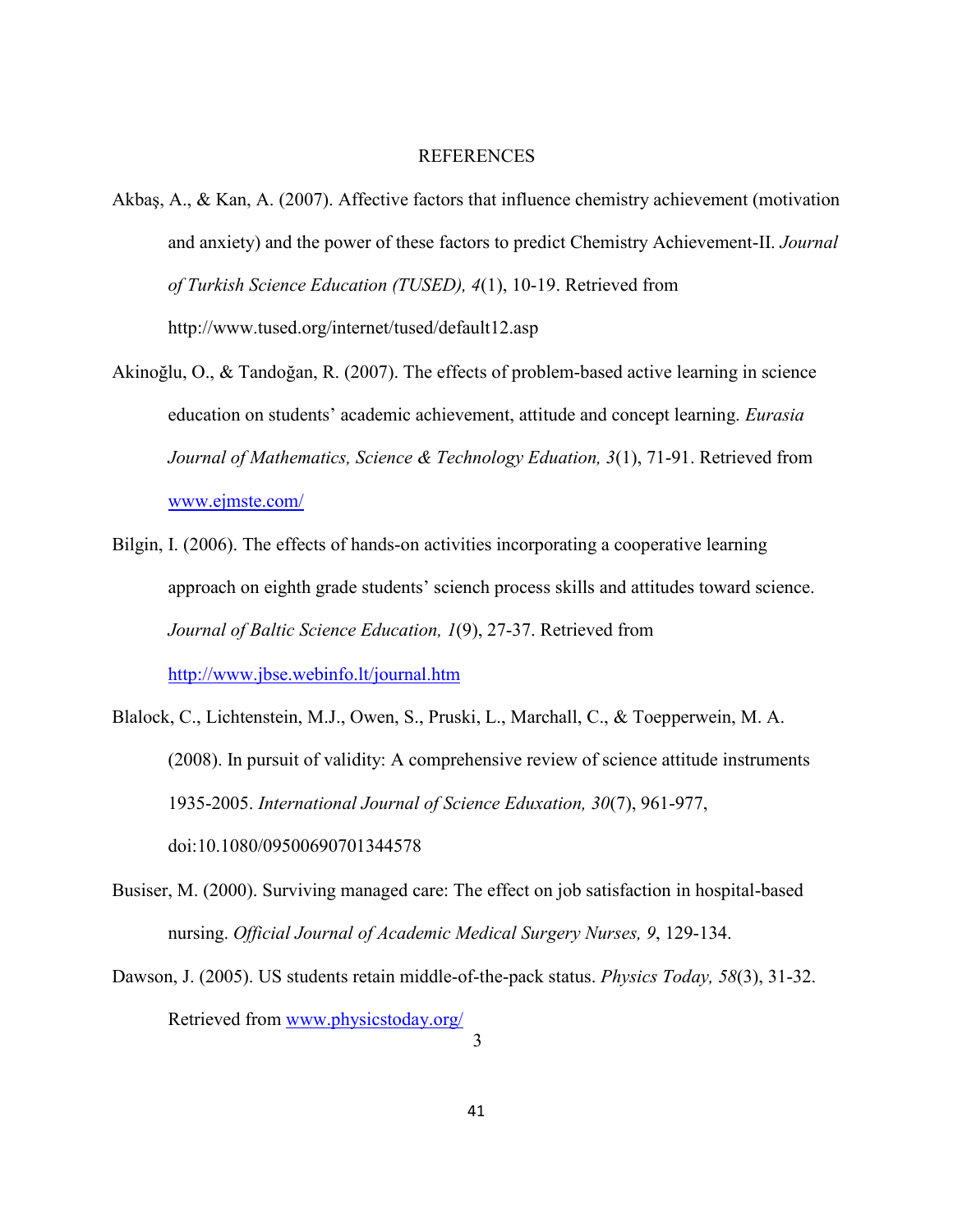#### **REFERENCES**

- Akbaş, A., & Kan, A. (2007). Affective factors that influence chemistry achievement (motivation and anxiety) and the power of these factors to predict Chemistry Achievement-II. *Journal of Turkish Science Education (TUSED), 4*(1), 10-19. Retrieved fro[m](http://www.tused.org/internet/tused/default12.asp) <http://www.tused.org/internet/tused/default12.asp>
- Akinoğlu, O., & Tandoğan, R. (2007). The effects of problem-based active learning in science education on students' academic achievement, attitude and concept learning. *Eurasia Journal of Mathematics, Science & Technology Eduation, 3*(1), 71-91. Retrieved from [www.ejmste.com/](http://www.ejmste.com/)
- Bilgin, I. (2006). The effects of hands-on activities incorporating a cooperative learning approach on eighth grade students' sciench process skills and attitudes toward science. *Journal of Baltic Science Education, 1*(9), 27-37. Retrieved from <http://www.jbse.webinfo.lt/journal.htm>
- Blalock, C., Lichtenstein, M.J., Owen, S., Pruski, L., Marchall, C., & Toepperwein, M. A. (2008). In pursuit of validity: A comprehensive review of science attitude instruments 1935-2005. *International Journal of Science Eduxation, 30*(7), 961-977, doi:10.1080/09500690701344578
- Busiser, M. (2000). Surviving managed care: The effect on job satisfaction in hospital-based nursing. *Official Journal of Academic Medical Surgery Nurses, 9*, 129-134.
- Dawson, J. (2005). US students retain middle-of-the-pack status. *Physics Today, 58*(3), 31-32. Retrieved from [www.physicstoday.org/](http://www.physicstoday.org/) 3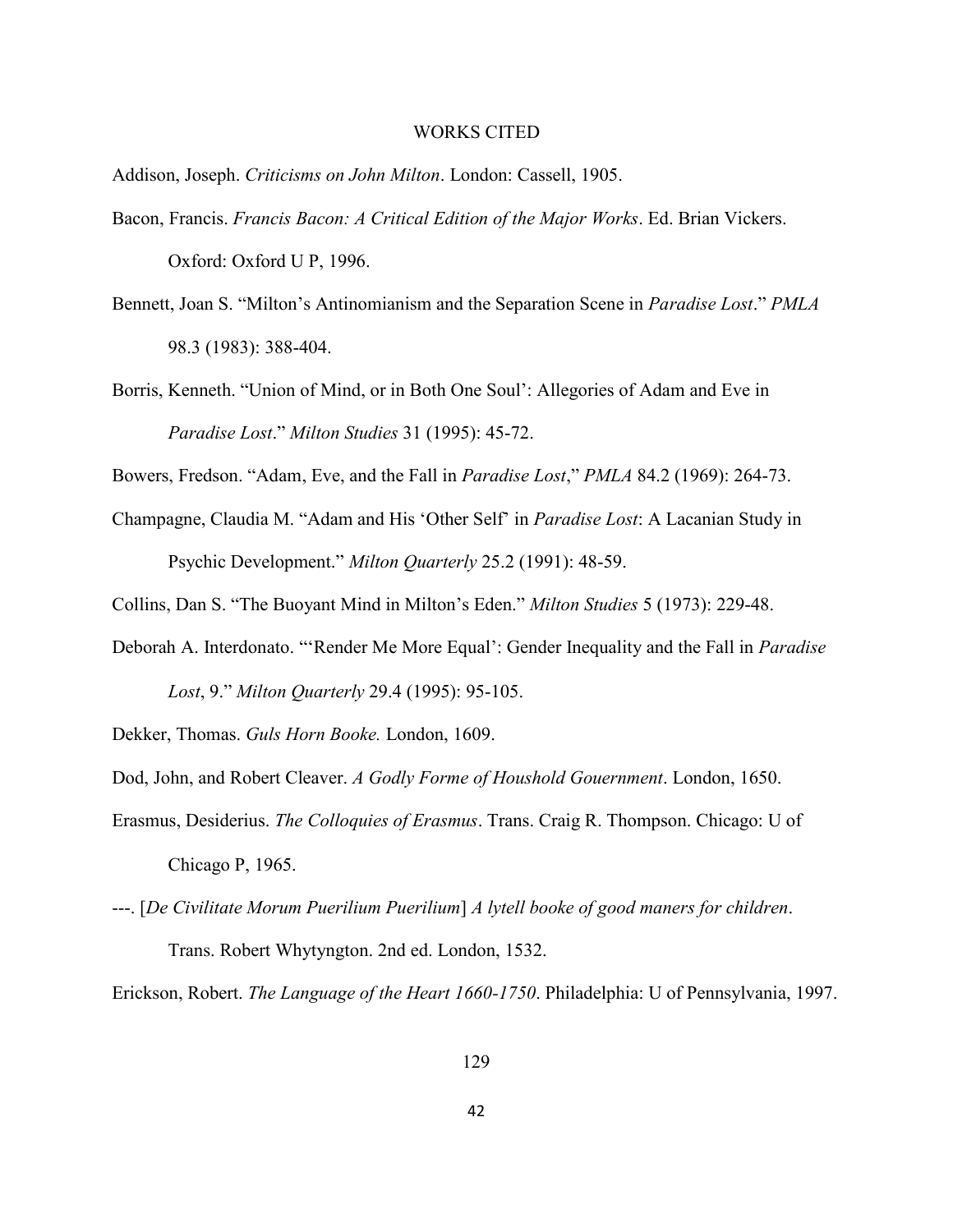#### WORKS CITED

Addison, Joseph. *Criticisms on John Milton*. London: Cassell, 1905.

- Bacon, Francis. *Francis Bacon: A Critical Edition of the Major Works*. Ed. Brian Vickers. Oxford: Oxford U P, 1996.
- Bennett, Joan S. "Milton's Antinomianism and the Separation Scene in *Paradise Lost*." *PMLA* 98.3 (1983): 388-404.
- Borris, Kenneth. "Union of Mind, or in Both One Soul': Allegories of Adam and Eve in *Paradise Lost*." *Milton Studies* 31 (1995): 45-72.

Bowers, Fredson. "Adam, Eve, and the Fall in *Paradise Lost*," *PMLA* 84.2 (1969): 264-73.

- Champagne, Claudia M. "Adam and His 'Other Self' in *Paradise Lost*: A Lacanian Study in Psychic Development." *Milton Quarterly* 25.2 (1991): 48-59.
- Collins, Dan S. "The Buoyant Mind in Milton's Eden." *Milton Studies* 5 (1973): 229-48.
- Deborah A. Interdonato. "'Render Me More Equal': Gender Inequality and the Fall in *Paradise Lost*, 9." *Milton Quarterly* 29.4 (1995): 95-105.

Dekker, Thomas. *Guls Horn Booke.* London, 1609.

Dod, John, and Robert Cleaver. *A Godly Forme of Houshold Gouernment*. London, 1650.

- Erasmus, Desiderius. *The Colloquies of Erasmus*. Trans. Craig R. Thompson. Chicago: U of Chicago P, 1965.
- ---. [*De Civilitate Morum Puerilium Puerilium*] *A lytell booke of good maners for children*. Trans. Robert Whytyngton. 2nd ed. London, 1532.

Erickson, Robert. *The Language of the Heart 1660-1750*. Philadelphia: U of Pennsylvania, 1997.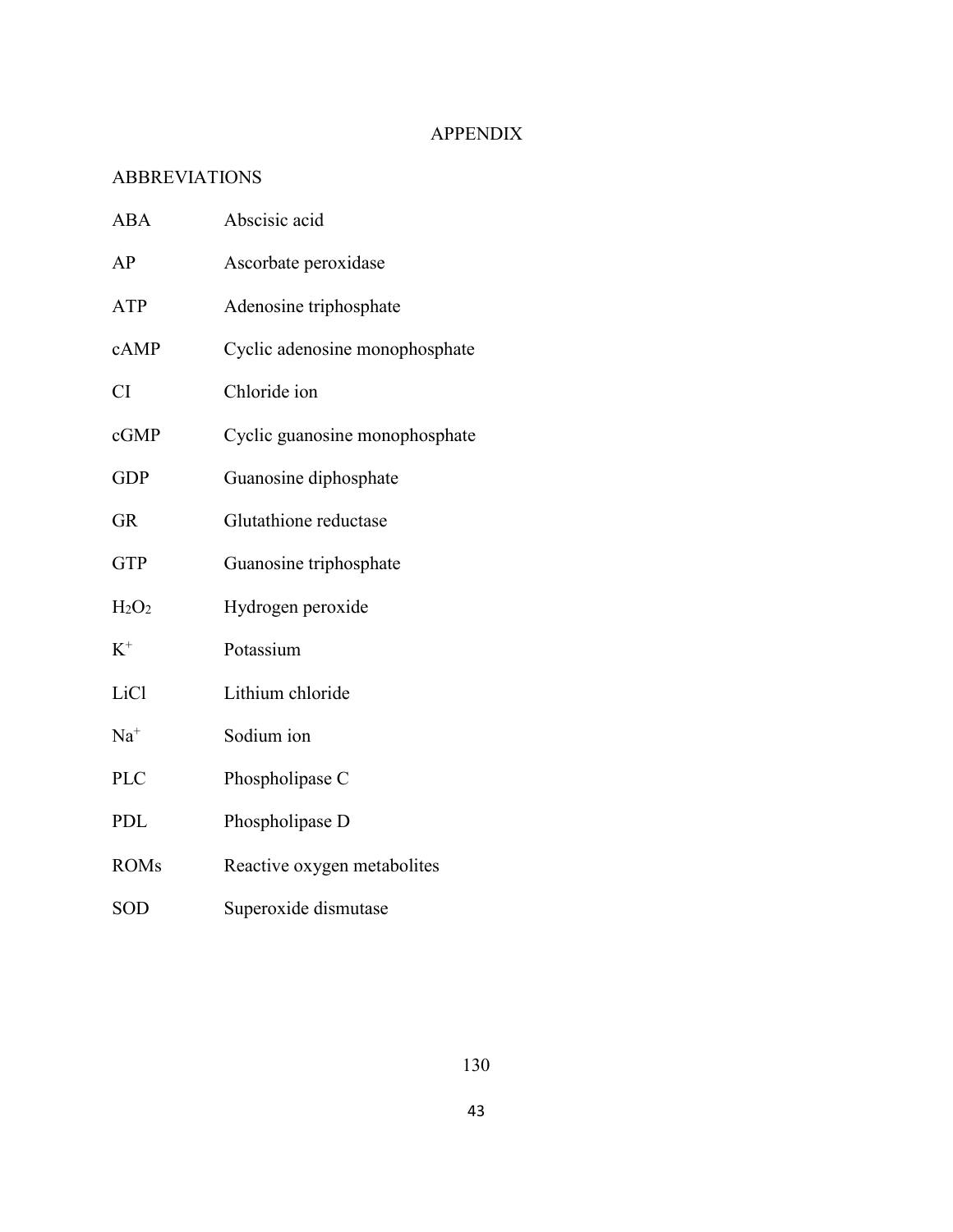# APPENDIX

# ABBREVIATIONS

| <b>ABA</b>       | Abscisic acid                  |
|------------------|--------------------------------|
| AP               | Ascorbate peroxidase           |
| <b>ATP</b>       | Adenosine triphosphate         |
| cAMP             | Cyclic adenosine monophosphate |
| <b>CI</b>        | Chloride ion                   |
| cGMP             | Cyclic guanosine monophosphate |
| <b>GDP</b>       | Guanosine diphosphate          |
| <b>GR</b>        | Glutathione reductase          |
| <b>GTP</b>       | Guanosine triphosphate         |
| $H_2O_2$         | Hydrogen peroxide              |
| $K^+$            | Potassium                      |
| LiC <sub>1</sub> | Lithium chloride               |
| $Na+$            | Sodium ion                     |
| <b>PLC</b>       | Phospholipase C                |
| <b>PDL</b>       | Phospholipase D                |
| <b>ROMs</b>      | Reactive oxygen metabolites    |
| SOD              | Superoxide dismutase           |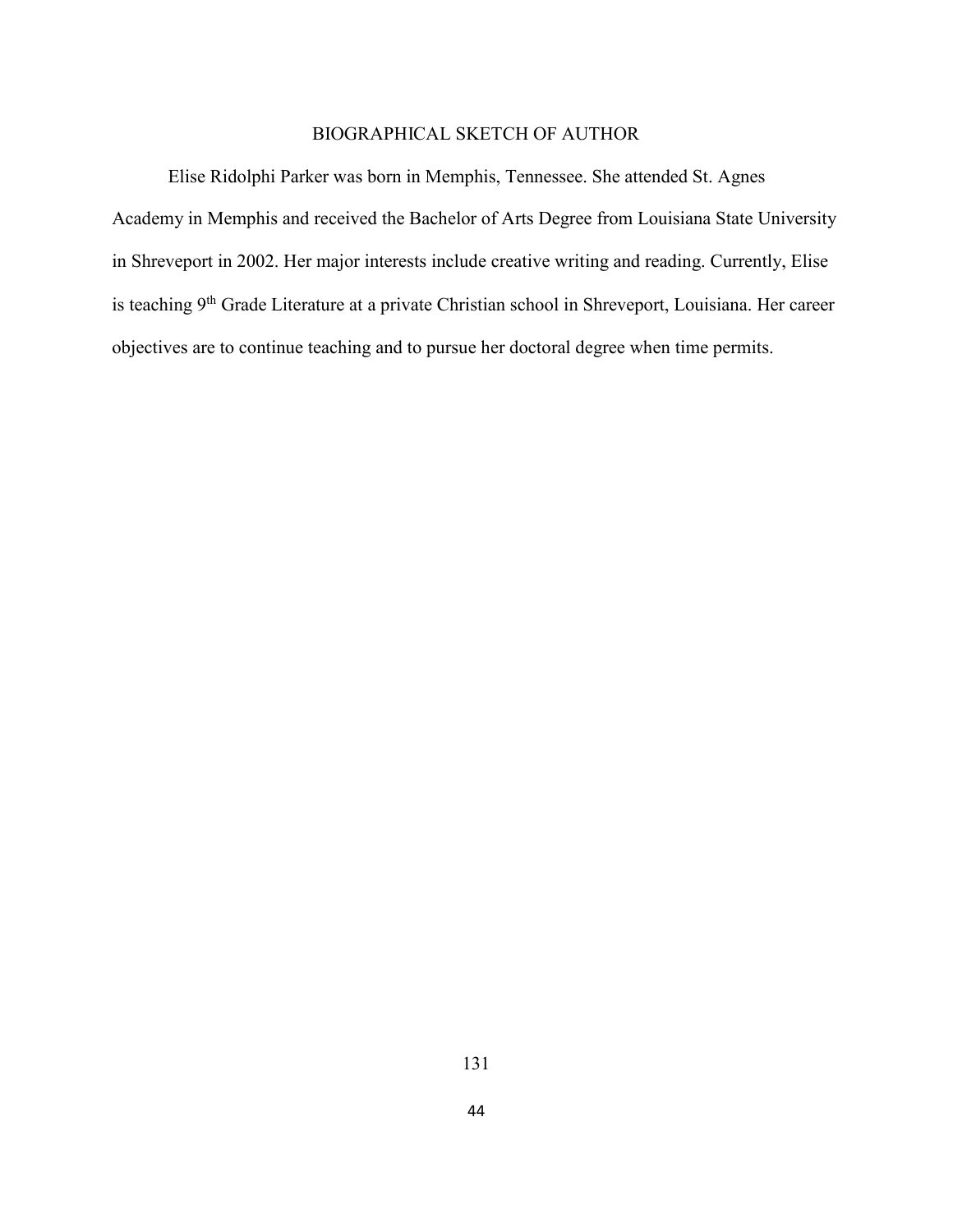# BIOGRAPHICAL SKETCH OF AUTHOR

Elise Ridolphi Parker was born in Memphis, Tennessee. She attended St. Agnes Academy in Memphis and received the Bachelor of Arts Degree from Louisiana State University in Shreveport in 2002. Her major interests include creative writing and reading. Currently, Elise is teaching 9<sup>th</sup> Grade Literature at a private Christian school in Shreveport, Louisiana. Her career objectives are to continue teaching and to pursue her doctoral degree when time permits.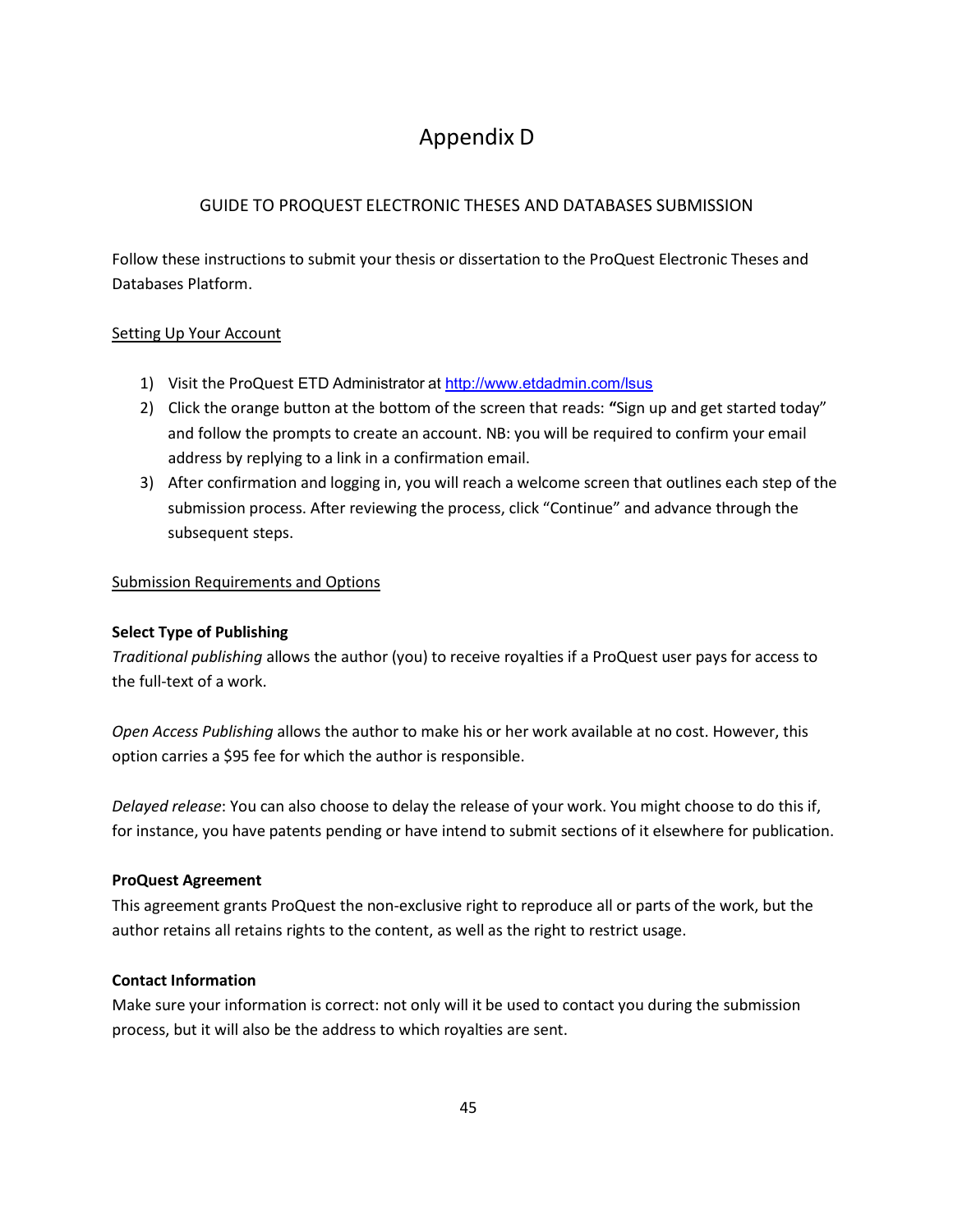# Appendix D

# GUIDE TO PROQUEST ELECTRONIC THESES AND DATABASES SUBMISSION

Follow these instructions to submit your thesis or dissertation to the ProQuest Electronic Theses and Databases Platform.

# Setting Up Your Account

- 1) Visit the ProQuest ETD Administrator at <http://www.etdadmin.com/lsus>
- 2) Click the orange button at the bottom of the screen that reads: **"**Sign up and get started today" and follow the prompts to create an account. NB: you will be required to confirm your email address by replying to a link in a confirmation email.
- 3) After confirmation and logging in, you will reach a welcome screen that outlines each step of the submission process. After reviewing the process, click "Continue" and advance through the subsequent steps.

# Submission Requirements and Options

## **Select Type of Publishing**

*Traditional publishing* allows the author (you) to receive royalties if a ProQuest user pays for access to the full-text of a work.

*Open Access Publishing* allows the author to make his or her work available at no cost. However, this option carries a \$95 fee for which the author is responsible.

*Delayed release*: You can also choose to delay the release of your work. You might choose to do this if, for instance, you have patents pending or have intend to submit sections of it elsewhere for publication.

## **ProQuest Agreement**

This agreement grants ProQuest the non-exclusive right to reproduce all or parts of the work, but the author retains all retains rights to the content, as well as the right to restrict usage.

## **Contact Information**

Make sure your information is correct: not only will it be used to contact you during the submission process, but it will also be the address to which royalties are sent.